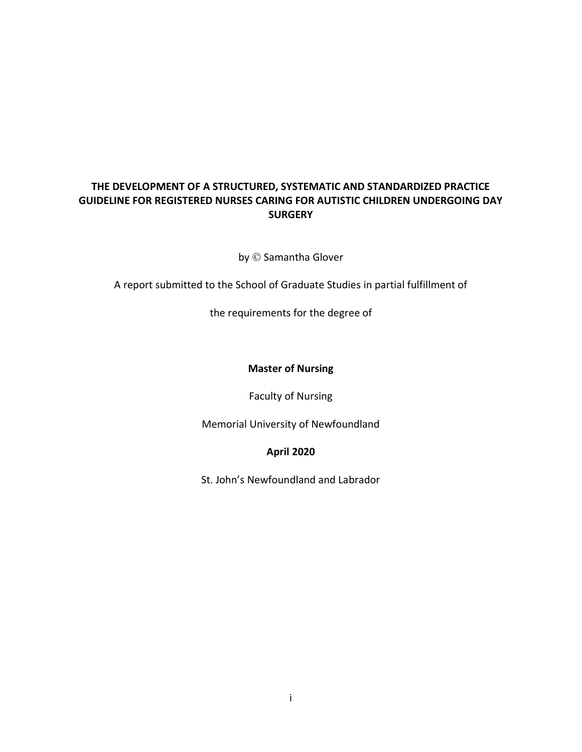# **THE DEVELOPMENT OF A STRUCTURED, SYSTEMATIC AND STANDARDIZED PRACTICE GUIDELINE FOR REGISTERED NURSES CARING FOR AUTISTIC CHILDREN UNDERGOING DAY SURGERY**

by © Samantha Glover

A report submitted to the School of Graduate Studies in partial fulfillment of

the requirements for the degree of

## **Master of Nursing**

Faculty of Nursing

Memorial University of Newfoundland

## **April 2020**

St. John's Newfoundland and Labrador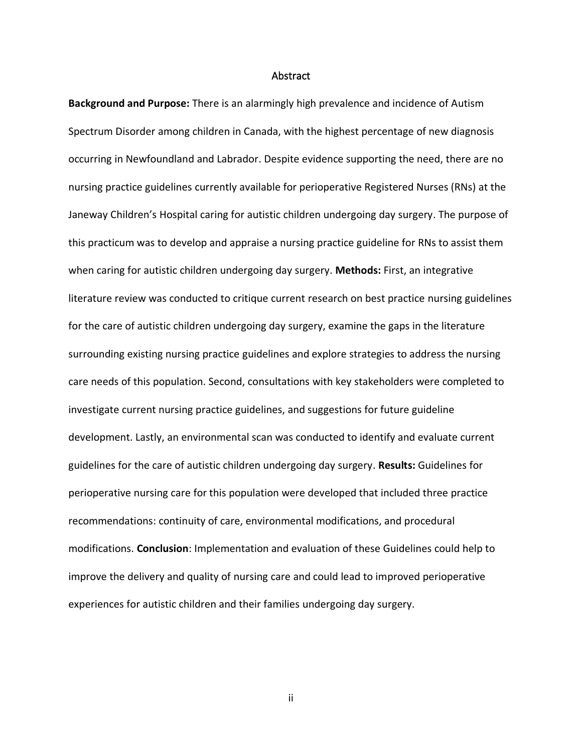#### **Abstract**

<span id="page-1-0"></span>**Background and Purpose:** There is an alarmingly high prevalence and incidence of Autism Spectrum Disorder among children in Canada, with the highest percentage of new diagnosis occurring in Newfoundland and Labrador. Despite evidence supporting the need, there are no nursing practice guidelines currently available for perioperative Registered Nurses (RNs) at the Janeway Children's Hospital caring for autistic children undergoing day surgery. The purpose of this practicum was to develop and appraise a nursing practice guideline for RNs to assist them when caring for autistic children undergoing day surgery. **Methods:** First, an integrative literature review was conducted to critique current research on best practice nursing guidelines for the care of autistic children undergoing day surgery, examine the gaps in the literature surrounding existing nursing practice guidelines and explore strategies to address the nursing care needs of this population. Second, consultations with key stakeholders were completed to investigate current nursing practice guidelines, and suggestions for future guideline development. Lastly, an environmental scan was conducted to identify and evaluate current guidelines for the care of autistic children undergoing day surgery. **Results:** Guidelines for perioperative nursing care for this population were developed that included three practice recommendations: continuity of care, environmental modifications, and procedural modifications. **Conclusion**: Implementation and evaluation of these Guidelines could help to improve the delivery and quality of nursing care and could lead to improved perioperative experiences for autistic children and their families undergoing day surgery.

ii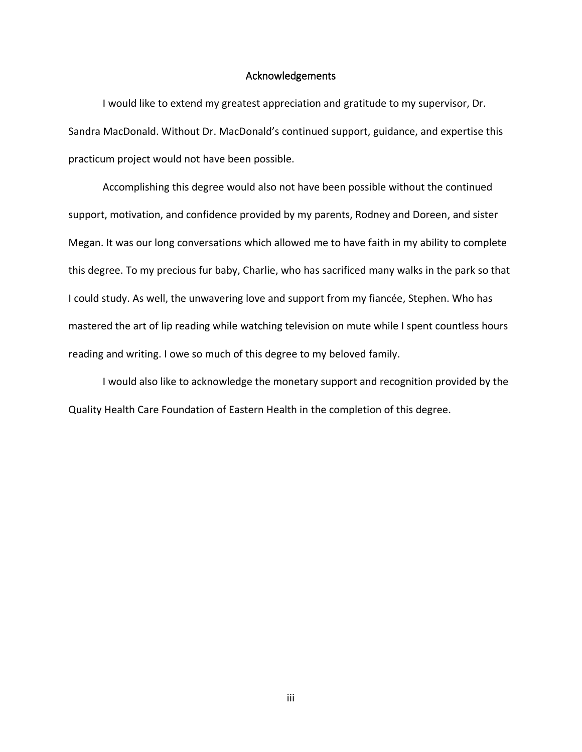#### Acknowledgements

<span id="page-2-0"></span>I would like to extend my greatest appreciation and gratitude to my supervisor, Dr. Sandra MacDonald. Without Dr. MacDonald's continued support, guidance, and expertise this practicum project would not have been possible.

Accomplishing this degree would also not have been possible without the continued support, motivation, and confidence provided by my parents, Rodney and Doreen, and sister Megan. It was our long conversations which allowed me to have faith in my ability to complete this degree. To my precious fur baby, Charlie, who has sacrificed many walks in the park so that I could study. As well, the unwavering love and support from my fiancée, Stephen. Who has mastered the art of lip reading while watching television on mute while I spent countless hours reading and writing. I owe so much of this degree to my beloved family.

I would also like to acknowledge the monetary support and recognition provided by the Quality Health Care Foundation of Eastern Health in the completion of this degree.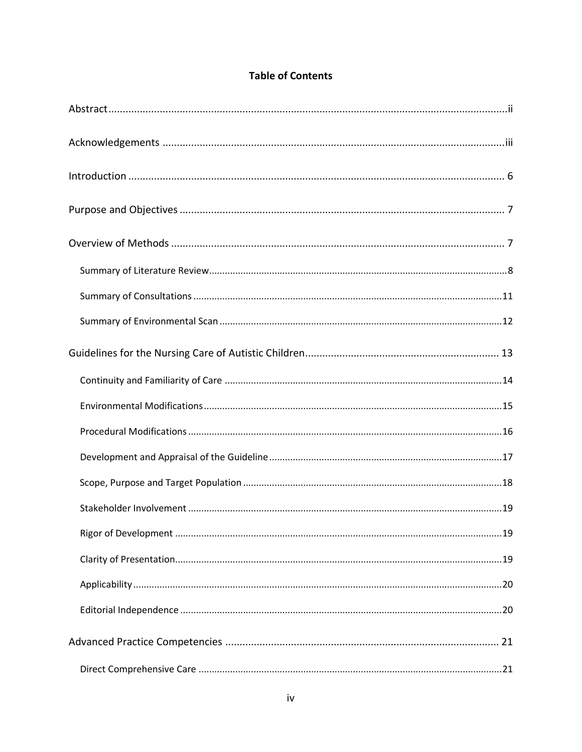# **Table of Contents**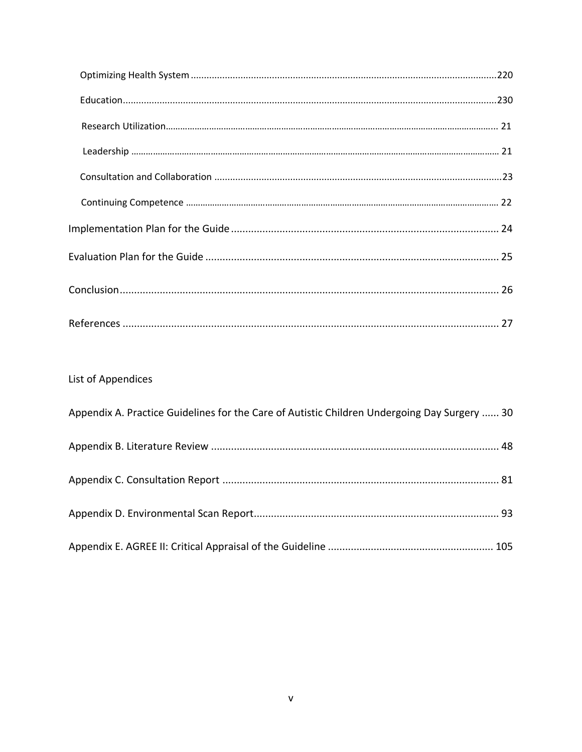| List of Appendices                                                                           |
|----------------------------------------------------------------------------------------------|
| Appendix A. Practice Guidelines for the Care of Autistic Children Undergoing Day Surgery  30 |
|                                                                                              |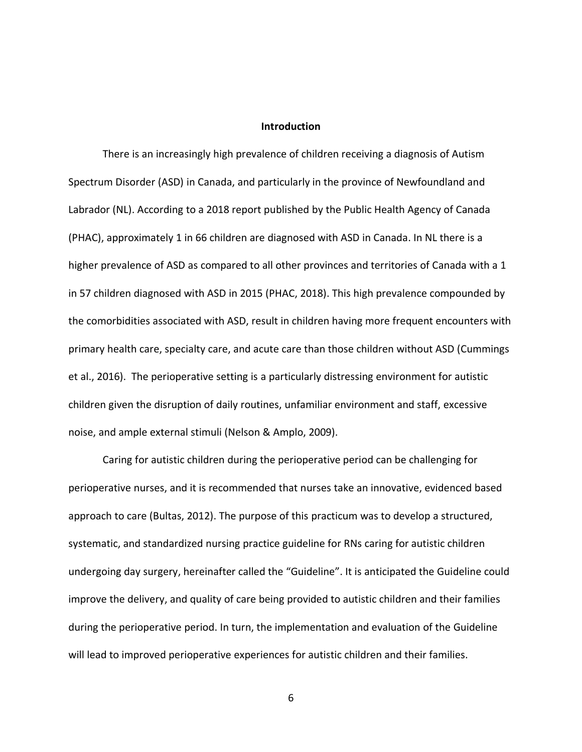#### **Introduction**

<span id="page-5-0"></span>There is an increasingly high prevalence of children receiving a diagnosis of Autism Spectrum Disorder (ASD) in Canada, and particularly in the province of Newfoundland and Labrador (NL). According to a 2018 report published by the Public Health Agency of Canada (PHAC), approximately 1 in 66 children are diagnosed with ASD in Canada. In NL there is a higher prevalence of ASD as compared to all other provinces and territories of Canada with a 1 in 57 children diagnosed with ASD in 2015 (PHAC, 2018). This high prevalence compounded by the comorbidities associated with ASD, result in children having more frequent encounters with primary health care, specialty care, and acute care than those children without ASD (Cummings et al., 2016). The perioperative setting is a particularly distressing environment for autistic children given the disruption of daily routines, unfamiliar environment and staff, excessive noise, and ample external stimuli (Nelson & Amplo, 2009).

Caring for autistic children during the perioperative period can be challenging for perioperative nurses, and it is recommended that nurses take an innovative, evidenced based approach to care (Bultas, 2012). The purpose of this practicum was to develop a structured, systematic, and standardized nursing practice guideline for RNs caring for autistic children undergoing day surgery, hereinafter called the "Guideline". It is anticipated the Guideline could improve the delivery, and quality of care being provided to autistic children and their families during the perioperative period. In turn, the implementation and evaluation of the Guideline will lead to improved perioperative experiences for autistic children and their families.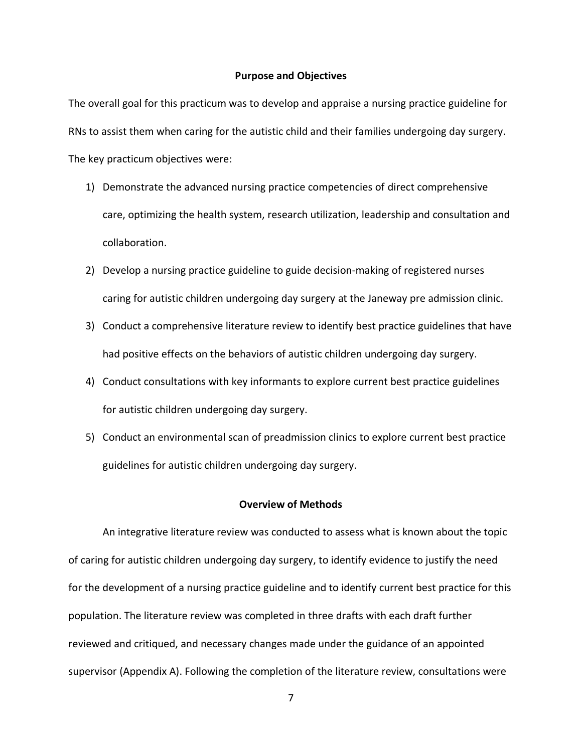#### **Purpose and Objectives**

<span id="page-6-0"></span>The overall goal for this practicum was to develop and appraise a nursing practice guideline for RNs to assist them when caring for the autistic child and their families undergoing day surgery. The key practicum objectives were:

- 1) Demonstrate the advanced nursing practice competencies of direct comprehensive care, optimizing the health system, research utilization, leadership and consultation and collaboration.
- 2) Develop a nursing practice guideline to guide decision-making of registered nurses caring for autistic children undergoing day surgery at the Janeway pre admission clinic.
- 3) Conduct a comprehensive literature review to identify best practice guidelines that have had positive effects on the behaviors of autistic children undergoing day surgery.
- 4) Conduct consultations with key informants to explore current best practice guidelines for autistic children undergoing day surgery.
- 5) Conduct an environmental scan of preadmission clinics to explore current best practice guidelines for autistic children undergoing day surgery.

#### **Overview of Methods**

<span id="page-6-1"></span>An integrative literature review was conducted to assess what is known about the topic of caring for autistic children undergoing day surgery, to identify evidence to justify the need for the development of a nursing practice guideline and to identify current best practice for this population. The literature review was completed in three drafts with each draft further reviewed and critiqued, and necessary changes made under the guidance of an appointed supervisor (Appendix A). Following the completion of the literature review, consultations were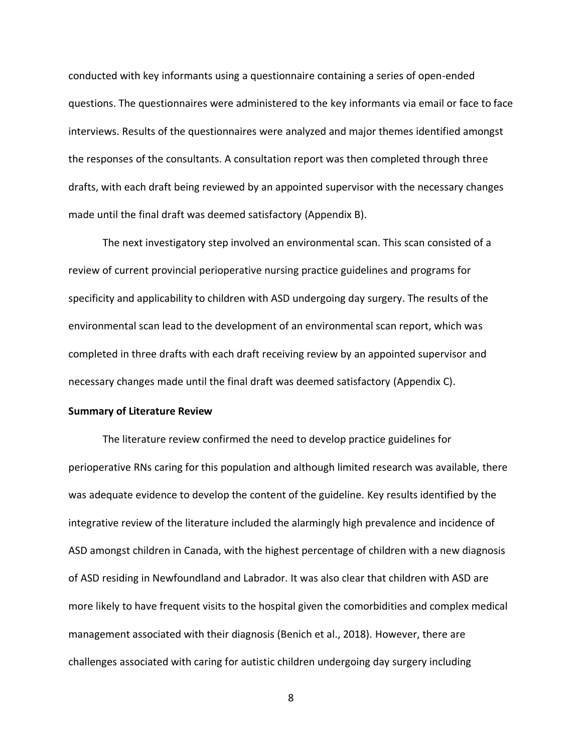conducted with key informants using a questionnaire containing a series of open-ended questions. The questionnaires were administered to the key informants via email or face to face interviews. Results of the questionnaires were analyzed and major themes identified amongst the responses of the consultants. A consultation report was then completed through three drafts, with each draft being reviewed by an appointed supervisor with the necessary changes made until the final draft was deemed satisfactory (Appendix B).

The next investigatory step involved an environmental scan. This scan consisted of a review of current provincial perioperative nursing practice guidelines and programs for specificity and applicability to children with ASD undergoing day surgery. The results of the environmental scan lead to the development of an environmental scan report, which was completed in three drafts with each draft receiving review by an appointed supervisor and necessary changes made until the final draft was deemed satisfactory (Appendix C).

### <span id="page-7-0"></span>**Summary of Literature Review**

The literature review confirmed the need to develop practice guidelines for perioperative RNs caring for this population and although limited research was available, there was adequate evidence to develop the content of the guideline. Key results identified by the integrative review of the literature included the alarmingly high prevalence and incidence of ASD amongst children in Canada, with the highest percentage of children with a new diagnosis of ASD residing in Newfoundland and Labrador. It was also clear that children with ASD are more likely to have frequent visits to the hospital given the comorbidities and complex medical management associated with their diagnosis (Benich et al., 2018). However, there are challenges associated with caring for autistic children undergoing day surgery including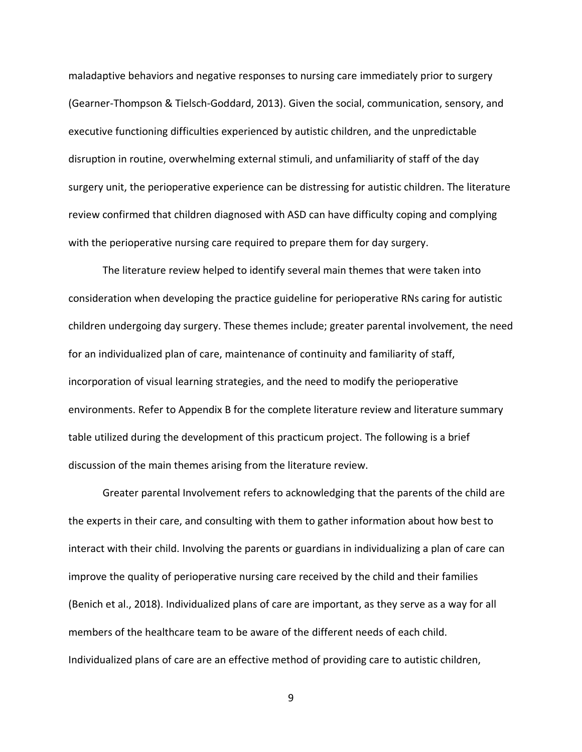maladaptive behaviors and negative responses to nursing care immediately prior to surgery (Gearner-Thompson & Tielsch-Goddard, 2013). Given the social, communication, sensory, and executive functioning difficulties experienced by autistic children, and the unpredictable disruption in routine, overwhelming external stimuli, and unfamiliarity of staff of the day surgery unit, the perioperative experience can be distressing for autistic children. The literature review confirmed that children diagnosed with ASD can have difficulty coping and complying with the perioperative nursing care required to prepare them for day surgery.

The literature review helped to identify several main themes that were taken into consideration when developing the practice guideline for perioperative RNs caring for autistic children undergoing day surgery. These themes include; greater parental involvement, the need for an individualized plan of care, maintenance of continuity and familiarity of staff, incorporation of visual learning strategies, and the need to modify the perioperative environments. Refer to Appendix B for the complete literature review and literature summary table utilized during the development of this practicum project. The following is a brief discussion of the main themes arising from the literature review.

Greater parental Involvement refers to acknowledging that the parents of the child are the experts in their care, and consulting with them to gather information about how best to interact with their child. Involving the parents or guardians in individualizing a plan of care can improve the quality of perioperative nursing care received by the child and their families (Benich et al., 2018). Individualized plans of care are important, as they serve as a way for all members of the healthcare team to be aware of the different needs of each child. Individualized plans of care are an effective method of providing care to autistic children,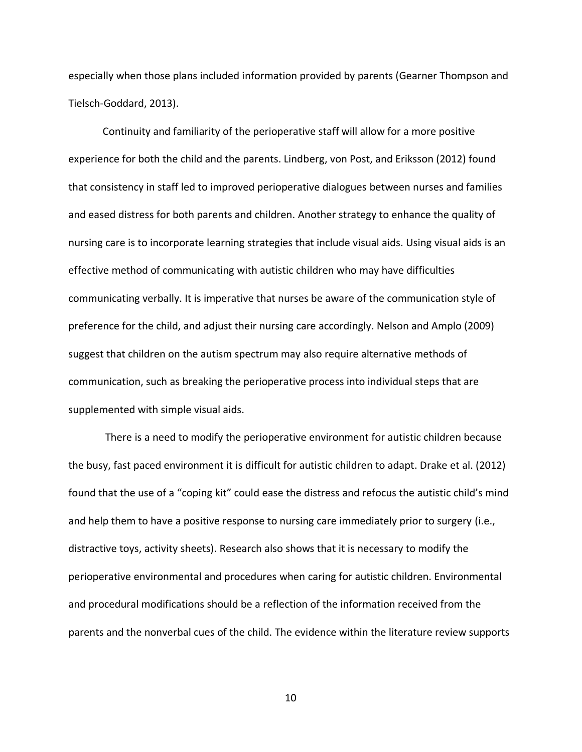especially when those plans included information provided by parents (Gearner Thompson and Tielsch-Goddard, 2013).

Continuity and familiarity of the perioperative staff will allow for a more positive experience for both the child and the parents. Lindberg, von Post, and Eriksson (2012) found that consistency in staff led to improved perioperative dialogues between nurses and families and eased distress for both parents and children. Another strategy to enhance the quality of nursing care is to incorporate learning strategies that include visual aids. Using visual aids is an effective method of communicating with autistic children who may have difficulties communicating verbally. It is imperative that nurses be aware of the communication style of preference for the child, and adjust their nursing care accordingly. Nelson and Amplo (2009) suggest that children on the autism spectrum may also require alternative methods of communication, such as breaking the perioperative process into individual steps that are supplemented with simple visual aids.

There is a need to modify the perioperative environment for autistic children because the busy, fast paced environment it is difficult for autistic children to adapt. Drake et al. (2012) found that the use of a "coping kit" could ease the distress and refocus the autistic child's mind and help them to have a positive response to nursing care immediately prior to surgery (i.e., distractive toys, activity sheets). Research also shows that it is necessary to modify the perioperative environmental and procedures when caring for autistic children. Environmental and procedural modifications should be a reflection of the information received from the parents and the nonverbal cues of the child. The evidence within the literature review supports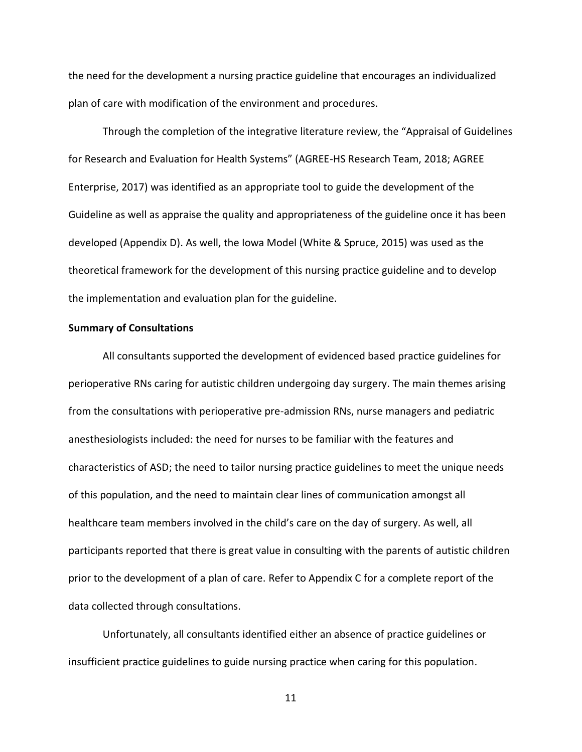the need for the development a nursing practice guideline that encourages an individualized plan of care with modification of the environment and procedures.

Through the completion of the integrative literature review, the "Appraisal of Guidelines for Research and Evaluation for Health Systems" (AGREE-HS Research Team, 2018; AGREE Enterprise, 2017) was identified as an appropriate tool to guide the development of the Guideline as well as appraise the quality and appropriateness of the guideline once it has been developed (Appendix D). As well, the Iowa Model (White & Spruce, 2015) was used as the theoretical framework for the development of this nursing practice guideline and to develop the implementation and evaluation plan for the guideline.

## <span id="page-10-0"></span>**Summary of Consultations**

All consultants supported the development of evidenced based practice guidelines for perioperative RNs caring for autistic children undergoing day surgery. The main themes arising from the consultations with perioperative pre-admission RNs, nurse managers and pediatric anesthesiologists included: the need for nurses to be familiar with the features and characteristics of ASD; the need to tailor nursing practice guidelines to meet the unique needs of this population, and the need to maintain clear lines of communication amongst all healthcare team members involved in the child's care on the day of surgery. As well, all participants reported that there is great value in consulting with the parents of autistic children prior to the development of a plan of care. Refer to Appendix C for a complete report of the data collected through consultations.

Unfortunately, all consultants identified either an absence of practice guidelines or insufficient practice guidelines to guide nursing practice when caring for this population.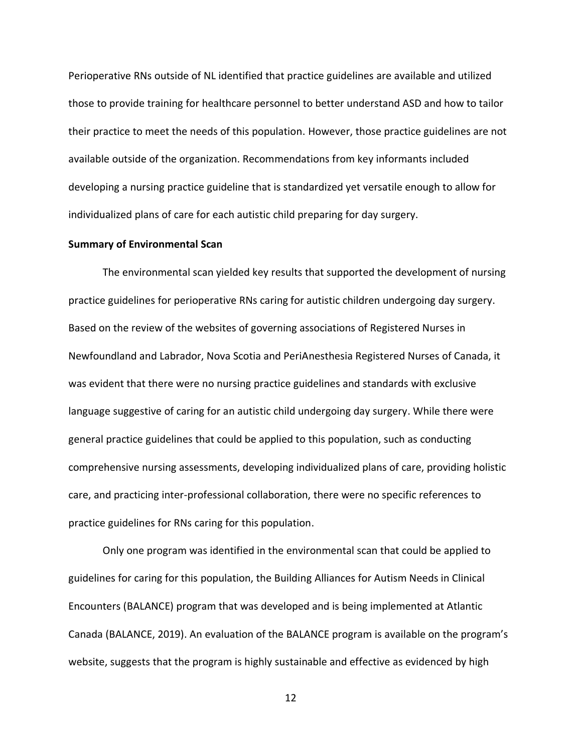Perioperative RNs outside of NL identified that practice guidelines are available and utilized those to provide training for healthcare personnel to better understand ASD and how to tailor their practice to meet the needs of this population. However, those practice guidelines are not available outside of the organization. Recommendations from key informants included developing a nursing practice guideline that is standardized yet versatile enough to allow for individualized plans of care for each autistic child preparing for day surgery.

#### <span id="page-11-0"></span>**Summary of Environmental Scan**

The environmental scan yielded key results that supported the development of nursing practice guidelines for perioperative RNs caring for autistic children undergoing day surgery. Based on the review of the websites of governing associations of Registered Nurses in Newfoundland and Labrador, Nova Scotia and PeriAnesthesia Registered Nurses of Canada, it was evident that there were no nursing practice guidelines and standards with exclusive language suggestive of caring for an autistic child undergoing day surgery. While there were general practice guidelines that could be applied to this population, such as conducting comprehensive nursing assessments, developing individualized plans of care, providing holistic care, and practicing inter-professional collaboration, there were no specific references to practice guidelines for RNs caring for this population.

Only one program was identified in the environmental scan that could be applied to guidelines for caring for this population, the Building Alliances for Autism Needs in Clinical Encounters (BALANCE) program that was developed and is being implemented at Atlantic Canada (BALANCE, 2019). An evaluation of the BALANCE program is available on the program's website, suggests that the program is highly sustainable and effective as evidenced by high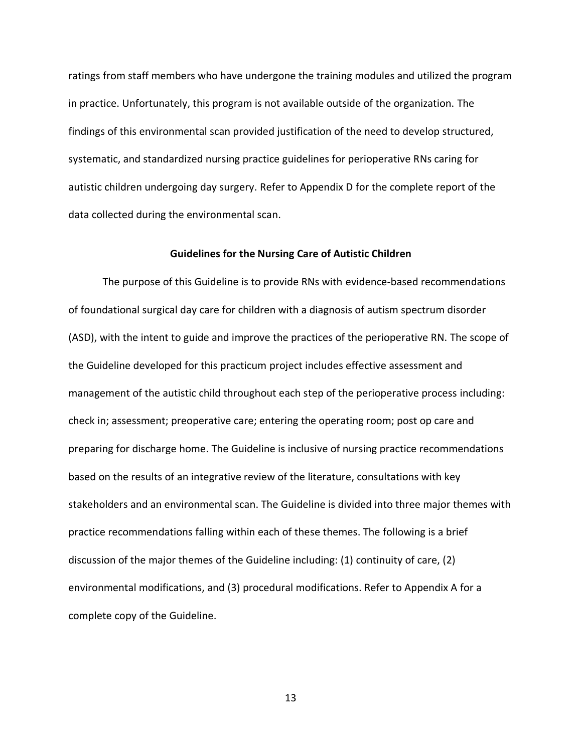ratings from staff members who have undergone the training modules and utilized the program in practice. Unfortunately, this program is not available outside of the organization. The findings of this environmental scan provided justification of the need to develop structured, systematic, and standardized nursing practice guidelines for perioperative RNs caring for autistic children undergoing day surgery. Refer to Appendix D for the complete report of the data collected during the environmental scan.

### **Guidelines for the Nursing Care of Autistic Children**

<span id="page-12-0"></span>The purpose of this Guideline is to provide RNs with evidence-based recommendations of foundational surgical day care for children with a diagnosis of autism spectrum disorder (ASD), with the intent to guide and improve the practices of the perioperative RN. The scope of the Guideline developed for this practicum project includes effective assessment and management of the autistic child throughout each step of the perioperative process including: check in; assessment; preoperative care; entering the operating room; post op care and preparing for discharge home. The Guideline is inclusive of nursing practice recommendations based on the results of an integrative review of the literature, consultations with key stakeholders and an environmental scan. The Guideline is divided into three major themes with practice recommendations falling within each of these themes. The following is a brief discussion of the major themes of the Guideline including: (1) continuity of care, (2) environmental modifications, and (3) procedural modifications. Refer to Appendix A for a complete copy of the Guideline.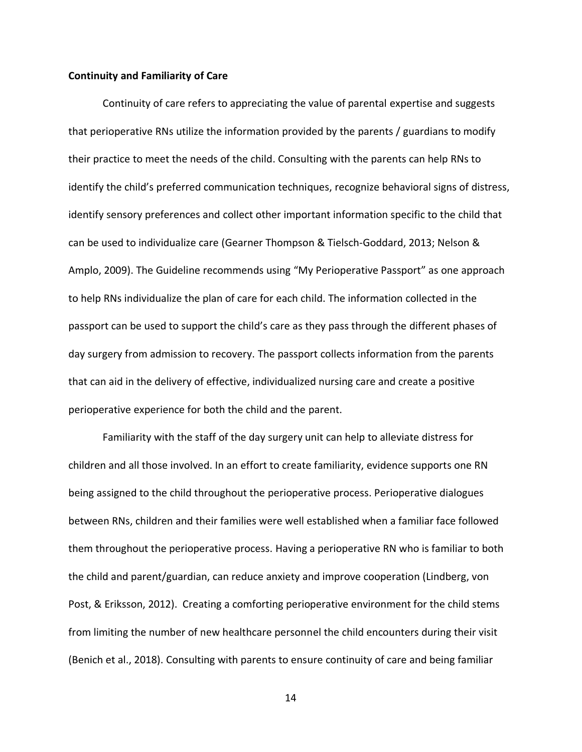#### <span id="page-13-0"></span>**Continuity and Familiarity of Care**

Continuity of care refers to appreciating the value of parental expertise and suggests that perioperative RNs utilize the information provided by the parents / guardians to modify their practice to meet the needs of the child. Consulting with the parents can help RNs to identify the child's preferred communication techniques, recognize behavioral signs of distress, identify sensory preferences and collect other important information specific to the child that can be used to individualize care (Gearner Thompson & Tielsch-Goddard, 2013; Nelson & Amplo, 2009). The Guideline recommends using "My Perioperative Passport" as one approach to help RNs individualize the plan of care for each child. The information collected in the passport can be used to support the child's care as they pass through the different phases of day surgery from admission to recovery. The passport collects information from the parents that can aid in the delivery of effective, individualized nursing care and create a positive perioperative experience for both the child and the parent.

Familiarity with the staff of the day surgery unit can help to alleviate distress for children and all those involved. In an effort to create familiarity, evidence supports one RN being assigned to the child throughout the perioperative process. Perioperative dialogues between RNs, children and their families were well established when a familiar face followed them throughout the perioperative process. Having a perioperative RN who is familiar to both the child and parent/guardian, can reduce anxiety and improve cooperation (Lindberg, von Post, & Eriksson, 2012). Creating a comforting perioperative environment for the child stems from limiting the number of new healthcare personnel the child encounters during their visit (Benich et al., 2018). Consulting with parents to ensure continuity of care and being familiar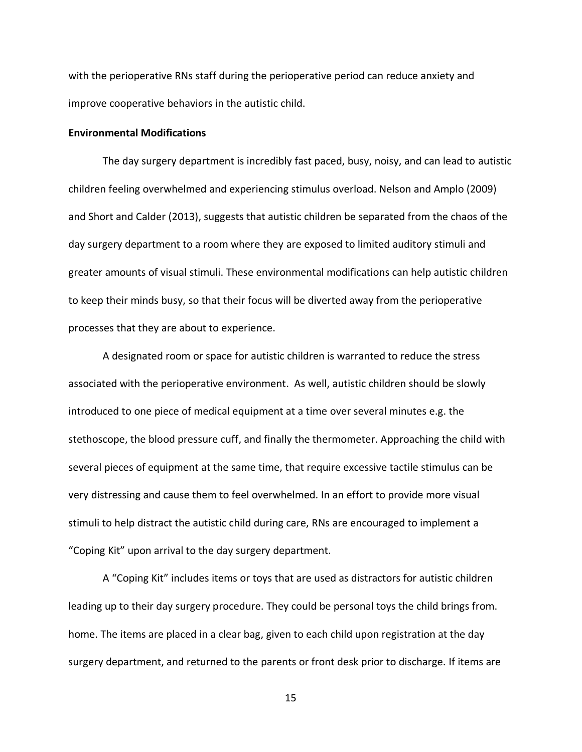with the perioperative RNs staff during the perioperative period can reduce anxiety and improve cooperative behaviors in the autistic child.

### <span id="page-14-0"></span>**Environmental Modifications**

The day surgery department is incredibly fast paced, busy, noisy, and can lead to autistic children feeling overwhelmed and experiencing stimulus overload. Nelson and Amplo (2009) and Short and Calder (2013), suggests that autistic children be separated from the chaos of the day surgery department to a room where they are exposed to limited auditory stimuli and greater amounts of visual stimuli. These environmental modifications can help autistic children to keep their minds busy, so that their focus will be diverted away from the perioperative processes that they are about to experience.

A designated room or space for autistic children is warranted to reduce the stress associated with the perioperative environment. As well, autistic children should be slowly introduced to one piece of medical equipment at a time over several minutes e.g. the stethoscope, the blood pressure cuff, and finally the thermometer. Approaching the child with several pieces of equipment at the same time, that require excessive tactile stimulus can be very distressing and cause them to feel overwhelmed. In an effort to provide more visual stimuli to help distract the autistic child during care, RNs are encouraged to implement a "Coping Kit" upon arrival to the day surgery department.

A "Coping Kit" includes items or toys that are used as distractors for autistic children leading up to their day surgery procedure. They could be personal toys the child brings from. home. The items are placed in a clear bag, given to each child upon registration at the day surgery department, and returned to the parents or front desk prior to discharge. If items are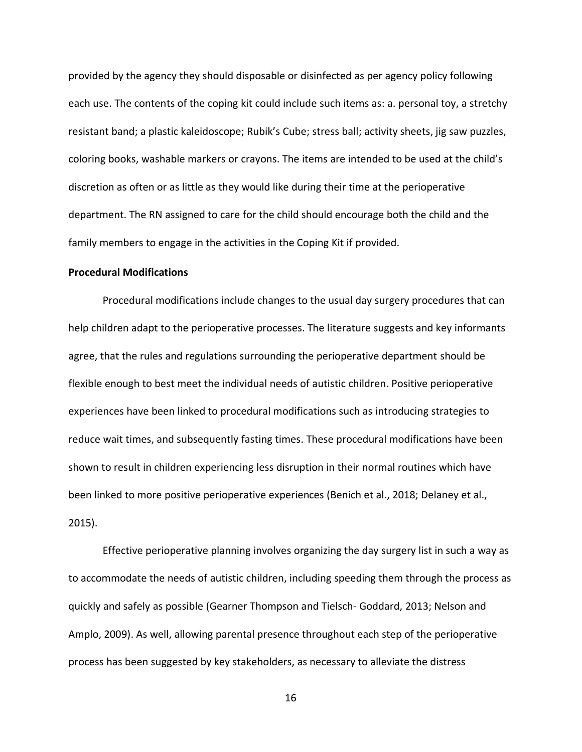provided by the agency they should disposable or disinfected as per agency policy following each use. The contents of the coping kit could include such items as: a. personal toy, a stretchy resistant band; a plastic kaleidoscope; Rubik's Cube; stress ball; activity sheets, jig saw puzzles, coloring books, washable markers or crayons. The items are intended to be used at the child's discretion as often or as little as they would like during their time at the perioperative department. The RN assigned to care for the child should encourage both the child and the family members to engage in the activities in the Coping Kit if provided.

## <span id="page-15-0"></span>**Procedural Modifications**

Procedural modifications include changes to the usual day surgery procedures that can help children adapt to the perioperative processes. The literature suggests and key informants agree, that the rules and regulations surrounding the perioperative department should be flexible enough to best meet the individual needs of autistic children. Positive perioperative experiences have been linked to procedural modifications such as introducing strategies to reduce wait times, and subsequently fasting times. These procedural modifications have been shown to result in children experiencing less disruption in their normal routines which have been linked to more positive perioperative experiences (Benich et al., 2018; Delaney et al., 2015).

Effective perioperative planning involves organizing the day surgery list in such a way as to accommodate the needs of autistic children, including speeding them through the process as quickly and safely as possible (Gearner Thompson and Tielsch- Goddard, 2013; Nelson and Amplo, 2009). As well, allowing parental presence throughout each step of the perioperative process has been suggested by key stakeholders, as necessary to alleviate the distress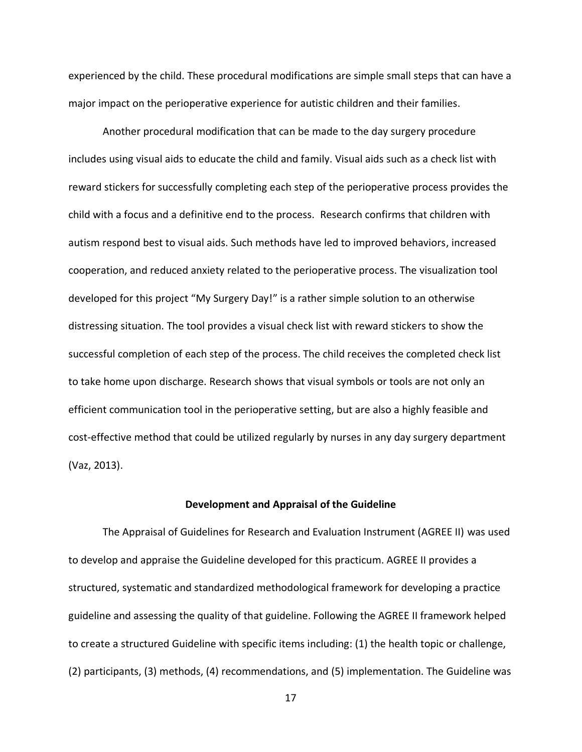experienced by the child. These procedural modifications are simple small steps that can have a major impact on the perioperative experience for autistic children and their families.

Another procedural modification that can be made to the day surgery procedure includes using visual aids to educate the child and family. Visual aids such as a check list with reward stickers for successfully completing each step of the perioperative process provides the child with a focus and a definitive end to the process. Research confirms that children with autism respond best to visual aids. Such methods have led to improved behaviors, increased cooperation, and reduced anxiety related to the perioperative process. The visualization tool developed for this project "My Surgery Day!" is a rather simple solution to an otherwise distressing situation. The tool provides a visual check list with reward stickers to show the successful completion of each step of the process. The child receives the completed check list to take home upon discharge. Research shows that visual symbols or tools are not only an efficient communication tool in the perioperative setting, but are also a highly feasible and cost-effective method that could be utilized regularly by nurses in any day surgery department (Vaz, 2013).

#### **Development and Appraisal of the Guideline**

<span id="page-16-0"></span>The Appraisal of Guidelines for Research and Evaluation Instrument (AGREE II) was used to develop and appraise the Guideline developed for this practicum. AGREE II provides a structured, systematic and standardized methodological framework for developing a practice guideline and assessing the quality of that guideline. Following the AGREE II framework helped to create a structured Guideline with specific items including: (1) the health topic or challenge, (2) participants, (3) methods, (4) recommendations, and (5) implementation. The Guideline was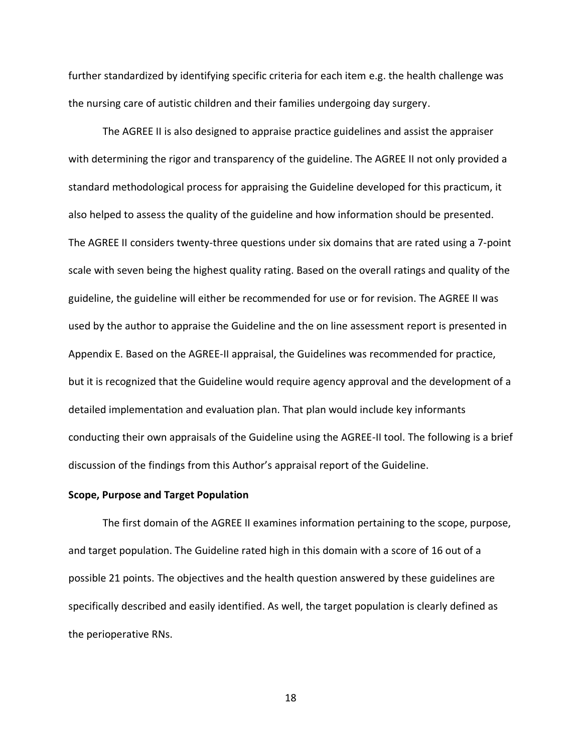further standardized by identifying specific criteria for each item e.g. the health challenge was the nursing care of autistic children and their families undergoing day surgery.

The AGREE II is also designed to appraise practice guidelines and assist the appraiser with determining the rigor and transparency of the guideline. The AGREE II not only provided a standard methodological process for appraising the Guideline developed for this practicum, it also helped to assess the quality of the guideline and how information should be presented. The AGREE II considers twenty-three questions under six domains that are rated using a 7-point scale with seven being the highest quality rating. Based on the overall ratings and quality of the guideline, the guideline will either be recommended for use or for revision. The AGREE II was used by the author to appraise the Guideline and the on line assessment report is presented in Appendix E. Based on the AGREE-II appraisal, the Guidelines was recommended for practice, but it is recognized that the Guideline would require agency approval and the development of a detailed implementation and evaluation plan. That plan would include key informants conducting their own appraisals of the Guideline using the AGREE-II tool. The following is a brief discussion of the findings from this Author's appraisal report of the Guideline.

#### <span id="page-17-0"></span>**Scope, Purpose and Target Population**

The first domain of the AGREE II examines information pertaining to the scope, purpose, and target population. The Guideline rated high in this domain with a score of 16 out of a possible 21 points. The objectives and the health question answered by these guidelines are specifically described and easily identified. As well, the target population is clearly defined as the perioperative RNs.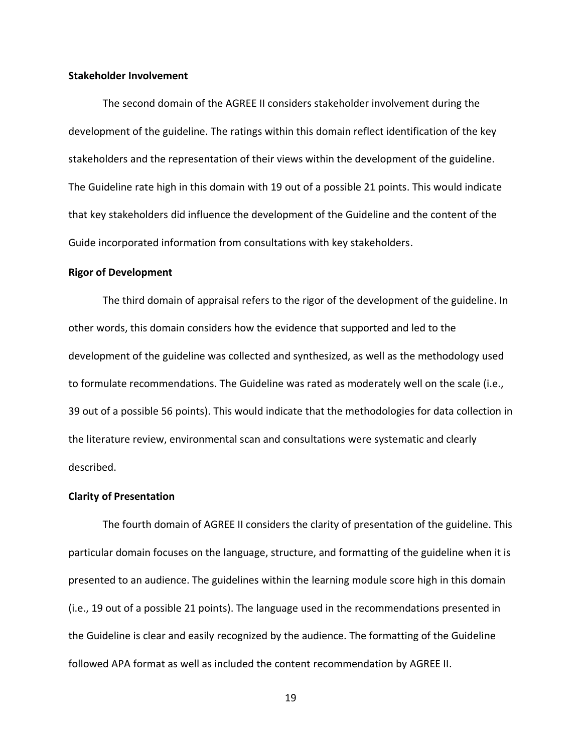### <span id="page-18-0"></span>**Stakeholder Involvement**

The second domain of the AGREE II considers stakeholder involvement during the development of the guideline. The ratings within this domain reflect identification of the key stakeholders and the representation of their views within the development of the guideline. The Guideline rate high in this domain with 19 out of a possible 21 points. This would indicate that key stakeholders did influence the development of the Guideline and the content of the Guide incorporated information from consultations with key stakeholders.

### <span id="page-18-1"></span>**Rigor of Development**

The third domain of appraisal refers to the rigor of the development of the guideline. In other words, this domain considers how the evidence that supported and led to the development of the guideline was collected and synthesized, as well as the methodology used to formulate recommendations. The Guideline was rated as moderately well on the scale (i.e., 39 out of a possible 56 points). This would indicate that the methodologies for data collection in the literature review, environmental scan and consultations were systematic and clearly described.

### <span id="page-18-2"></span>**Clarity of Presentation**

The fourth domain of AGREE II considers the clarity of presentation of the guideline. This particular domain focuses on the language, structure, and formatting of the guideline when it is presented to an audience. The guidelines within the learning module score high in this domain (i.e., 19 out of a possible 21 points). The language used in the recommendations presented in the Guideline is clear and easily recognized by the audience. The formatting of the Guideline followed APA format as well as included the content recommendation by AGREE II.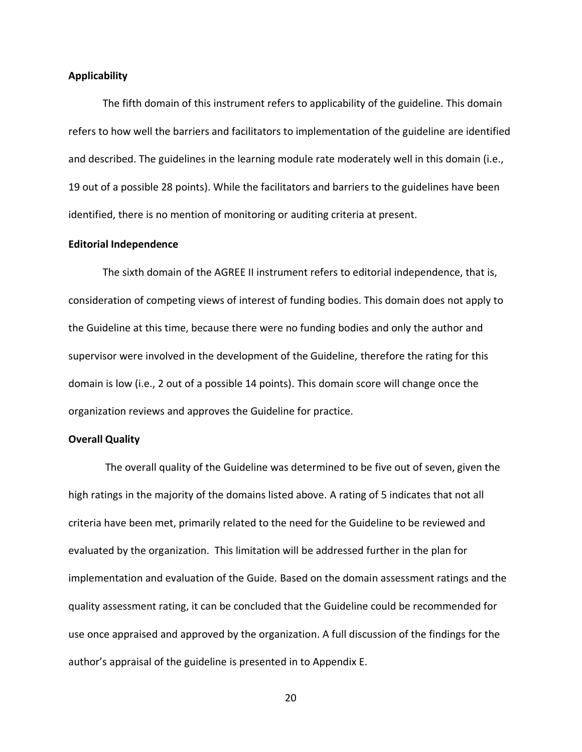#### <span id="page-19-0"></span>**Applicability**

The fifth domain of this instrument refers to applicability of the guideline. This domain refers to how well the barriers and facilitators to implementation of the guideline are identified and described. The guidelines in the learning module rate moderately well in this domain (i.e., 19 out of a possible 28 points). While the facilitators and barriers to the guidelines have been identified, there is no mention of monitoring or auditing criteria at present.

### <span id="page-19-1"></span>**Editorial Independence**

The sixth domain of the AGREE II instrument refers to editorial independence, that is, consideration of competing views of interest of funding bodies. This domain does not apply to the Guideline at this time, because there were no funding bodies and only the author and supervisor were involved in the development of the Guideline, therefore the rating for this domain is low (i.e., 2 out of a possible 14 points). This domain score will change once the organization reviews and approves the Guideline for practice.

## **Overall Quality**

The overall quality of the Guideline was determined to be five out of seven, given the high ratings in the majority of the domains listed above. A rating of 5 indicates that not all criteria have been met, primarily related to the need for the Guideline to be reviewed and evaluated by the organization. This limitation will be addressed further in the plan for implementation and evaluation of the Guide. Based on the domain assessment ratings and the quality assessment rating, it can be concluded that the Guideline could be recommended for use once appraised and approved by the organization. A full discussion of the findings for the author's appraisal of the guideline is presented in to Appendix E.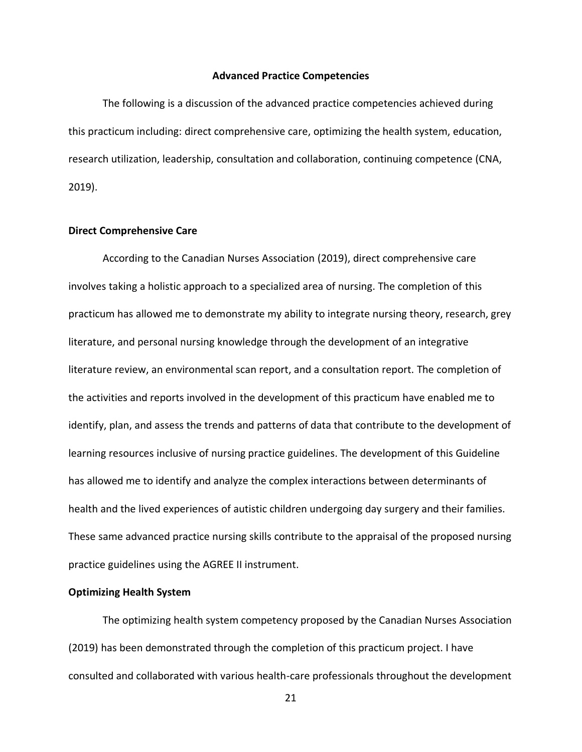#### **Advanced Practice Competencies**

<span id="page-20-0"></span>The following is a discussion of the advanced practice competencies achieved during this practicum including: direct comprehensive care, optimizing the health system, education, research utilization, leadership, consultation and collaboration, continuing competence (CNA, 2019).

### <span id="page-20-1"></span>**Direct Comprehensive Care**

According to the Canadian Nurses Association (2019), direct comprehensive care involves taking a holistic approach to a specialized area of nursing. The completion of this practicum has allowed me to demonstrate my ability to integrate nursing theory, research, grey literature, and personal nursing knowledge through the development of an integrative literature review, an environmental scan report, and a consultation report. The completion of the activities and reports involved in the development of this practicum have enabled me to identify, plan, and assess the trends and patterns of data that contribute to the development of learning resources inclusive of nursing practice guidelines. The development of this Guideline has allowed me to identify and analyze the complex interactions between determinants of health and the lived experiences of autistic children undergoing day surgery and their families. These same advanced practice nursing skills contribute to the appraisal of the proposed nursing practice guidelines using the AGREE II instrument.

### **Optimizing Health System**

The optimizing health system competency proposed by the Canadian Nurses Association (2019) has been demonstrated through the completion of this practicum project. I have consulted and collaborated with various health-care professionals throughout the development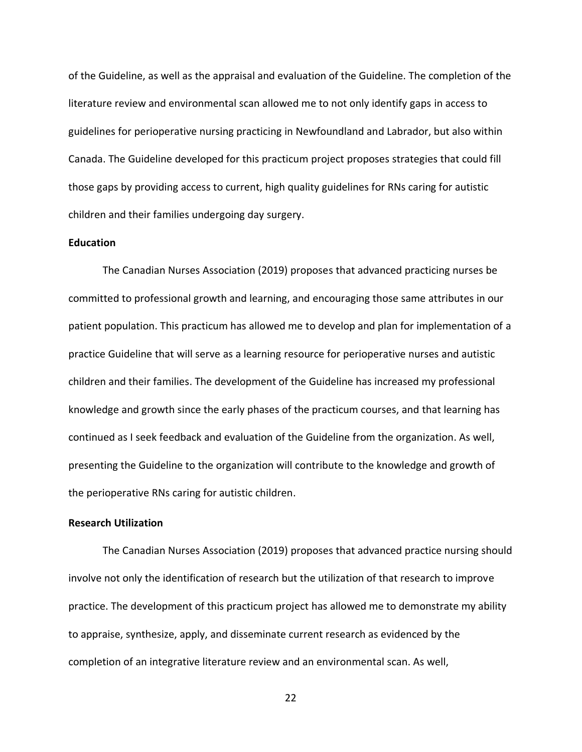of the Guideline, as well as the appraisal and evaluation of the Guideline. The completion of the literature review and environmental scan allowed me to not only identify gaps in access to guidelines for perioperative nursing practicing in Newfoundland and Labrador, but also within Canada. The Guideline developed for this practicum project proposes strategies that could fill those gaps by providing access to current, high quality guidelines for RNs caring for autistic children and their families undergoing day surgery.

#### **Education**

The Canadian Nurses Association (2019) proposes that advanced practicing nurses be committed to professional growth and learning, and encouraging those same attributes in our patient population. This practicum has allowed me to develop and plan for implementation of a practice Guideline that will serve as a learning resource for perioperative nurses and autistic children and their families. The development of the Guideline has increased my professional knowledge and growth since the early phases of the practicum courses, and that learning has continued as I seek feedback and evaluation of the Guideline from the organization. As well, presenting the Guideline to the organization will contribute to the knowledge and growth of the perioperative RNs caring for autistic children.

## <span id="page-21-0"></span>**Research Utilization**

The Canadian Nurses Association (2019) proposes that advanced practice nursing should involve not only the identification of research but the utilization of that research to improve practice. The development of this practicum project has allowed me to demonstrate my ability to appraise, synthesize, apply, and disseminate current research as evidenced by the completion of an integrative literature review and an environmental scan. As well,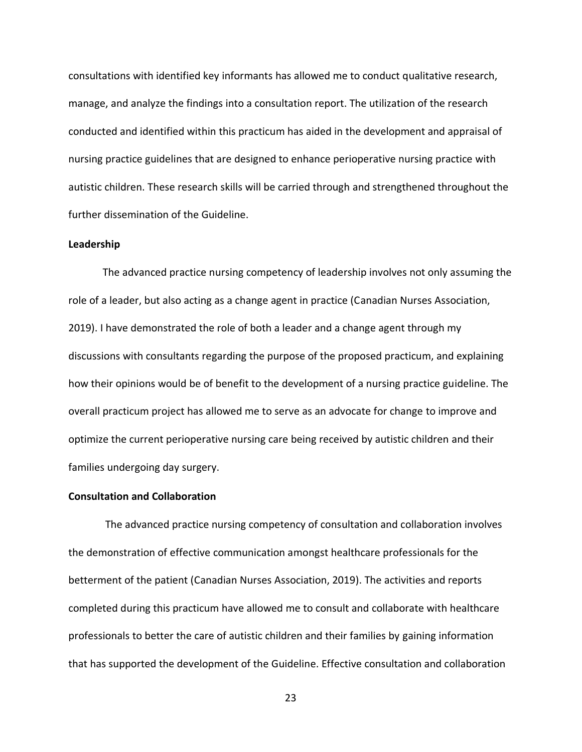consultations with identified key informants has allowed me to conduct qualitative research, manage, and analyze the findings into a consultation report. The utilization of the research conducted and identified within this practicum has aided in the development and appraisal of nursing practice guidelines that are designed to enhance perioperative nursing practice with autistic children. These research skills will be carried through and strengthened throughout the further dissemination of the Guideline.

#### <span id="page-22-0"></span>**Leadership**

The advanced practice nursing competency of leadership involves not only assuming the role of a leader, but also acting as a change agent in practice (Canadian Nurses Association, 2019). I have demonstrated the role of both a leader and a change agent through my discussions with consultants regarding the purpose of the proposed practicum, and explaining how their opinions would be of benefit to the development of a nursing practice guideline. The overall practicum project has allowed me to serve as an advocate for change to improve and optimize the current perioperative nursing care being received by autistic children and their families undergoing day surgery.

#### <span id="page-22-1"></span>**Consultation and Collaboration**

The advanced practice nursing competency of consultation and collaboration involves the demonstration of effective communication amongst healthcare professionals for the betterment of the patient (Canadian Nurses Association, 2019). The activities and reports completed during this practicum have allowed me to consult and collaborate with healthcare professionals to better the care of autistic children and their families by gaining information that has supported the development of the Guideline. Effective consultation and collaboration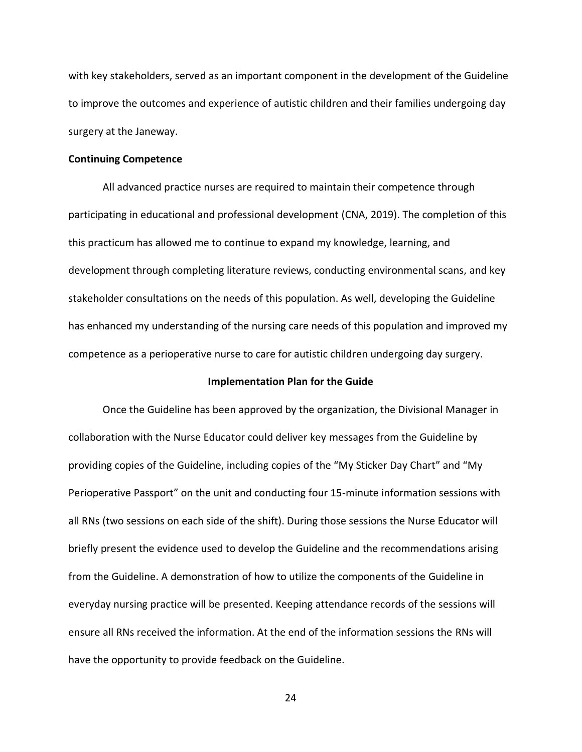with key stakeholders, served as an important component in the development of the Guideline to improve the outcomes and experience of autistic children and their families undergoing day surgery at the Janeway.

#### **Continuing Competence**

All advanced practice nurses are required to maintain their competence through participating in educational and professional development (CNA, 2019). The completion of this this practicum has allowed me to continue to expand my knowledge, learning, and development through completing literature reviews, conducting environmental scans, and key stakeholder consultations on the needs of this population. As well, developing the Guideline has enhanced my understanding of the nursing care needs of this population and improved my competence as a perioperative nurse to care for autistic children undergoing day surgery.

### <span id="page-23-0"></span>**Implementation Plan for the Guide**

Once the Guideline has been approved by the organization, the Divisional Manager in collaboration with the Nurse Educator could deliver key messages from the Guideline by providing copies of the Guideline, including copies of the "My Sticker Day Chart" and "My Perioperative Passport" on the unit and conducting four 15-minute information sessions with all RNs (two sessions on each side of the shift). During those sessions the Nurse Educator will briefly present the evidence used to develop the Guideline and the recommendations arising from the Guideline. A demonstration of how to utilize the components of the Guideline in everyday nursing practice will be presented. Keeping attendance records of the sessions will ensure all RNs received the information. At the end of the information sessions the RNs will have the opportunity to provide feedback on the Guideline.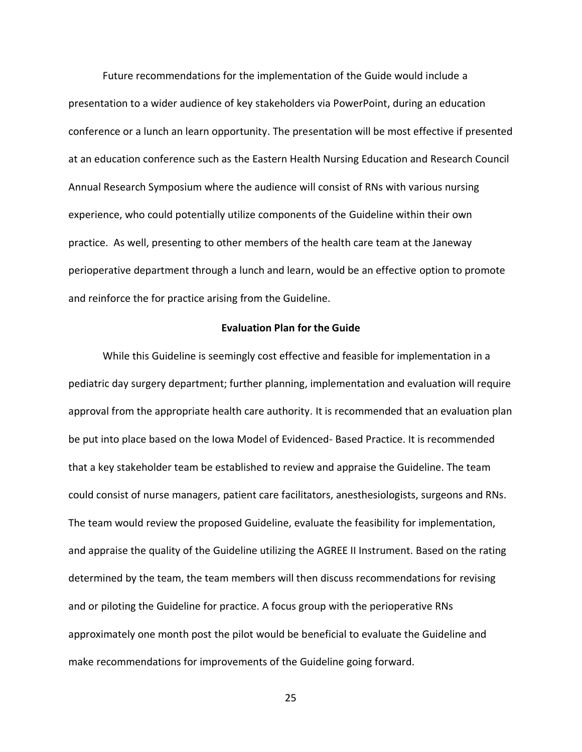Future recommendations for the implementation of the Guide would include a presentation to a wider audience of key stakeholders via PowerPoint, during an education conference or a lunch an learn opportunity. The presentation will be most effective if presented at an education conference such as the Eastern Health Nursing Education and Research Council Annual Research Symposium where the audience will consist of RNs with various nursing experience, who could potentially utilize components of the Guideline within their own practice. As well, presenting to other members of the health care team at the Janeway perioperative department through a lunch and learn, would be an effective option to promote and reinforce the for practice arising from the Guideline.

### **Evaluation Plan for the Guide**

<span id="page-24-0"></span>While this Guideline is seemingly cost effective and feasible for implementation in a pediatric day surgery department; further planning, implementation and evaluation will require approval from the appropriate health care authority. It is recommended that an evaluation plan be put into place based on the Iowa Model of Evidenced- Based Practice. It is recommended that a key stakeholder team be established to review and appraise the Guideline. The team could consist of nurse managers, patient care facilitators, anesthesiologists, surgeons and RNs. The team would review the proposed Guideline, evaluate the feasibility for implementation, and appraise the quality of the Guideline utilizing the AGREE II Instrument. Based on the rating determined by the team, the team members will then discuss recommendations for revising and or piloting the Guideline for practice. A focus group with the perioperative RNs approximately one month post the pilot would be beneficial to evaluate the Guideline and make recommendations for improvements of the Guideline going forward.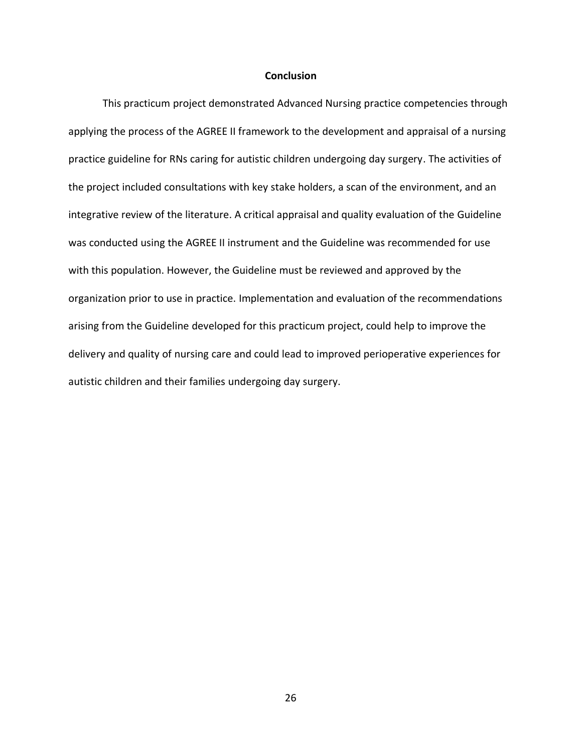### **Conclusion**

<span id="page-25-0"></span>This practicum project demonstrated Advanced Nursing practice competencies through applying the process of the AGREE II framework to the development and appraisal of a nursing practice guideline for RNs caring for autistic children undergoing day surgery. The activities of the project included consultations with key stake holders, a scan of the environment, and an integrative review of the literature. A critical appraisal and quality evaluation of the Guideline was conducted using the AGREE II instrument and the Guideline was recommended for use with this population. However, the Guideline must be reviewed and approved by the organization prior to use in practice. Implementation and evaluation of the recommendations arising from the Guideline developed for this practicum project, could help to improve the delivery and quality of nursing care and could lead to improved perioperative experiences for autistic children and their families undergoing day surgery.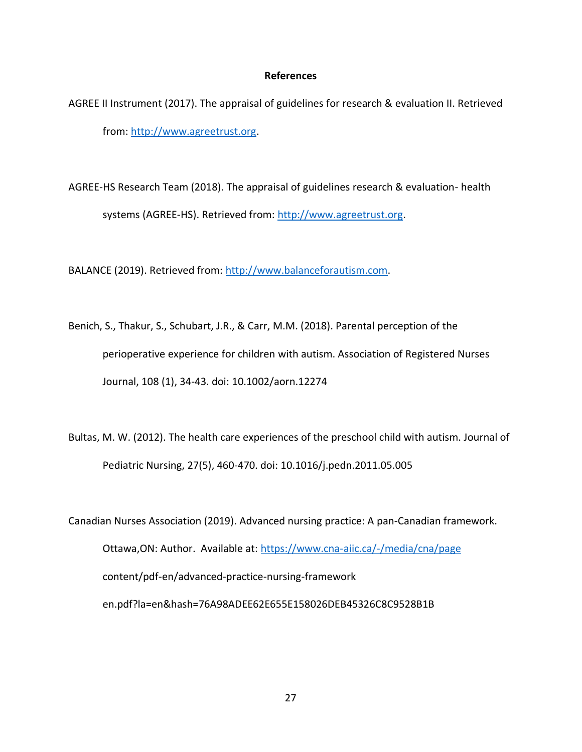### **References**

- <span id="page-26-0"></span>AGREE II Instrument (2017). The appraisal of guidelines for research & evaluation II. Retrieved from: [http://www.agreetrust.org.](http://www.agreetrust.org/)
- AGREE-HS Research Team (2018). The appraisal of guidelines research & evaluation- health systems (AGREE-HS). Retrieved from[: http://www.agreetrust.org.](http://www.agreetrust.org/)

BALANCE (2019). Retrieved from: [http://www.balanceforautism.com.](http://www.balanceforautism.com/)

- Benich, S., Thakur, S., Schubart, J.R., & Carr, M.M. (2018). Parental perception of the perioperative experience for children with autism. Association of Registered Nurses Journal, 108 (1), 34-43. doi: 10.1002/aorn.12274
- Bultas, M. W. (2012). The health care experiences of the preschool child with autism. Journal of Pediatric Nursing, 27(5), 460-470. doi: 10.1016/j.pedn.2011.05.005
- Canadian Nurses Association (2019). Advanced nursing practice: A pan-Canadian framework. Ottawa,ON: Author. Available at:<https://www.cna-aiic.ca/-/media/cna/page> content/pdf-en/advanced-practice-nursing-framework en.pdf?la=en&hash=76A98ADEE62E655E158026DEB45326C8C9528B1B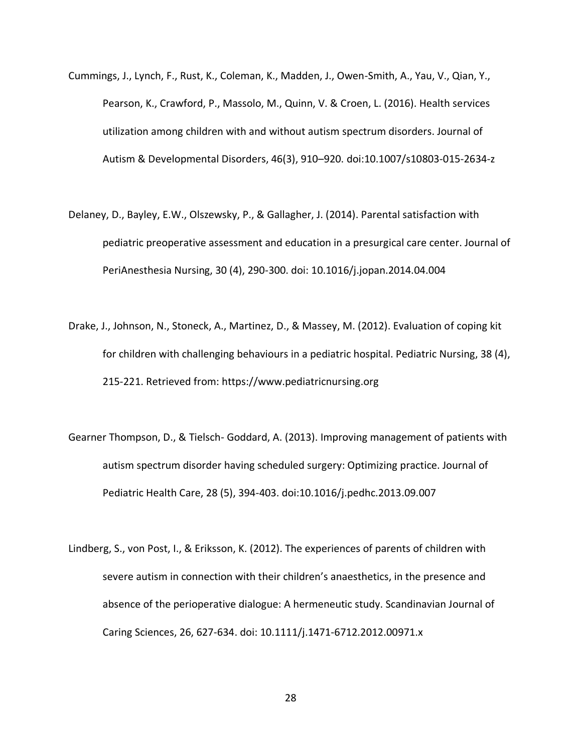- Cummings, J., Lynch, F., Rust, K., Coleman, K., Madden, J., Owen-Smith, A., Yau, V., Qian, Y., Pearson, K., Crawford, P., Massolo, M., Quinn, V. & Croen, L. (2016). Health services utilization among children with and without autism spectrum disorders. Journal of Autism & Developmental Disorders, 46(3), 910–920. doi:10.1007/s10803-015-2634-z
- Delaney, D., Bayley, E.W., Olszewsky, P., & Gallagher, J. (2014). Parental satisfaction with pediatric preoperative assessment and education in a presurgical care center. Journal of PeriAnesthesia Nursing, 30 (4), 290-300. doi: 10.1016/j.jopan.2014.04.004
- Drake, J., Johnson, N., Stoneck, A., Martinez, D., & Massey, M. (2012). Evaluation of coping kit for children with challenging behaviours in a pediatric hospital. Pediatric Nursing, 38 (4), 215-221. Retrieved from: https://www.pediatricnursing.org
- Gearner Thompson, D., & Tielsch- Goddard, A. (2013). Improving management of patients with autism spectrum disorder having scheduled surgery: Optimizing practice. Journal of Pediatric Health Care, 28 (5), 394-403. doi:10.1016/j.pedhc.2013.09.007
- Lindberg, S., von Post, I., & Eriksson, K. (2012). The experiences of parents of children with severe autism in connection with their children's anaesthetics, in the presence and absence of the perioperative dialogue: A hermeneutic study. Scandinavian Journal of Caring Sciences, 26, 627-634. doi: 10.1111/j.1471-6712.2012.00971.x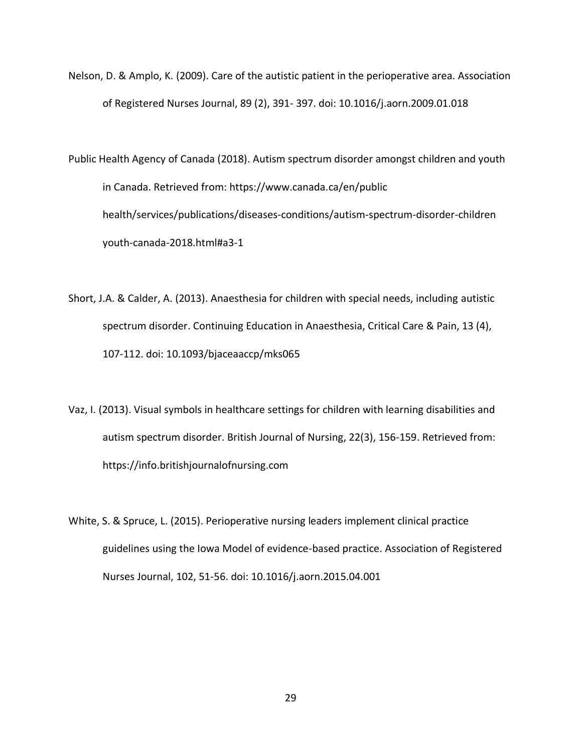Nelson, D. & Amplo, K. (2009). Care of the autistic patient in the perioperative area. Association of Registered Nurses Journal, 89 (2), 391- 397. doi: 10.1016/j.aorn.2009.01.018

Public Health Agency of Canada (2018). Autism spectrum disorder amongst children and youth in Canada. Retrieved from: https://www.canada.ca/en/public health/services/publications/diseases-conditions/autism-spectrum-disorder-children youth-canada-2018.html#a3-1

- Short, J.A. & Calder, A. (2013). Anaesthesia for children with special needs, including autistic spectrum disorder. Continuing Education in Anaesthesia, Critical Care & Pain, 13 (4), 107-112. doi: 10.1093/bjaceaaccp/mks065
- Vaz, I. (2013). Visual symbols in healthcare settings for children with learning disabilities and autism spectrum disorder. British Journal of Nursing, 22(3), 156-159. Retrieved from: https://info.britishjournalofnursing.com
- White, S. & Spruce, L. (2015). Perioperative nursing leaders implement clinical practice guidelines using the Iowa Model of evidence-based practice. Association of Registered Nurses Journal, 102, 51-56. doi: 10.1016/j.aorn.2015.04.001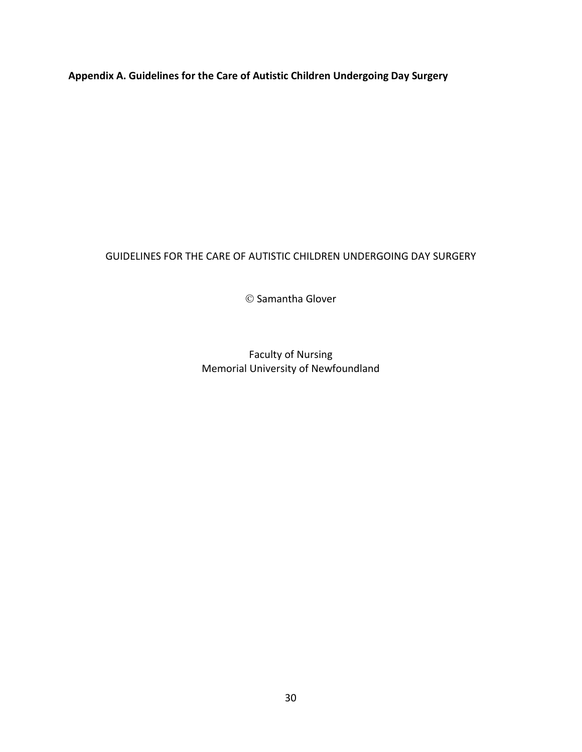<span id="page-29-0"></span>**Appendix A. Guidelines for the Care of Autistic Children Undergoing Day Surgery** 

# GUIDELINES FOR THE CARE OF AUTISTIC CHILDREN UNDERGOING DAY SURGERY

© Samantha Glover

Faculty of Nursing Memorial University of Newfoundland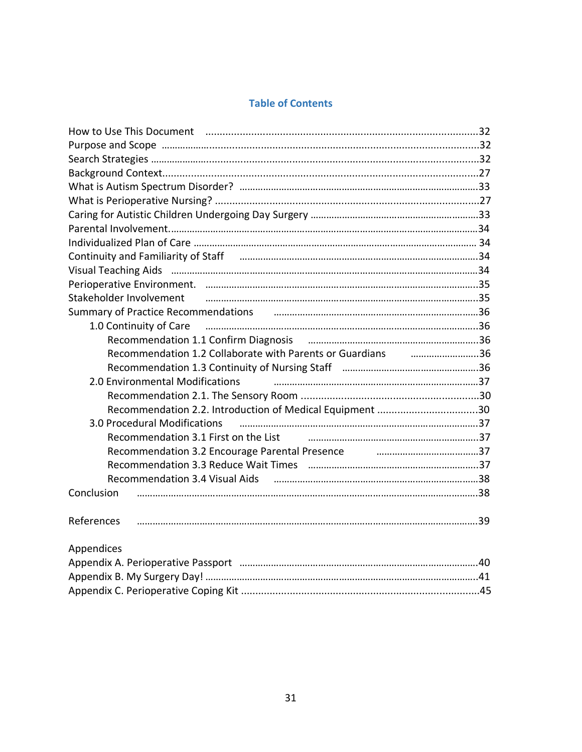# **Table of Contents**

<span id="page-30-0"></span>

| How to Use This Document manufactured and the USA of the USA of the USA of the USA of the USA of the USA of th                                                                                                                 |  |
|--------------------------------------------------------------------------------------------------------------------------------------------------------------------------------------------------------------------------------|--|
|                                                                                                                                                                                                                                |  |
|                                                                                                                                                                                                                                |  |
|                                                                                                                                                                                                                                |  |
|                                                                                                                                                                                                                                |  |
|                                                                                                                                                                                                                                |  |
|                                                                                                                                                                                                                                |  |
|                                                                                                                                                                                                                                |  |
|                                                                                                                                                                                                                                |  |
|                                                                                                                                                                                                                                |  |
|                                                                                                                                                                                                                                |  |
|                                                                                                                                                                                                                                |  |
| Stakeholder Involvement (25) million million and the material material material material material material material material material material material material material material material material material material materia |  |
| Summary of Practice Recommendations и положивательно положивать на таки 36                                                                                                                                                     |  |
| 1.0 Continuity of Care manufactured and the control of Care manufactured and the manufactured and the continuu                                                                                                                 |  |
|                                                                                                                                                                                                                                |  |
| Recommendation 1.2 Collaborate with Parents or Guardians manuminuminuming 36                                                                                                                                                   |  |
|                                                                                                                                                                                                                                |  |
| 2.0 Environmental Modifications                                                                                                                                                                                                |  |
|                                                                                                                                                                                                                                |  |
| Recommendation 2.2. Introduction of Medical Equipment 30                                                                                                                                                                       |  |
| 3.0 Procedural Modifications                                                                                                                                                                                                   |  |
| Recommendation 3.1 First on the List Theorem and the communication 37                                                                                                                                                          |  |
| Recommendation 3.2 Encourage Parental Presence <b>Fig. 2016</b> manuscrims37                                                                                                                                                   |  |
|                                                                                                                                                                                                                                |  |
|                                                                                                                                                                                                                                |  |
| Conclusion                                                                                                                                                                                                                     |  |
| References                                                                                                                                                                                                                     |  |
|                                                                                                                                                                                                                                |  |
| Appendices                                                                                                                                                                                                                     |  |
|                                                                                                                                                                                                                                |  |
|                                                                                                                                                                                                                                |  |
|                                                                                                                                                                                                                                |  |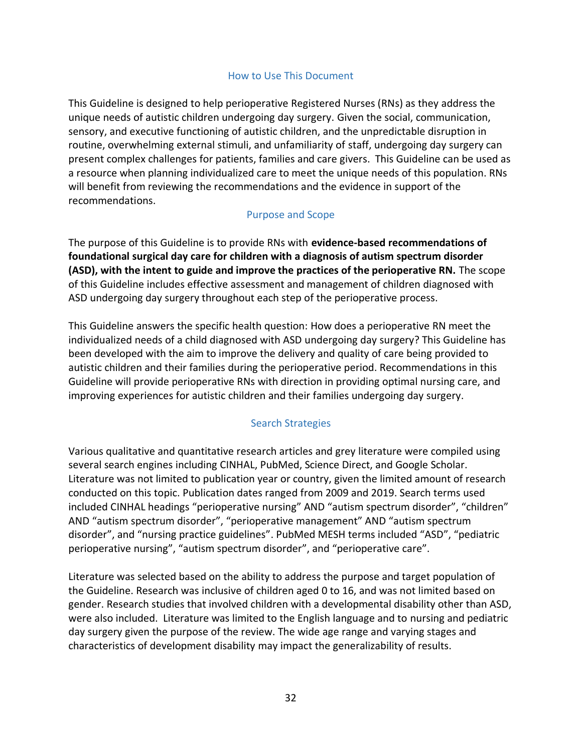## How to Use This Document

This Guideline is designed to help perioperative Registered Nurses (RNs) as they address the unique needs of autistic children undergoing day surgery. Given the social, communication, sensory, and executive functioning of autistic children, and the unpredictable disruption in routine, overwhelming external stimuli, and unfamiliarity of staff, undergoing day surgery can present complex challenges for patients, families and care givers. This Guideline can be used as a resource when planning individualized care to meet the unique needs of this population. RNs will benefit from reviewing the recommendations and the evidence in support of the recommendations.

## Purpose and Scope

The purpose of this Guideline is to provide RNs with **evidence-based recommendations of foundational surgical day care for children with a diagnosis of autism spectrum disorder (ASD), with the intent to guide and improve the practices of the perioperative RN.** The scope of this Guideline includes effective assessment and management of children diagnosed with ASD undergoing day surgery throughout each step of the perioperative process.

This Guideline answers the specific health question: How does a perioperative RN meet the individualized needs of a child diagnosed with ASD undergoing day surgery? This Guideline has been developed with the aim to improve the delivery and quality of care being provided to autistic children and their families during the perioperative period. Recommendations in this Guideline will provide perioperative RNs with direction in providing optimal nursing care, and improving experiences for autistic children and their families undergoing day surgery.

## Search Strategies

Various qualitative and quantitative research articles and grey literature were compiled using several search engines including CINHAL, PubMed, Science Direct, and Google Scholar. Literature was not limited to publication year or country, given the limited amount of research conducted on this topic. Publication dates ranged from 2009 and 2019. Search terms used included CINHAL headings "perioperative nursing" AND "autism spectrum disorder", "children" AND "autism spectrum disorder", "perioperative management" AND "autism spectrum disorder", and "nursing practice guidelines". PubMed MESH terms included "ASD", "pediatric perioperative nursing", "autism spectrum disorder", and "perioperative care".

Literature was selected based on the ability to address the purpose and target population of the Guideline. Research was inclusive of children aged 0 to 16, and was not limited based on gender. Research studies that involved children with a developmental disability other than ASD, were also included. Literature was limited to the English language and to nursing and pediatric day surgery given the purpose of the review. The wide age range and varying stages and characteristics of development disability may impact the generalizability of results.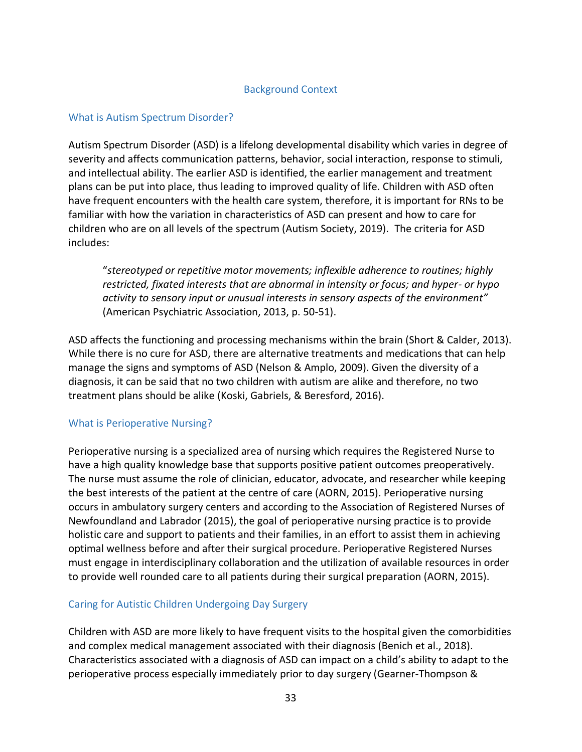## Background Context

## <span id="page-32-0"></span>What is Autism Spectrum Disorder?

Autism Spectrum Disorder (ASD) is a lifelong developmental disability which varies in degree of severity and affects communication patterns, behavior, social interaction, response to stimuli, and intellectual ability. The earlier ASD is identified, the earlier management and treatment plans can be put into place, thus leading to improved quality of life. Children with ASD often have frequent encounters with the health care system, therefore, it is important for RNs to be familiar with how the variation in characteristics of ASD can present and how to care for children who are on all levels of the spectrum (Autism Society, 2019). The criteria for ASD includes:

"*stereotyped or repetitive motor movements; inflexible adherence to routines; highly restricted, fixated interests that are abnormal in intensity or focus; and hyper- or hypo activity to sensory input or unusual interests in sensory aspects of the environment"* (American Psychiatric Association, 2013, p. 50-51).

ASD affects the functioning and processing mechanisms within the brain (Short & Calder, 2013). While there is no cure for ASD, there are alternative treatments and medications that can help manage the signs and symptoms of ASD (Nelson & Amplo, 2009). Given the diversity of a diagnosis, it can be said that no two children with autism are alike and therefore, no two treatment plans should be alike (Koski, Gabriels, & Beresford, 2016).

## What is Perioperative Nursing?

Perioperative nursing is a specialized area of nursing which requires the Registered Nurse to have a high quality knowledge base that supports positive patient outcomes preoperatively. The nurse must assume the role of clinician, educator, advocate, and researcher while keeping the best interests of the patient at the centre of care (AORN, 2015). Perioperative nursing occurs in ambulatory surgery centers and according to the Association of Registered Nurses of Newfoundland and Labrador (2015), the goal of perioperative nursing practice is to provide holistic care and support to patients and their families, in an effort to assist them in achieving optimal wellness before and after their surgical procedure. Perioperative Registered Nurses must engage in interdisciplinary collaboration and the utilization of available resources in order to provide well rounded care to all patients during their surgical preparation (AORN, 2015).

## <span id="page-32-1"></span>Caring for Autistic Children Undergoing Day Surgery

Children with ASD are more likely to have frequent visits to the hospital given the comorbidities and complex medical management associated with their diagnosis (Benich et al., 2018). Characteristics associated with a diagnosis of ASD can impact on a child's ability to adapt to the perioperative process especially immediately prior to day surgery (Gearner-Thompson &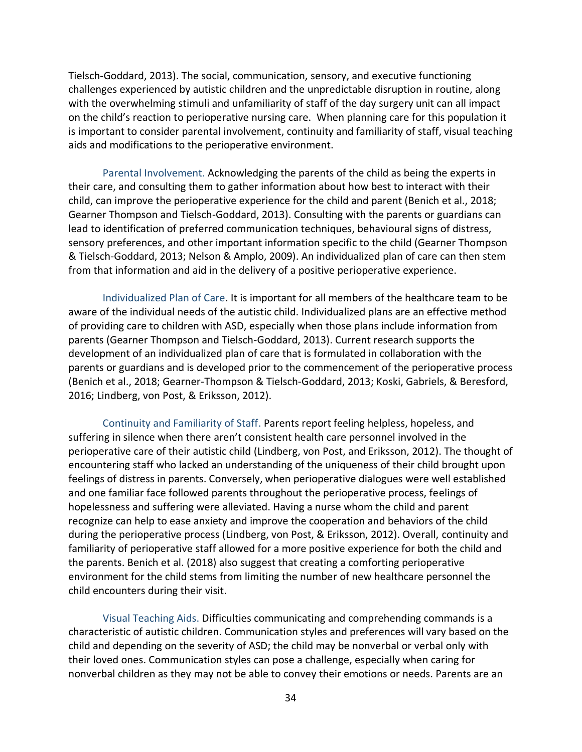Tielsch-Goddard, 2013). The social, communication, sensory, and executive functioning challenges experienced by autistic children and the unpredictable disruption in routine, along with the overwhelming stimuli and unfamiliarity of staff of the day surgery unit can all impact on the child's reaction to perioperative nursing care. When planning care for this population it is important to consider parental involvement, continuity and familiarity of staff, visual teaching aids and modifications to the perioperative environment.

<span id="page-33-0"></span>Parental Involvement. Acknowledging the parents of the child as being the experts in their care, and consulting them to gather information about how best to interact with their child, can improve the perioperative experience for the child and parent (Benich et al., 2018; Gearner Thompson and Tielsch-Goddard, 2013). Consulting with the parents or guardians can lead to identification of preferred communication techniques, behavioural signs of distress, sensory preferences, and other important information specific to the child (Gearner Thompson & Tielsch-Goddard, 2013; Nelson & Amplo, 2009). An individualized plan of care can then stem from that information and aid in the delivery of a positive perioperative experience.

<span id="page-33-1"></span>Individualized Plan of Care. It is important for all members of the healthcare team to be aware of the individual needs of the autistic child. Individualized plans are an effective method of providing care to children with ASD, especially when those plans include information from parents (Gearner Thompson and Tielsch-Goddard, 2013). Current research supports the development of an individualized plan of care that is formulated in collaboration with the parents or guardians and is developed prior to the commencement of the perioperative process (Benich et al., 2018; Gearner-Thompson & Tielsch-Goddard, 2013; Koski, Gabriels, & Beresford, 2016; Lindberg, von Post, & Eriksson, 2012).

<span id="page-33-2"></span>Continuity and Familiarity of Staff. Parents report feeling helpless, hopeless, and suffering in silence when there aren't consistent health care personnel involved in the perioperative care of their autistic child (Lindberg, von Post, and Eriksson, 2012). The thought of encountering staff who lacked an understanding of the uniqueness of their child brought upon feelings of distress in parents. Conversely, when perioperative dialogues were well established and one familiar face followed parents throughout the perioperative process, feelings of hopelessness and suffering were alleviated. Having a nurse whom the child and parent recognize can help to ease anxiety and improve the cooperation and behaviors of the child during the perioperative process (Lindberg, von Post, & Eriksson, 2012). Overall, continuity and familiarity of perioperative staff allowed for a more positive experience for both the child and the parents. Benich et al. (2018) also suggest that creating a comforting perioperative environment for the child stems from limiting the number of new healthcare personnel the child encounters during their visit.

<span id="page-33-3"></span>Visual Teaching Aids. Difficulties communicating and comprehending commands is a characteristic of autistic children. Communication styles and preferences will vary based on the child and depending on the severity of ASD; the child may be nonverbal or verbal only with their loved ones. Communication styles can pose a challenge, especially when caring for nonverbal children as they may not be able to convey their emotions or needs. Parents are an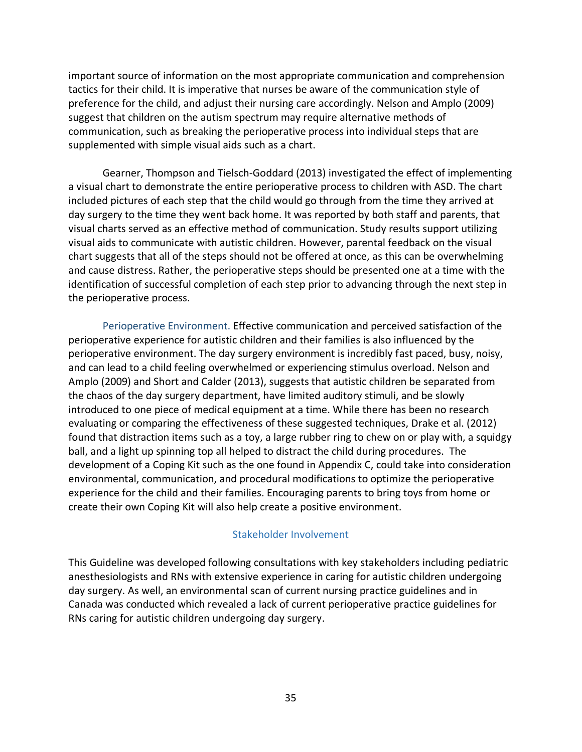important source of information on the most appropriate communication and comprehension tactics for their child. It is imperative that nurses be aware of the communication style of preference for the child, and adjust their nursing care accordingly. Nelson and Amplo (2009) suggest that children on the autism spectrum may require alternative methods of communication, such as breaking the perioperative process into individual steps that are supplemented with simple visual aids such as a chart.

Gearner, Thompson and Tielsch-Goddard (2013) investigated the effect of implementing a visual chart to demonstrate the entire perioperative process to children with ASD. The chart included pictures of each step that the child would go through from the time they arrived at day surgery to the time they went back home. It was reported by both staff and parents, that visual charts served as an effective method of communication. Study results support utilizing visual aids to communicate with autistic children. However, parental feedback on the visual chart suggests that all of the steps should not be offered at once, as this can be overwhelming and cause distress. Rather, the perioperative steps should be presented one at a time with the identification of successful completion of each step prior to advancing through the next step in the perioperative process.

<span id="page-34-0"></span>Perioperative Environment. Effective communication and perceived satisfaction of the perioperative experience for autistic children and their families is also influenced by the perioperative environment. The day surgery environment is incredibly fast paced, busy, noisy, and can lead to a child feeling overwhelmed or experiencing stimulus overload. Nelson and Amplo (2009) and Short and Calder (2013), suggests that autistic children be separated from the chaos of the day surgery department, have limited auditory stimuli, and be slowly introduced to one piece of medical equipment at a time. While there has been no research evaluating or comparing the effectiveness of these suggested techniques, Drake et al. (2012) found that distraction items such as a toy, a large rubber ring to chew on or play with, a squidgy ball, and a light up spinning top all helped to distract the child during procedures. The development of a Coping Kit such as the one found in Appendix C, could take into consideration environmental, communication, and procedural modifications to optimize the perioperative experience for the child and their families. Encouraging parents to bring toys from home or create their own Coping Kit will also help create a positive environment.

## Stakeholder Involvement

<span id="page-34-1"></span>This Guideline was developed following consultations with key stakeholders including pediatric anesthesiologists and RNs with extensive experience in caring for autistic children undergoing day surgery. As well, an environmental scan of current nursing practice guidelines and in Canada was conducted which revealed a lack of current perioperative practice guidelines for RNs caring for autistic children undergoing day surgery.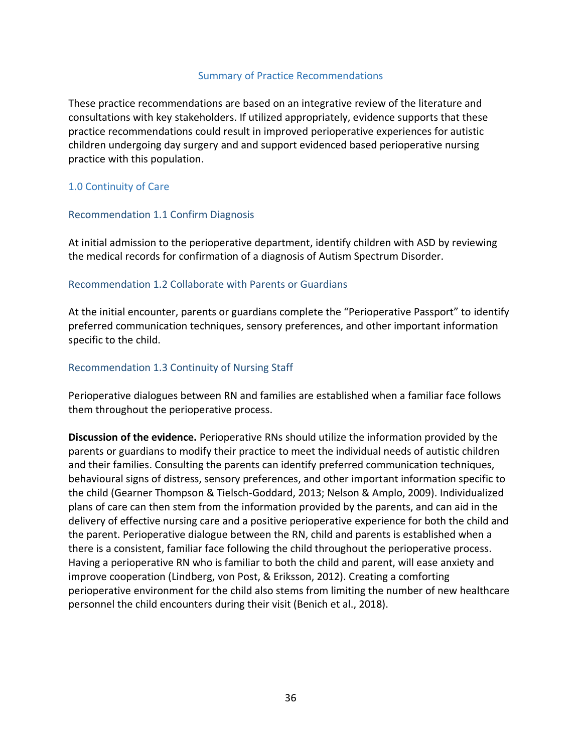## Summary of Practice Recommendations

<span id="page-35-0"></span>These practice recommendations are based on an integrative review of the literature and consultations with key stakeholders. If utilized appropriately, evidence supports that these practice recommendations could result in improved perioperative experiences for autistic children undergoing day surgery and and support evidenced based perioperative nursing practice with this population.

## <span id="page-35-1"></span>1.0 Continuity of Care

## <span id="page-35-2"></span>Recommendation 1.1 Confirm Diagnosis

At initial admission to the perioperative department, identify children with ASD by reviewing the medical records for confirmation of a diagnosis of Autism Spectrum Disorder.

## <span id="page-35-3"></span>Recommendation 1.2 Collaborate with Parents or Guardians

At the initial encounter, parents or guardians complete the "Perioperative Passport" to identify preferred communication techniques, sensory preferences, and other important information specific to the child.

## <span id="page-35-4"></span>Recommendation 1.3 Continuity of Nursing Staff

Perioperative dialogues between RN and families are established when a familiar face follows them throughout the perioperative process.

<span id="page-35-5"></span>**Discussion of the evidence.** Perioperative RNs should utilize the information provided by the parents or guardians to modify their practice to meet the individual needs of autistic children and their families. Consulting the parents can identify preferred communication techniques, behavioural signs of distress, sensory preferences, and other important information specific to the child (Gearner Thompson & Tielsch-Goddard, 2013; Nelson & Amplo, 2009). Individualized plans of care can then stem from the information provided by the parents, and can aid in the delivery of effective nursing care and a positive perioperative experience for both the child and the parent. Perioperative dialogue between the RN, child and parents is established when a there is a consistent, familiar face following the child throughout the perioperative process. Having a perioperative RN who is familiar to both the child and parent, will ease anxiety and improve cooperation (Lindberg, von Post, & Eriksson, 2012). Creating a comforting perioperative environment for the child also stems from limiting the number of new healthcare personnel the child encounters during their visit (Benich et al., 2018).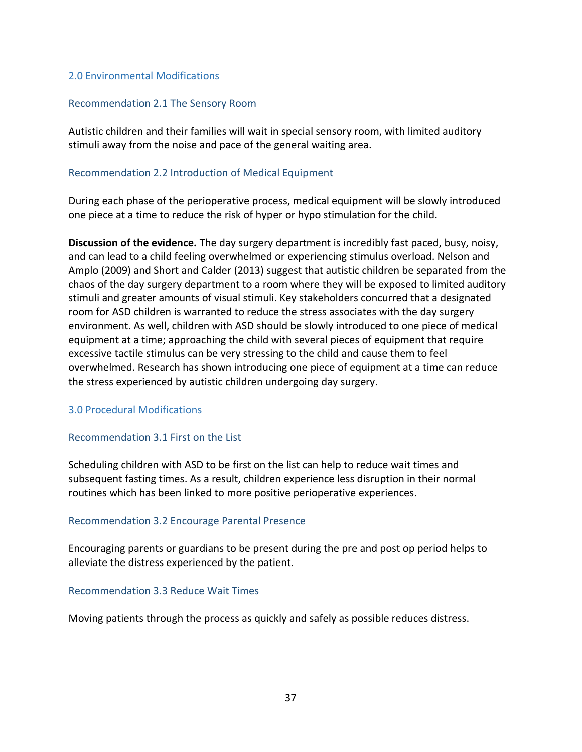## 2.0 Environmental Modifications

### Recommendation 2.1 The Sensory Room

Autistic children and their families will wait in special sensory room, with limited auditory stimuli away from the noise and pace of the general waiting area.

## Recommendation 2.2 Introduction of Medical Equipment

During each phase of the perioperative process, medical equipment will be slowly introduced one piece at a time to reduce the risk of hyper or hypo stimulation for the child.

**Discussion of the evidence.** The day surgery department is incredibly fast paced, busy, noisy, and can lead to a child feeling overwhelmed or experiencing stimulus overload. Nelson and Amplo (2009) and Short and Calder (2013) suggest that autistic children be separated from the chaos of the day surgery department to a room where they will be exposed to limited auditory stimuli and greater amounts of visual stimuli. Key stakeholders concurred that a designated room for ASD children is warranted to reduce the stress associates with the day surgery environment. As well, children with ASD should be slowly introduced to one piece of medical equipment at a time; approaching the child with several pieces of equipment that require excessive tactile stimulus can be very stressing to the child and cause them to feel overwhelmed. Research has shown introducing one piece of equipment at a time can reduce the stress experienced by autistic children undergoing day surgery.

## 3.0 Procedural Modifications

## Recommendation 3.1 First on the List

Scheduling children with ASD to be first on the list can help to reduce wait times and subsequent fasting times. As a result, children experience less disruption in their normal routines which has been linked to more positive perioperative experiences.

## Recommendation 3.2 Encourage Parental Presence

Encouraging parents or guardians to be present during the pre and post op period helps to alleviate the distress experienced by the patient.

## Recommendation 3.3 Reduce Wait Times

Moving patients through the process as quickly and safely as possible reduces distress.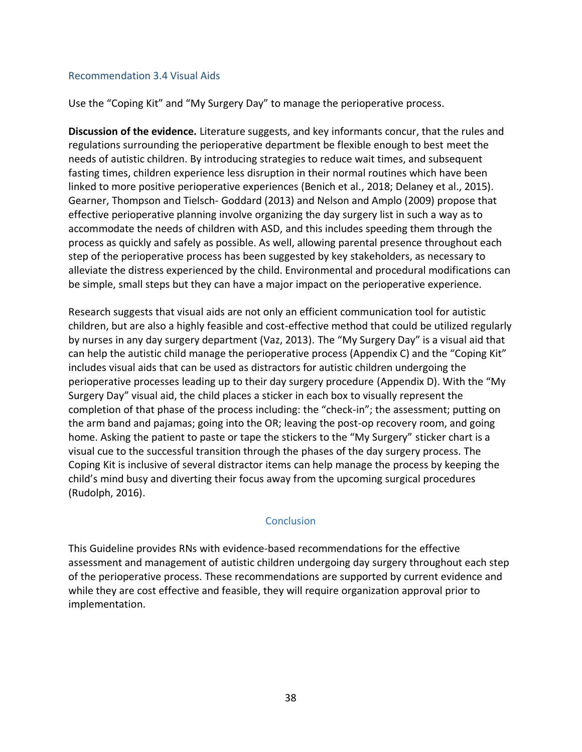### Recommendation 3.4 Visual Aids

Use the "Coping Kit" and "My Surgery Day" to manage the perioperative process.

**Discussion of the evidence.** Literature suggests, and key informants concur, that the rules and regulations surrounding the perioperative department be flexible enough to best meet the needs of autistic children. By introducing strategies to reduce wait times, and subsequent fasting times, children experience less disruption in their normal routines which have been linked to more positive perioperative experiences (Benich et al., 2018; Delaney et al., 2015). Gearner, Thompson and Tielsch- Goddard (2013) and Nelson and Amplo (2009) propose that effective perioperative planning involve organizing the day surgery list in such a way as to accommodate the needs of children with ASD, and this includes speeding them through the process as quickly and safely as possible. As well, allowing parental presence throughout each step of the perioperative process has been suggested by key stakeholders, as necessary to alleviate the distress experienced by the child. Environmental and procedural modifications can be simple, small steps but they can have a major impact on the perioperative experience.

Research suggests that visual aids are not only an efficient communication tool for autistic children, but are also a highly feasible and cost-effective method that could be utilized regularly by nurses in any day surgery department (Vaz, 2013). The "My Surgery Day" is a visual aid that can help the autistic child manage the perioperative process (Appendix C) and the "Coping Kit" includes visual aids that can be used as distractors for autistic children undergoing the perioperative processes leading up to their day surgery procedure (Appendix D). With the "My Surgery Day" visual aid, the child places a sticker in each box to visually represent the completion of that phase of the process including: the "check-in"; the assessment; putting on the arm band and pajamas; going into the OR; leaving the post-op recovery room, and going home. Asking the patient to paste or tape the stickers to the "My Surgery" sticker chart is a visual cue to the successful transition through the phases of the day surgery process. The Coping Kit is inclusive of several distractor items can help manage the process by keeping the child's mind busy and diverting their focus away from the upcoming surgical procedures (Rudolph, 2016).

## **Conclusion**

This Guideline provides RNs with evidence-based recommendations for the effective assessment and management of autistic children undergoing day surgery throughout each step of the perioperative process. These recommendations are supported by current evidence and while they are cost effective and feasible, they will require organization approval prior to implementation.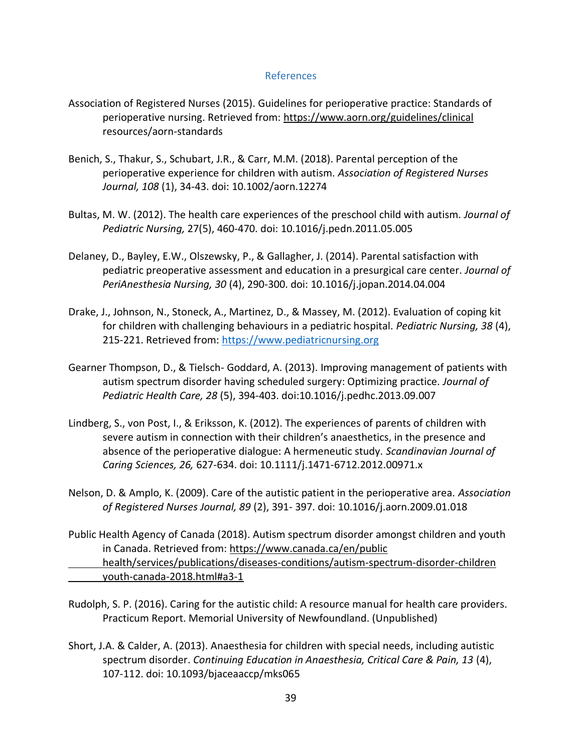### References

- Association of Registered Nurses (2015). Guidelines for perioperative practice: Standards of perioperative nursing. Retrieved from:<https://www.aorn.org/guidelines/clinical> resources/aorn-standards
- Benich, S., Thakur, S., Schubart, J.R., & Carr, M.M. (2018). Parental perception of the perioperative experience for children with autism. *Association of Registered Nurses Journal, 108* (1), 34-43. doi: 10.1002/aorn.12274
- Bultas, M. W. (2012). The health care experiences of the preschool child with autism. *Journal of Pediatric Nursing,* 27(5), 460-470. doi: 10.1016/j.pedn.2011.05.005
- Delaney, D., Bayley, E.W., Olszewsky, P., & Gallagher, J. (2014). Parental satisfaction with pediatric preoperative assessment and education in a presurgical care center. *Journal of PeriAnesthesia Nursing, 30* (4), 290-300. doi: 10.1016/j.jopan.2014.04.004
- Drake, J., Johnson, N., Stoneck, A., Martinez, D., & Massey, M. (2012). Evaluation of coping kit for children with challenging behaviours in a pediatric hospital. *Pediatric Nursing, 38* (4), 215-221. Retrieved from: [https://www.pediatricnursing.org](https://www.pediatricnursing.org/)
- Gearner Thompson, D., & Tielsch- Goddard, A. (2013). Improving management of patients with autism spectrum disorder having scheduled surgery: Optimizing practice. *Journal of Pediatric Health Care, 28* (5), 394-403. doi:10.1016/j.pedhc.2013.09.007
- Lindberg, S., von Post, I., & Eriksson, K. (2012). The experiences of parents of children with severe autism in connection with their children's anaesthetics, in the presence and absence of the perioperative dialogue: A hermeneutic study. *Scandinavian Journal of Caring Sciences, 26,* 627-634. doi: 10.1111/j.1471-6712.2012.00971.x
- Nelson, D. & Amplo, K. (2009). Care of the autistic patient in the perioperative area. *Association of Registered Nurses Journal, 89* (2), 391- 397. doi: 10.1016/j.aorn.2009.01.018
- Public Health Agency of Canada (2018). Autism spectrum disorder amongst children and youth in Canada. Retrieved from: [https://www.canada.ca/en/public](https://www.canada.ca/en/public%09health/services/publications/diseases-conditions/autism-spectrum-disorder-children%09youth-canada-2018.html#a3-1) [health/services/publications/diseases-conditions/autism-spectrum-disorder-children](https://www.canada.ca/en/public%09health/services/publications/diseases-conditions/autism-spectrum-disorder-children%09youth-canada-2018.html#a3-1) [youth-canada-2018.html#a3-1](https://www.canada.ca/en/public%09health/services/publications/diseases-conditions/autism-spectrum-disorder-children%09youth-canada-2018.html#a3-1)
- Rudolph, S. P. (2016). Caring for the autistic child: A resource manual for health care providers. Practicum Report. Memorial University of Newfoundland. (Unpublished)
- Short, J.A. & Calder, A. (2013). Anaesthesia for children with special needs, including autistic spectrum disorder. *Continuing Education in Anaesthesia, Critical Care & Pain, 13* (4), 107-112. doi: 10.1093/bjaceaaccp/mks065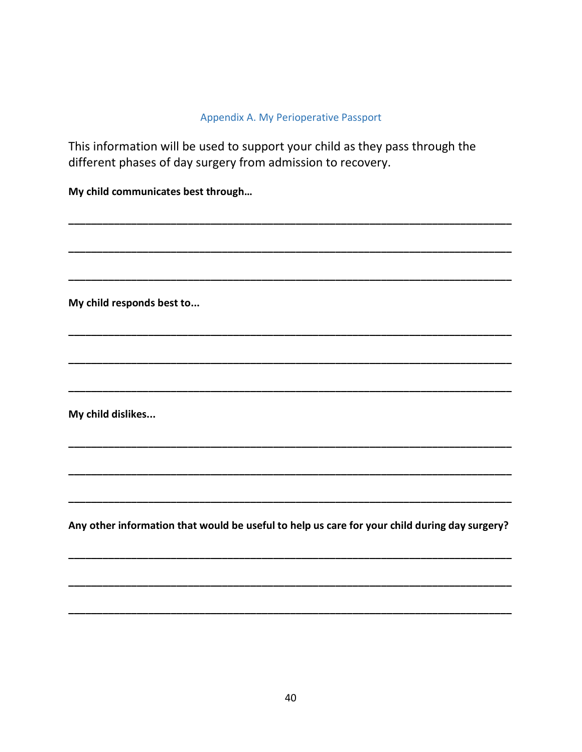# Appendix A. My Perioperative Passport

This information will be used to support your child as they pass through the different phases of day surgery from admission to recovery.

My child communicates best through...

My child responds best to...

My child dislikes...

Any other information that would be useful to help us care for your child during day surgery?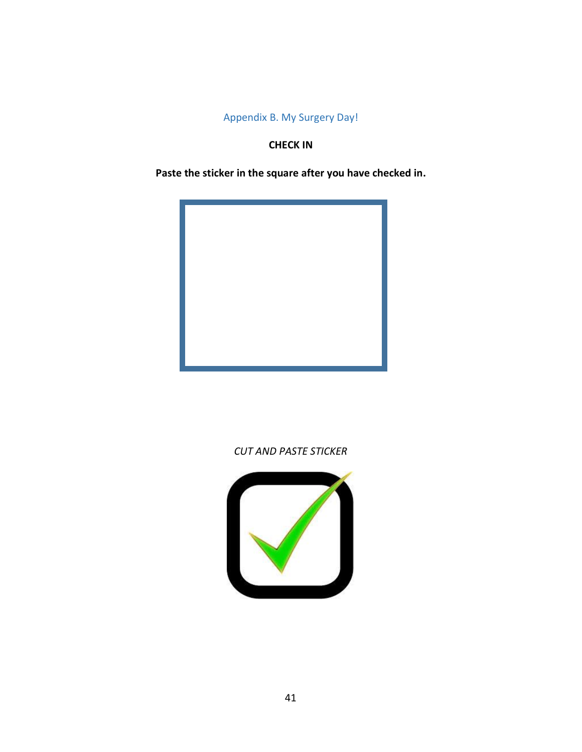Appendix B. My Surgery Day!

## **CHECK IN**

**Paste the sticker in the square after you have checked in.**



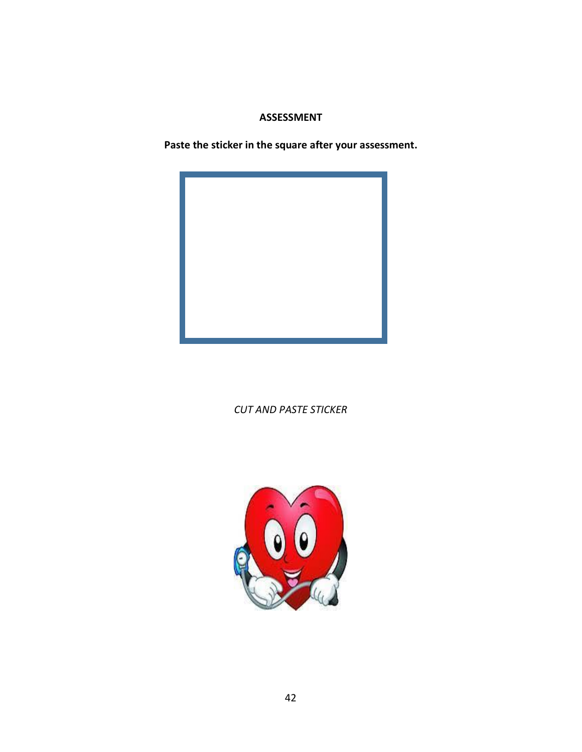# **ASSESSMENT**

**Paste the sticker in the square after your assessment.**



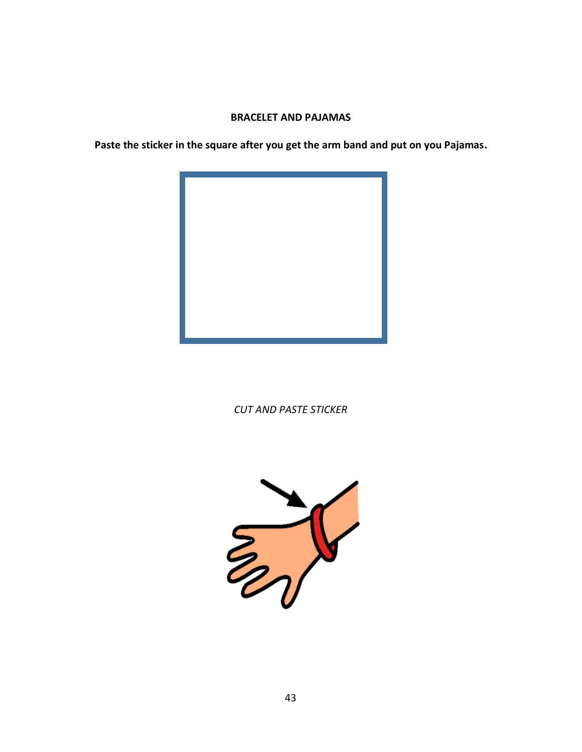## **BRACELET AND PAJAMAS**

**Paste the sticker in the square after you get the arm band and put on you Pajamas.**



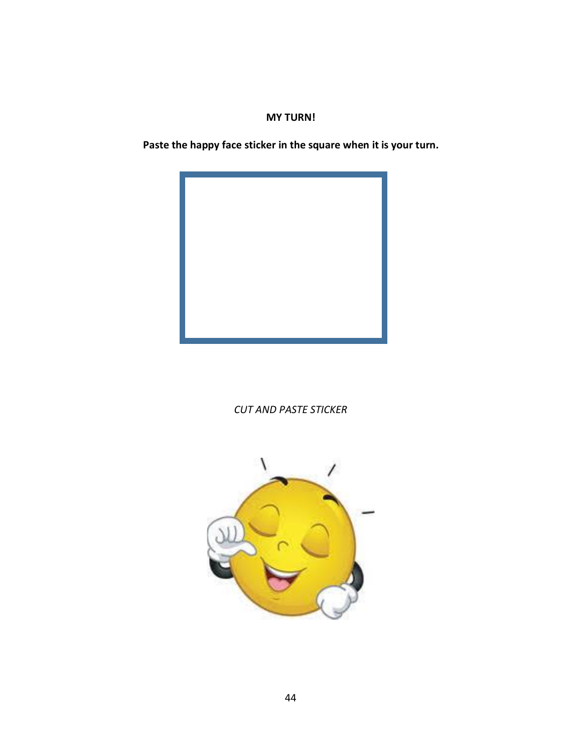# **MY TURN!**

**Paste the happy face sticker in the square when it is your turn.**



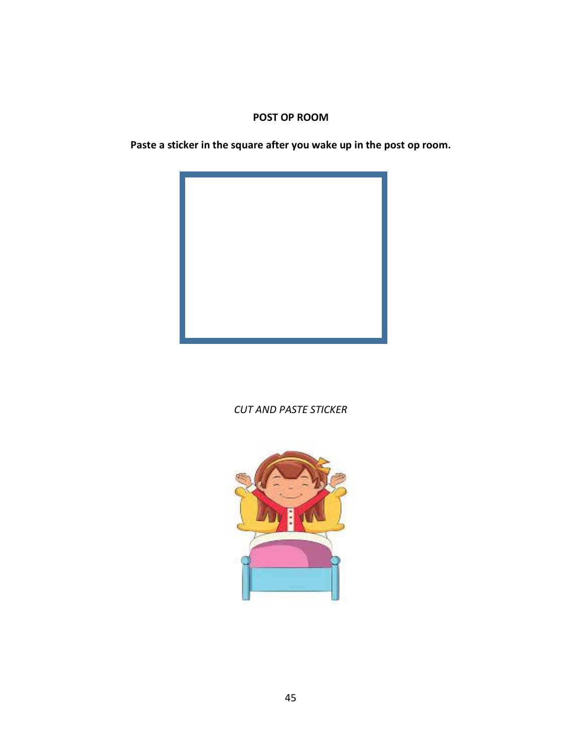## **POST OP ROOM**

**Paste a sticker in the square after you wake up in the post op room.** 



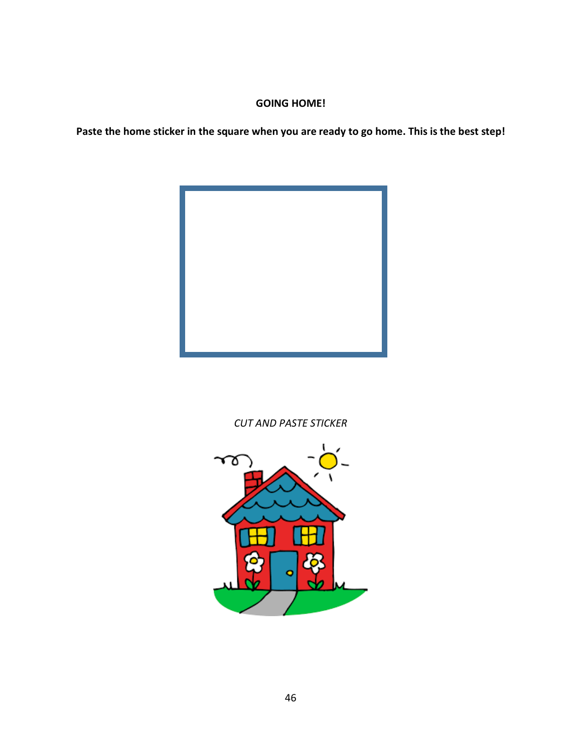# **GOING HOME!**

**Paste the home sticker in the square when you are ready to go home. This is the best step!**



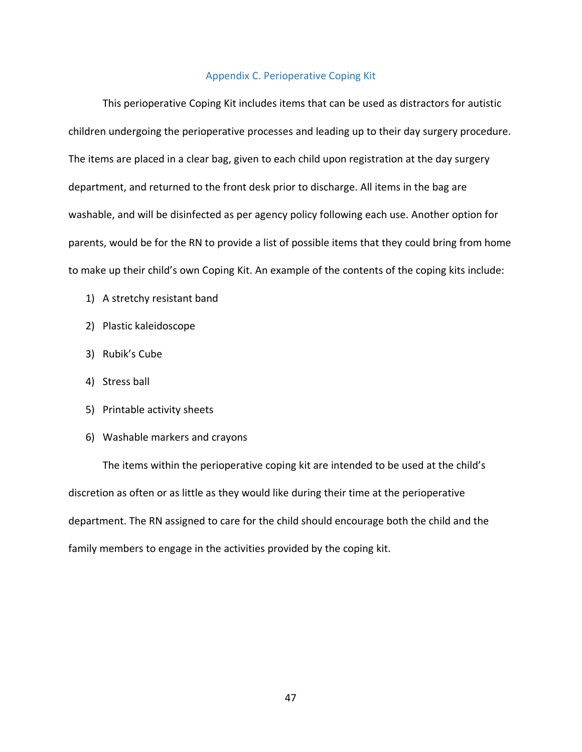### Appendix C. Perioperative Coping Kit

This perioperative Coping Kit includes items that can be used as distractors for autistic children undergoing the perioperative processes and leading up to their day surgery procedure. The items are placed in a clear bag, given to each child upon registration at the day surgery department, and returned to the front desk prior to discharge. All items in the bag are washable, and will be disinfected as per agency policy following each use. Another option for parents, would be for the RN to provide a list of possible items that they could bring from home to make up their child's own Coping Kit. An example of the contents of the coping kits include:

- 1) A stretchy resistant band
- 2) Plastic kaleidoscope
- 3) Rubik's Cube
- 4) Stress ball
- 5) Printable activity sheets
- 6) Washable markers and crayons

The items within the perioperative coping kit are intended to be used at the child's discretion as often or as little as they would like during their time at the perioperative department. The RN assigned to care for the child should encourage both the child and the family members to engage in the activities provided by the coping kit.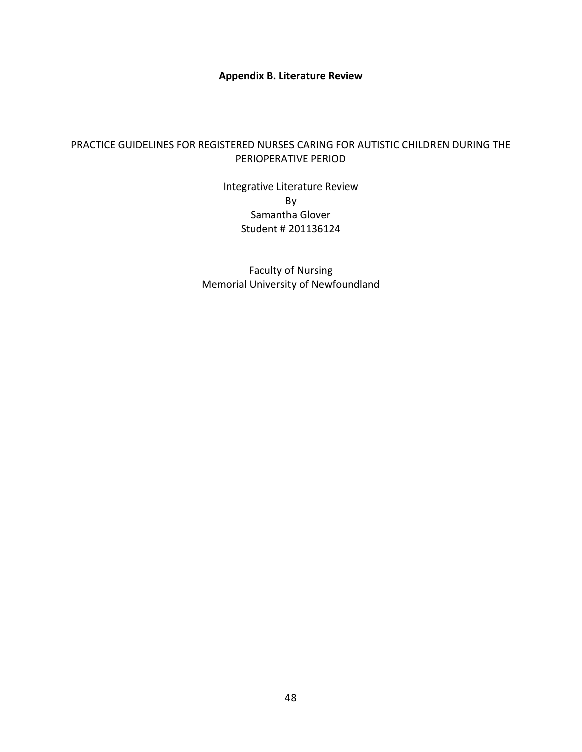**Appendix B. Literature Review**

## PRACTICE GUIDELINES FOR REGISTERED NURSES CARING FOR AUTISTIC CHILDREN DURING THE PERIOPERATIVE PERIOD

Integrative Literature Review By Samantha Glover Student # 201136124

Faculty of Nursing Memorial University of Newfoundland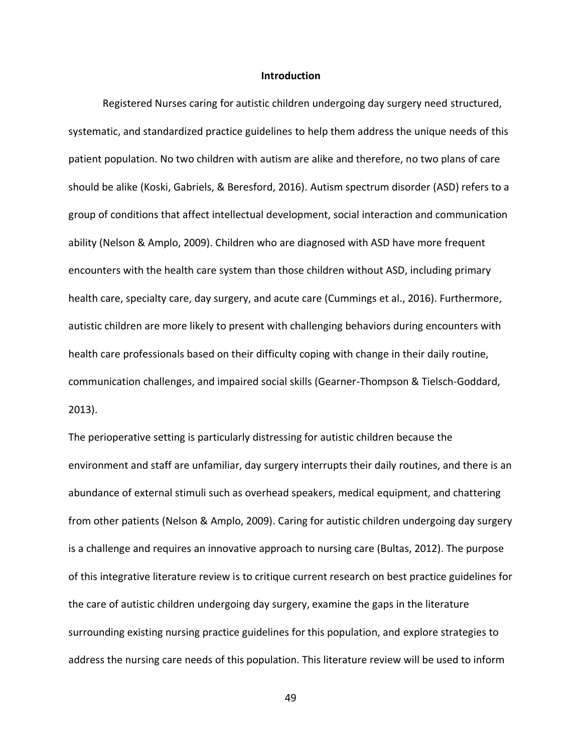#### **Introduction**

Registered Nurses caring for autistic children undergoing day surgery need structured, systematic, and standardized practice guidelines to help them address the unique needs of this patient population. No two children with autism are alike and therefore, no two plans of care should be alike (Koski, Gabriels, & Beresford, 2016). Autism spectrum disorder (ASD) refers to a group of conditions that affect intellectual development, social interaction and communication ability (Nelson & Amplo, 2009). Children who are diagnosed with ASD have more frequent encounters with the health care system than those children without ASD, including primary health care, specialty care, day surgery, and acute care (Cummings et al., 2016). Furthermore, autistic children are more likely to present with challenging behaviors during encounters with health care professionals based on their difficulty coping with change in their daily routine, communication challenges, and impaired social skills (Gearner-Thompson & Tielsch-Goddard, 2013).

The perioperative setting is particularly distressing for autistic children because the environment and staff are unfamiliar, day surgery interrupts their daily routines, and there is an abundance of external stimuli such as overhead speakers, medical equipment, and chattering from other patients (Nelson & Amplo, 2009). Caring for autistic children undergoing day surgery is a challenge and requires an innovative approach to nursing care (Bultas, 2012). The purpose of this integrative literature review is to critique current research on best practice guidelines for the care of autistic children undergoing day surgery, examine the gaps in the literature surrounding existing nursing practice guidelines for this population, and explore strategies to address the nursing care needs of this population. This literature review will be used to inform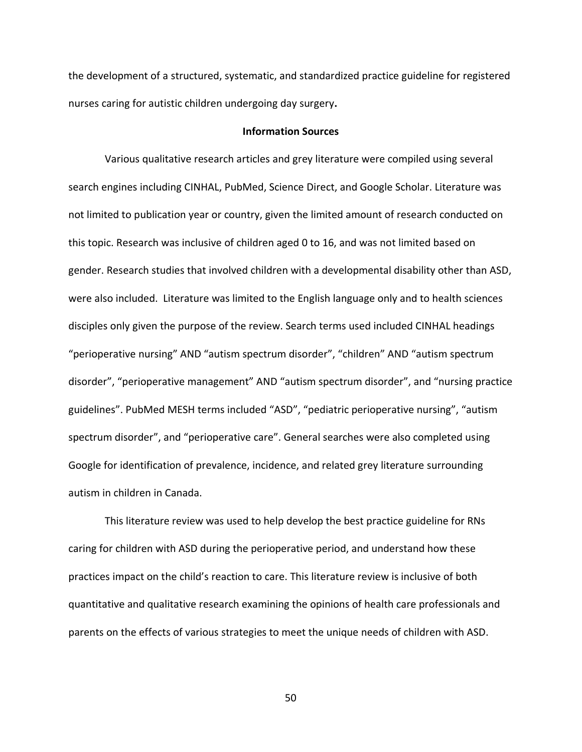the development of a structured, systematic, and standardized practice guideline for registered nurses caring for autistic children undergoing day surgery**.** 

#### **Information Sources**

 Various qualitative research articles and grey literature were compiled using several search engines including CINHAL, PubMed, Science Direct, and Google Scholar. Literature was not limited to publication year or country, given the limited amount of research conducted on this topic. Research was inclusive of children aged 0 to 16, and was not limited based on gender. Research studies that involved children with a developmental disability other than ASD, were also included. Literature was limited to the English language only and to health sciences disciples only given the purpose of the review. Search terms used included CINHAL headings "perioperative nursing" AND "autism spectrum disorder", "children" AND "autism spectrum disorder", "perioperative management" AND "autism spectrum disorder", and "nursing practice guidelines". PubMed MESH terms included "ASD", "pediatric perioperative nursing", "autism spectrum disorder", and "perioperative care". General searches were also completed using Google for identification of prevalence, incidence, and related grey literature surrounding autism in children in Canada.

 This literature review was used to help develop the best practice guideline for RNs caring for children with ASD during the perioperative period, and understand how these practices impact on the child's reaction to care. This literature review is inclusive of both quantitative and qualitative research examining the opinions of health care professionals and parents on the effects of various strategies to meet the unique needs of children with ASD.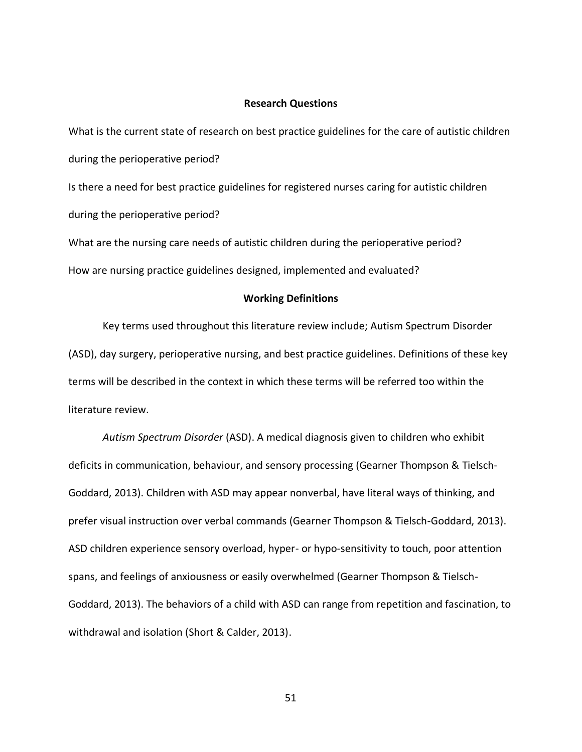#### **Research Questions**

What is the current state of research on best practice guidelines for the care of autistic children during the perioperative period? Is there a need for best practice guidelines for registered nurses caring for autistic children during the perioperative period? What are the nursing care needs of autistic children during the perioperative period?

How are nursing practice guidelines designed, implemented and evaluated?

#### **Working Definitions**

Key terms used throughout this literature review include; Autism Spectrum Disorder (ASD), day surgery, perioperative nursing, and best practice guidelines. Definitions of these key terms will be described in the context in which these terms will be referred too within the literature review.

*Autism Spectrum Disorder* (ASD). A medical diagnosis given to children who exhibit deficits in communication, behaviour, and sensory processing (Gearner Thompson & Tielsch-Goddard, 2013). Children with ASD may appear nonverbal, have literal ways of thinking, and prefer visual instruction over verbal commands (Gearner Thompson & Tielsch-Goddard, 2013). ASD children experience sensory overload, hyper- or hypo-sensitivity to touch, poor attention spans, and feelings of anxiousness or easily overwhelmed (Gearner Thompson & Tielsch-Goddard, 2013). The behaviors of a child with ASD can range from repetition and fascination, to withdrawal and isolation (Short & Calder, 2013).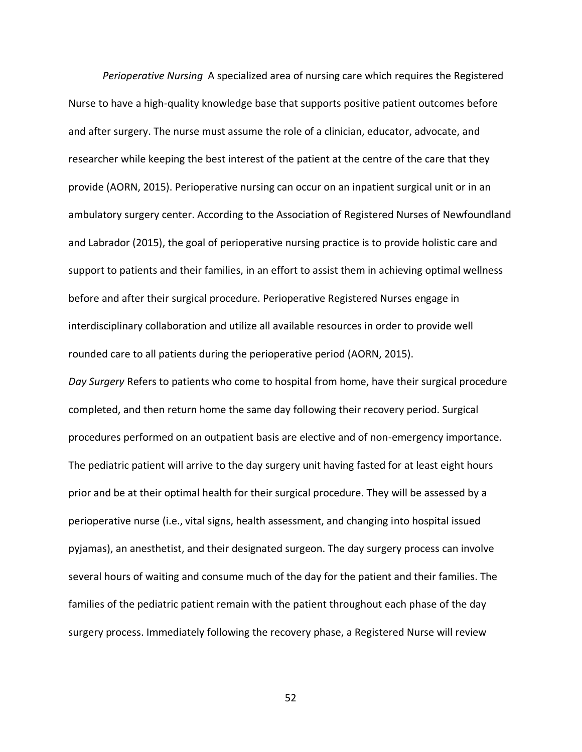*Perioperative Nursing* A specialized area of nursing care which requires the Registered Nurse to have a high-quality knowledge base that supports positive patient outcomes before and after surgery. The nurse must assume the role of a clinician, educator, advocate, and researcher while keeping the best interest of the patient at the centre of the care that they provide (AORN, 2015). Perioperative nursing can occur on an inpatient surgical unit or in an ambulatory surgery center. According to the Association of Registered Nurses of Newfoundland and Labrador (2015), the goal of perioperative nursing practice is to provide holistic care and support to patients and their families, in an effort to assist them in achieving optimal wellness before and after their surgical procedure. Perioperative Registered Nurses engage in interdisciplinary collaboration and utilize all available resources in order to provide well rounded care to all patients during the perioperative period (AORN, 2015).

*Day Surgery* Refers to patients who come to hospital from home, have their surgical procedure completed, and then return home the same day following their recovery period. Surgical procedures performed on an outpatient basis are elective and of non-emergency importance. The pediatric patient will arrive to the day surgery unit having fasted for at least eight hours prior and be at their optimal health for their surgical procedure. They will be assessed by a perioperative nurse (i.e., vital signs, health assessment, and changing into hospital issued pyjamas), an anesthetist, and their designated surgeon. The day surgery process can involve several hours of waiting and consume much of the day for the patient and their families. The families of the pediatric patient remain with the patient throughout each phase of the day surgery process. Immediately following the recovery phase, a Registered Nurse will review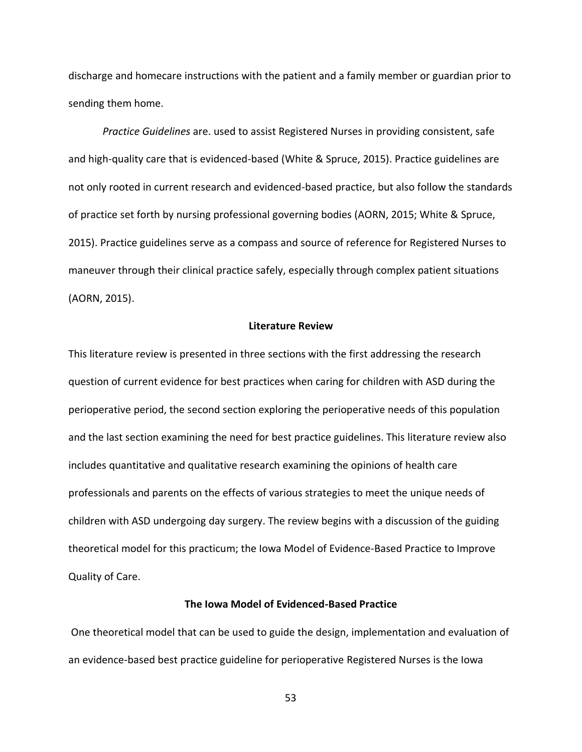discharge and homecare instructions with the patient and a family member or guardian prior to sending them home.

*Practice Guidelines* are. used to assist Registered Nurses in providing consistent, safe and high-quality care that is evidenced-based (White & Spruce, 2015). Practice guidelines are not only rooted in current research and evidenced-based practice, but also follow the standards of practice set forth by nursing professional governing bodies (AORN, 2015; White & Spruce, 2015). Practice guidelines serve as a compass and source of reference for Registered Nurses to maneuver through their clinical practice safely, especially through complex patient situations (AORN, 2015).

### **Literature Review**

This literature review is presented in three sections with the first addressing the research question of current evidence for best practices when caring for children with ASD during the perioperative period, the second section exploring the perioperative needs of this population and the last section examining the need for best practice guidelines. This literature review also includes quantitative and qualitative research examining the opinions of health care professionals and parents on the effects of various strategies to meet the unique needs of children with ASD undergoing day surgery. The review begins with a discussion of the guiding theoretical model for this practicum; the Iowa Model of Evidence-Based Practice to Improve Quality of Care.

### **The Iowa Model of Evidenced-Based Practice**

One theoretical model that can be used to guide the design, implementation and evaluation of an evidence-based best practice guideline for perioperative Registered Nurses is the Iowa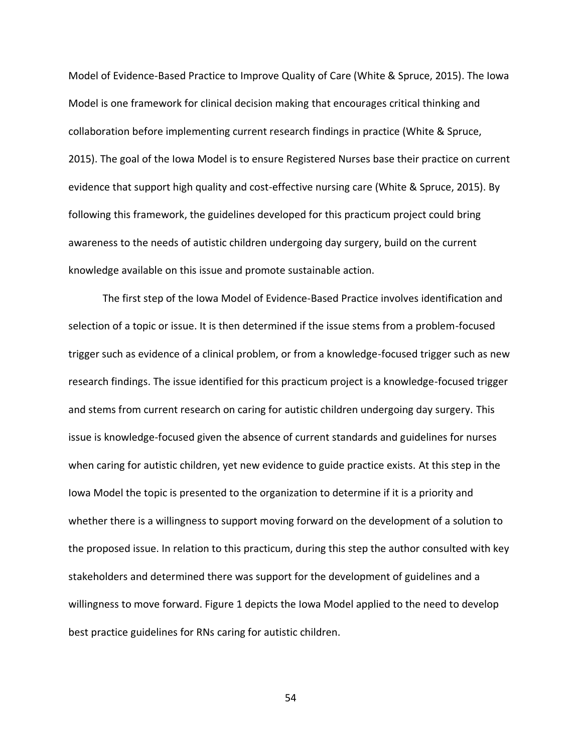Model of Evidence-Based Practice to Improve Quality of Care (White & Spruce, 2015). The Iowa Model is one framework for clinical decision making that encourages critical thinking and collaboration before implementing current research findings in practice (White & Spruce, 2015). The goal of the Iowa Model is to ensure Registered Nurses base their practice on current evidence that support high quality and cost-effective nursing care (White & Spruce, 2015). By following this framework, the guidelines developed for this practicum project could bring awareness to the needs of autistic children undergoing day surgery, build on the current knowledge available on this issue and promote sustainable action.

The first step of the Iowa Model of Evidence-Based Practice involves identification and selection of a topic or issue. It is then determined if the issue stems from a problem-focused trigger such as evidence of a clinical problem, or from a knowledge-focused trigger such as new research findings. The issue identified for this practicum project is a knowledge-focused trigger and stems from current research on caring for autistic children undergoing day surgery. This issue is knowledge-focused given the absence of current standards and guidelines for nurses when caring for autistic children, yet new evidence to guide practice exists. At this step in the Iowa Model the topic is presented to the organization to determine if it is a priority and whether there is a willingness to support moving forward on the development of a solution to the proposed issue. In relation to this practicum, during this step the author consulted with key stakeholders and determined there was support for the development of guidelines and a willingness to move forward. Figure 1 depicts the Iowa Model applied to the need to develop best practice guidelines for RNs caring for autistic children.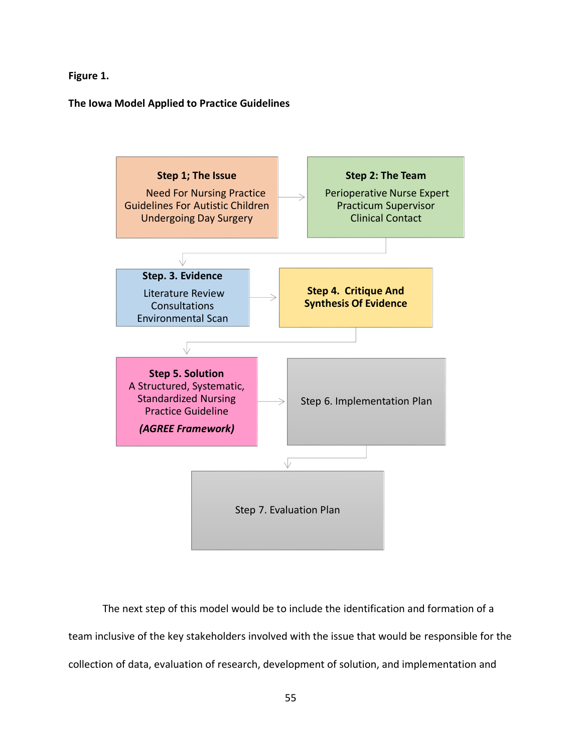**Figure 1.** 

**The Iowa Model Applied to Practice Guidelines**



The next step of this model would be to include the identification and formation of a team inclusive of the key stakeholders involved with the issue that would be responsible for the collection of data, evaluation of research, development of solution, and implementation and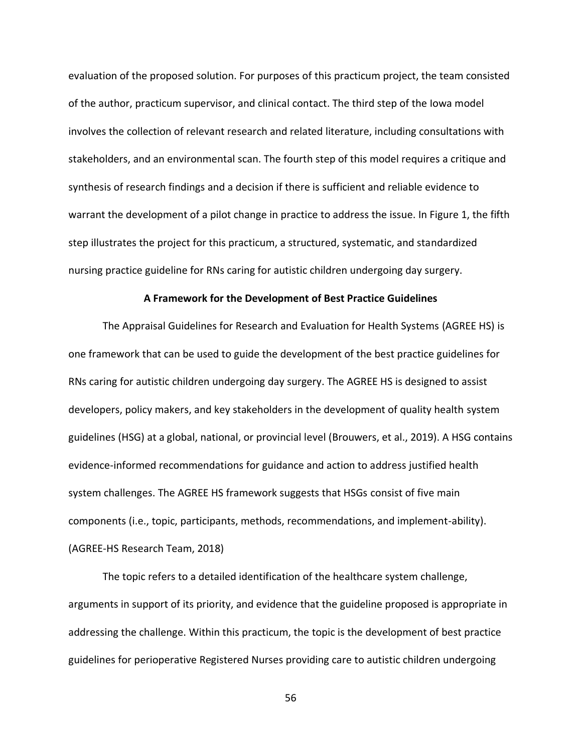evaluation of the proposed solution. For purposes of this practicum project, the team consisted of the author, practicum supervisor, and clinical contact. The third step of the Iowa model involves the collection of relevant research and related literature, including consultations with stakeholders, and an environmental scan. The fourth step of this model requires a critique and synthesis of research findings and a decision if there is sufficient and reliable evidence to warrant the development of a pilot change in practice to address the issue. In Figure 1, the fifth step illustrates the project for this practicum, a structured, systematic, and standardized nursing practice guideline for RNs caring for autistic children undergoing day surgery.

### **A Framework for the Development of Best Practice Guidelines**

The Appraisal Guidelines for Research and Evaluation for Health Systems (AGREE HS) is one framework that can be used to guide the development of the best practice guidelines for RNs caring for autistic children undergoing day surgery. The AGREE HS is designed to assist developers, policy makers, and key stakeholders in the development of quality health system guidelines (HSG) at a global, national, or provincial level (Brouwers, et al., 2019). A HSG contains evidence-informed recommendations for guidance and action to address justified health system challenges. The AGREE HS framework suggests that HSGs consist of five main components (i.e., topic, participants, methods, recommendations, and implement-ability). (AGREE-HS Research Team, 2018)

The topic refers to a detailed identification of the healthcare system challenge, arguments in support of its priority, and evidence that the guideline proposed is appropriate in addressing the challenge. Within this practicum, the topic is the development of best practice guidelines for perioperative Registered Nurses providing care to autistic children undergoing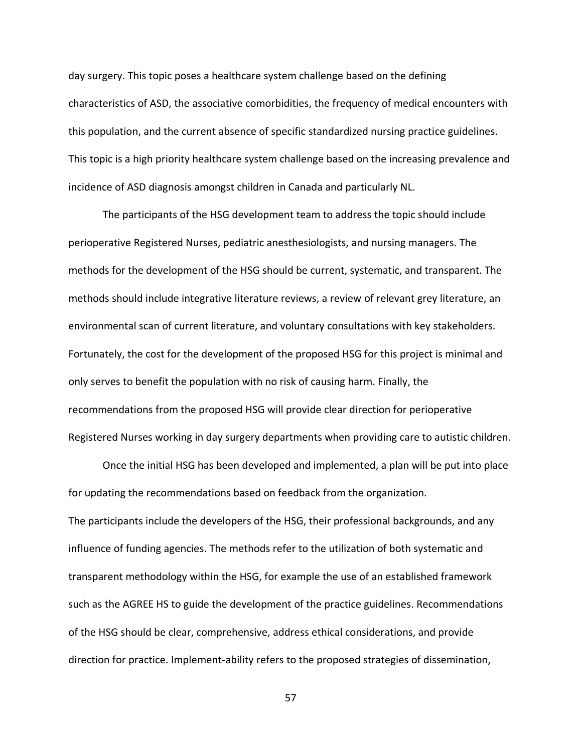day surgery. This topic poses a healthcare system challenge based on the defining characteristics of ASD, the associative comorbidities, the frequency of medical encounters with this population, and the current absence of specific standardized nursing practice guidelines. This topic is a high priority healthcare system challenge based on the increasing prevalence and incidence of ASD diagnosis amongst children in Canada and particularly NL.

The participants of the HSG development team to address the topic should include perioperative Registered Nurses, pediatric anesthesiologists, and nursing managers. The methods for the development of the HSG should be current, systematic, and transparent. The methods should include integrative literature reviews, a review of relevant grey literature, an environmental scan of current literature, and voluntary consultations with key stakeholders. Fortunately, the cost for the development of the proposed HSG for this project is minimal and only serves to benefit the population with no risk of causing harm. Finally, the recommendations from the proposed HSG will provide clear direction for perioperative Registered Nurses working in day surgery departments when providing care to autistic children.

Once the initial HSG has been developed and implemented, a plan will be put into place for updating the recommendations based on feedback from the organization. The participants include the developers of the HSG, their professional backgrounds, and any influence of funding agencies. The methods refer to the utilization of both systematic and transparent methodology within the HSG, for example the use of an established framework such as the AGREE HS to guide the development of the practice guidelines. Recommendations of the HSG should be clear, comprehensive, address ethical considerations, and provide direction for practice. Implement-ability refers to the proposed strategies of dissemination,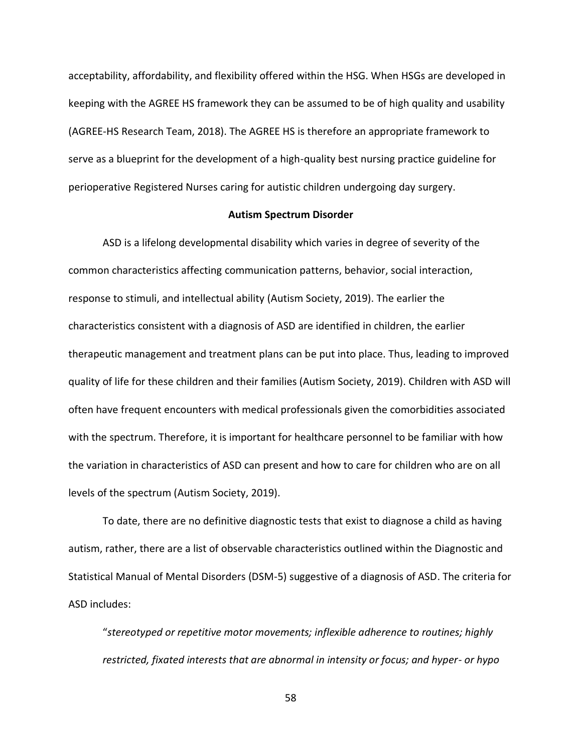acceptability, affordability, and flexibility offered within the HSG. When HSGs are developed in keeping with the AGREE HS framework they can be assumed to be of high quality and usability (AGREE-HS Research Team, 2018). The AGREE HS is therefore an appropriate framework to serve as a blueprint for the development of a high-quality best nursing practice guideline for perioperative Registered Nurses caring for autistic children undergoing day surgery.

#### **Autism Spectrum Disorder**

ASD is a lifelong developmental disability which varies in degree of severity of the common characteristics affecting communication patterns, behavior, social interaction, response to stimuli, and intellectual ability (Autism Society, 2019). The earlier the characteristics consistent with a diagnosis of ASD are identified in children, the earlier therapeutic management and treatment plans can be put into place. Thus, leading to improved quality of life for these children and their families (Autism Society, 2019). Children with ASD will often have frequent encounters with medical professionals given the comorbidities associated with the spectrum. Therefore, it is important for healthcare personnel to be familiar with how the variation in characteristics of ASD can present and how to care for children who are on all levels of the spectrum (Autism Society, 2019).

To date, there are no definitive diagnostic tests that exist to diagnose a child as having autism, rather, there are a list of observable characteristics outlined within the Diagnostic and Statistical Manual of Mental Disorders (DSM-5) suggestive of a diagnosis of ASD. The criteria for ASD includes:

"*stereotyped or repetitive motor movements; inflexible adherence to routines; highly restricted, fixated interests that are abnormal in intensity or focus; and hyper- or hypo*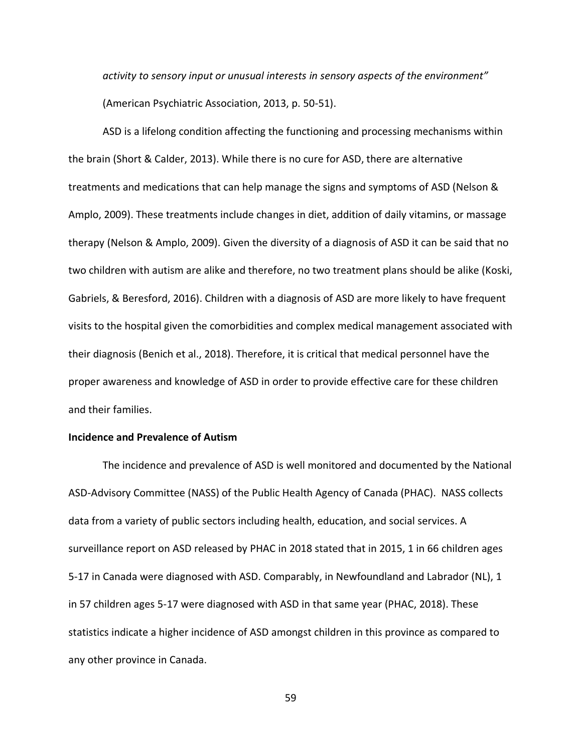*activity to sensory input or unusual interests in sensory aspects of the environment"* (American Psychiatric Association, 2013, p. 50-51).

ASD is a lifelong condition affecting the functioning and processing mechanisms within the brain (Short & Calder, 2013). While there is no cure for ASD, there are alternative treatments and medications that can help manage the signs and symptoms of ASD (Nelson & Amplo, 2009). These treatments include changes in diet, addition of daily vitamins, or massage therapy (Nelson & Amplo, 2009). Given the diversity of a diagnosis of ASD it can be said that no two children with autism are alike and therefore, no two treatment plans should be alike (Koski, Gabriels, & Beresford, 2016). Children with a diagnosis of ASD are more likely to have frequent visits to the hospital given the comorbidities and complex medical management associated with their diagnosis (Benich et al., 2018). Therefore, it is critical that medical personnel have the proper awareness and knowledge of ASD in order to provide effective care for these children and their families.

#### **Incidence and Prevalence of Autism**

The incidence and prevalence of ASD is well monitored and documented by the National ASD-Advisory Committee (NASS) of the Public Health Agency of Canada (PHAC). NASS collects data from a variety of public sectors including health, education, and social services. A surveillance report on ASD released by PHAC in 2018 stated that in 2015, 1 in 66 children ages 5-17 in Canada were diagnosed with ASD. Comparably, in Newfoundland and Labrador (NL), 1 in 57 children ages 5-17 were diagnosed with ASD in that same year (PHAC, 2018). These statistics indicate a higher incidence of ASD amongst children in this province as compared to any other province in Canada.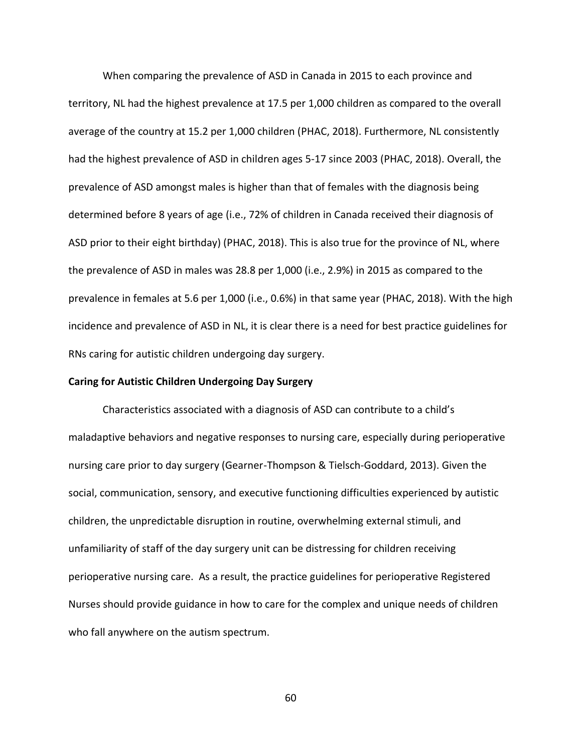When comparing the prevalence of ASD in Canada in 2015 to each province and territory, NL had the highest prevalence at 17.5 per 1,000 children as compared to the overall average of the country at 15.2 per 1,000 children (PHAC, 2018). Furthermore, NL consistently had the highest prevalence of ASD in children ages 5-17 since 2003 (PHAC, 2018). Overall, the prevalence of ASD amongst males is higher than that of females with the diagnosis being determined before 8 years of age (i.e., 72% of children in Canada received their diagnosis of ASD prior to their eight birthday) (PHAC, 2018). This is also true for the province of NL, where the prevalence of ASD in males was 28.8 per 1,000 (i.e., 2.9%) in 2015 as compared to the prevalence in females at 5.6 per 1,000 (i.e., 0.6%) in that same year (PHAC, 2018). With the high incidence and prevalence of ASD in NL, it is clear there is a need for best practice guidelines for RNs caring for autistic children undergoing day surgery.

### **Caring for Autistic Children Undergoing Day Surgery**

Characteristics associated with a diagnosis of ASD can contribute to a child's maladaptive behaviors and negative responses to nursing care, especially during perioperative nursing care prior to day surgery (Gearner-Thompson & Tielsch-Goddard, 2013). Given the social, communication, sensory, and executive functioning difficulties experienced by autistic children, the unpredictable disruption in routine, overwhelming external stimuli, and unfamiliarity of staff of the day surgery unit can be distressing for children receiving perioperative nursing care. As a result, the practice guidelines for perioperative Registered Nurses should provide guidance in how to care for the complex and unique needs of children who fall anywhere on the autism spectrum.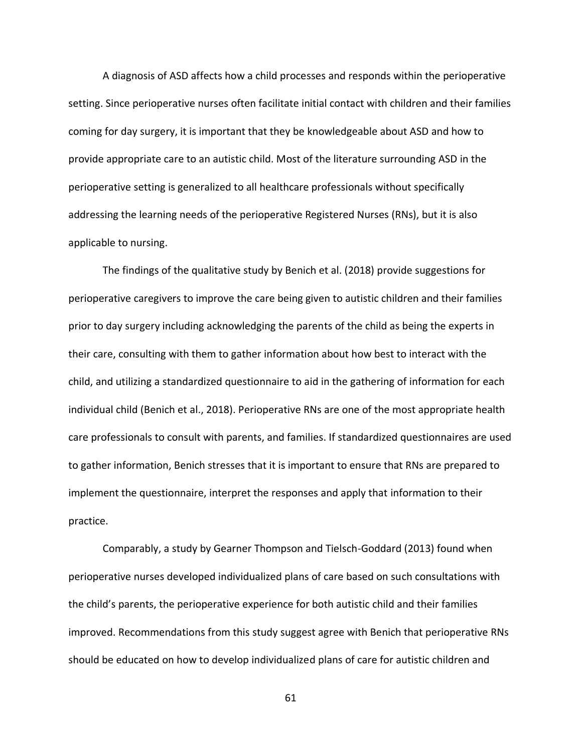A diagnosis of ASD affects how a child processes and responds within the perioperative setting. Since perioperative nurses often facilitate initial contact with children and their families coming for day surgery, it is important that they be knowledgeable about ASD and how to provide appropriate care to an autistic child. Most of the literature surrounding ASD in the perioperative setting is generalized to all healthcare professionals without specifically addressing the learning needs of the perioperative Registered Nurses (RNs), but it is also applicable to nursing.

The findings of the qualitative study by Benich et al. (2018) provide suggestions for perioperative caregivers to improve the care being given to autistic children and their families prior to day surgery including acknowledging the parents of the child as being the experts in their care, consulting with them to gather information about how best to interact with the child, and utilizing a standardized questionnaire to aid in the gathering of information for each individual child (Benich et al., 2018). Perioperative RNs are one of the most appropriate health care professionals to consult with parents, and families. If standardized questionnaires are used to gather information, Benich stresses that it is important to ensure that RNs are prepared to implement the questionnaire, interpret the responses and apply that information to their practice.

Comparably, a study by Gearner Thompson and Tielsch-Goddard (2013) found when perioperative nurses developed individualized plans of care based on such consultations with the child's parents, the perioperative experience for both autistic child and their families improved. Recommendations from this study suggest agree with Benich that perioperative RNs should be educated on how to develop individualized plans of care for autistic children and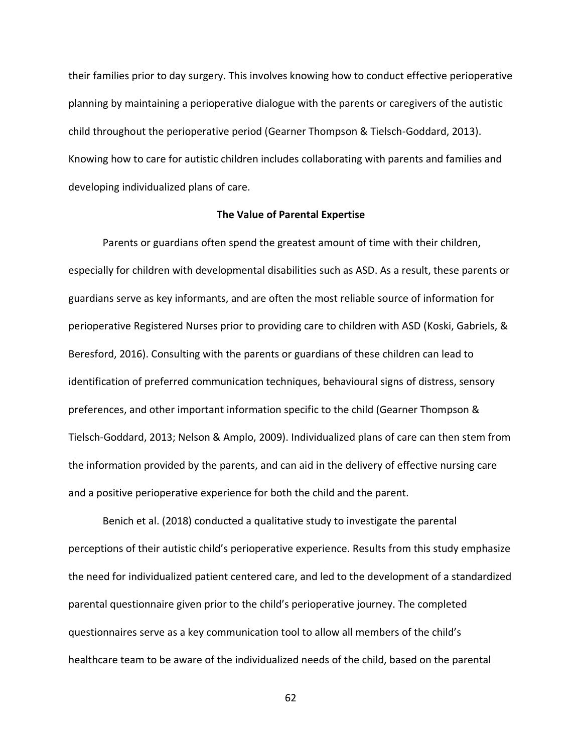their families prior to day surgery. This involves knowing how to conduct effective perioperative planning by maintaining a perioperative dialogue with the parents or caregivers of the autistic child throughout the perioperative period (Gearner Thompson & Tielsch-Goddard, 2013). Knowing how to care for autistic children includes collaborating with parents and families and developing individualized plans of care.

### **The Value of Parental Expertise**

Parents or guardians often spend the greatest amount of time with their children, especially for children with developmental disabilities such as ASD. As a result, these parents or guardians serve as key informants, and are often the most reliable source of information for perioperative Registered Nurses prior to providing care to children with ASD (Koski, Gabriels, & Beresford, 2016). Consulting with the parents or guardians of these children can lead to identification of preferred communication techniques, behavioural signs of distress, sensory preferences, and other important information specific to the child (Gearner Thompson & Tielsch-Goddard, 2013; Nelson & Amplo, 2009). Individualized plans of care can then stem from the information provided by the parents, and can aid in the delivery of effective nursing care and a positive perioperative experience for both the child and the parent.

Benich et al. (2018) conducted a qualitative study to investigate the parental perceptions of their autistic child's perioperative experience. Results from this study emphasize the need for individualized patient centered care, and led to the development of a standardized parental questionnaire given prior to the child's perioperative journey. The completed questionnaires serve as a key communication tool to allow all members of the child's healthcare team to be aware of the individualized needs of the child, based on the parental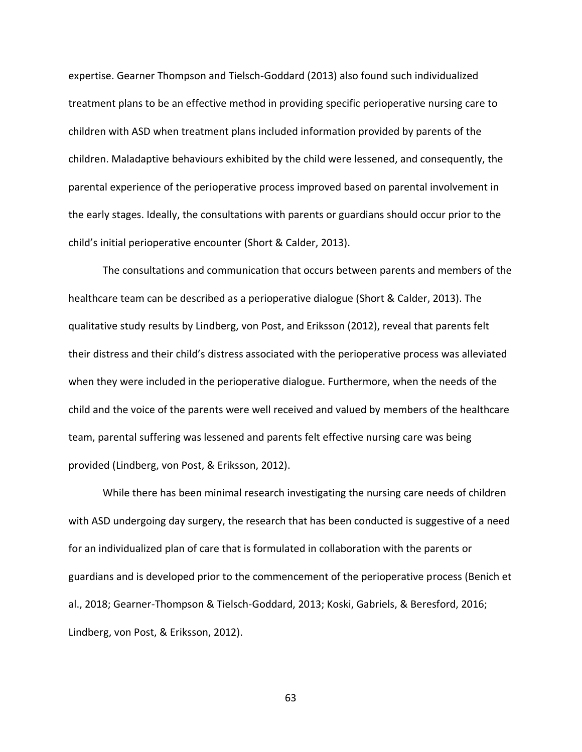expertise. Gearner Thompson and Tielsch-Goddard (2013) also found such individualized treatment plans to be an effective method in providing specific perioperative nursing care to children with ASD when treatment plans included information provided by parents of the children. Maladaptive behaviours exhibited by the child were lessened, and consequently, the parental experience of the perioperative process improved based on parental involvement in the early stages. Ideally, the consultations with parents or guardians should occur prior to the child's initial perioperative encounter (Short & Calder, 2013).

The consultations and communication that occurs between parents and members of the healthcare team can be described as a perioperative dialogue (Short & Calder, 2013). The qualitative study results by Lindberg, von Post, and Eriksson (2012), reveal that parents felt their distress and their child's distress associated with the perioperative process was alleviated when they were included in the perioperative dialogue. Furthermore, when the needs of the child and the voice of the parents were well received and valued by members of the healthcare team, parental suffering was lessened and parents felt effective nursing care was being provided (Lindberg, von Post, & Eriksson, 2012).

While there has been minimal research investigating the nursing care needs of children with ASD undergoing day surgery, the research that has been conducted is suggestive of a need for an individualized plan of care that is formulated in collaboration with the parents or guardians and is developed prior to the commencement of the perioperative process (Benich et al., 2018; Gearner-Thompson & Tielsch-Goddard, 2013; Koski, Gabriels, & Beresford, 2016; Lindberg, von Post, & Eriksson, 2012).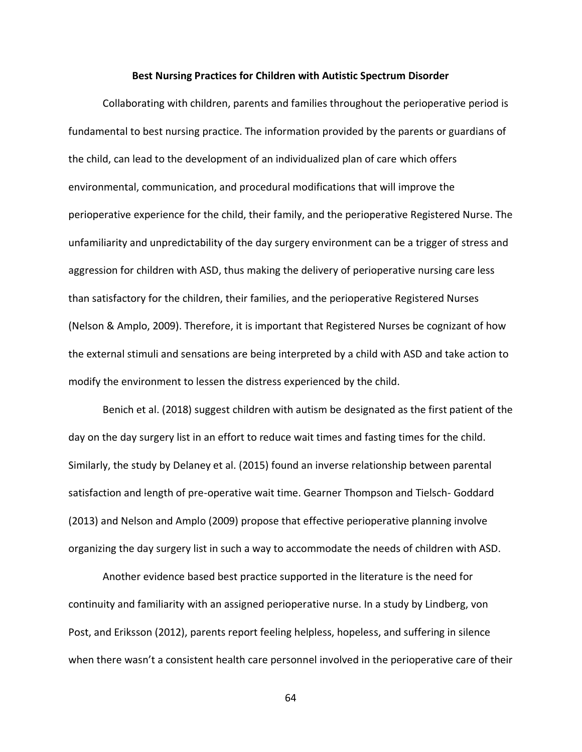#### **Best Nursing Practices for Children with Autistic Spectrum Disorder**

Collaborating with children, parents and families throughout the perioperative period is fundamental to best nursing practice. The information provided by the parents or guardians of the child, can lead to the development of an individualized plan of care which offers environmental, communication, and procedural modifications that will improve the perioperative experience for the child, their family, and the perioperative Registered Nurse. The unfamiliarity and unpredictability of the day surgery environment can be a trigger of stress and aggression for children with ASD, thus making the delivery of perioperative nursing care less than satisfactory for the children, their families, and the perioperative Registered Nurses (Nelson & Amplo, 2009). Therefore, it is important that Registered Nurses be cognizant of how the external stimuli and sensations are being interpreted by a child with ASD and take action to modify the environment to lessen the distress experienced by the child.

Benich et al. (2018) suggest children with autism be designated as the first patient of the day on the day surgery list in an effort to reduce wait times and fasting times for the child. Similarly, the study by Delaney et al. (2015) found an inverse relationship between parental satisfaction and length of pre-operative wait time. Gearner Thompson and Tielsch- Goddard (2013) and Nelson and Amplo (2009) propose that effective perioperative planning involve organizing the day surgery list in such a way to accommodate the needs of children with ASD.

Another evidence based best practice supported in the literature is the need for continuity and familiarity with an assigned perioperative nurse. In a study by Lindberg, von Post, and Eriksson (2012), parents report feeling helpless, hopeless, and suffering in silence when there wasn't a consistent health care personnel involved in the perioperative care of their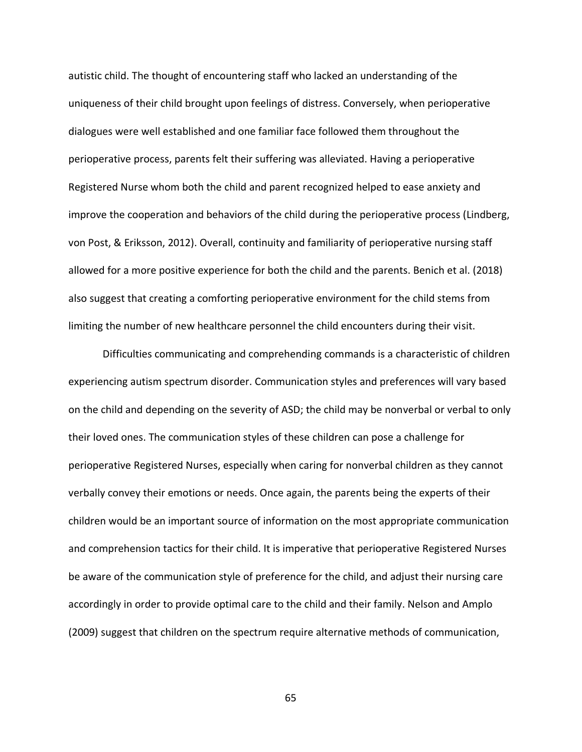autistic child. The thought of encountering staff who lacked an understanding of the uniqueness of their child brought upon feelings of distress. Conversely, when perioperative dialogues were well established and one familiar face followed them throughout the perioperative process, parents felt their suffering was alleviated. Having a perioperative Registered Nurse whom both the child and parent recognized helped to ease anxiety and improve the cooperation and behaviors of the child during the perioperative process (Lindberg, von Post, & Eriksson, 2012). Overall, continuity and familiarity of perioperative nursing staff allowed for a more positive experience for both the child and the parents. Benich et al. (2018) also suggest that creating a comforting perioperative environment for the child stems from limiting the number of new healthcare personnel the child encounters during their visit.

Difficulties communicating and comprehending commands is a characteristic of children experiencing autism spectrum disorder. Communication styles and preferences will vary based on the child and depending on the severity of ASD; the child may be nonverbal or verbal to only their loved ones. The communication styles of these children can pose a challenge for perioperative Registered Nurses, especially when caring for nonverbal children as they cannot verbally convey their emotions or needs. Once again, the parents being the experts of their children would be an important source of information on the most appropriate communication and comprehension tactics for their child. It is imperative that perioperative Registered Nurses be aware of the communication style of preference for the child, and adjust their nursing care accordingly in order to provide optimal care to the child and their family. Nelson and Amplo (2009) suggest that children on the spectrum require alternative methods of communication,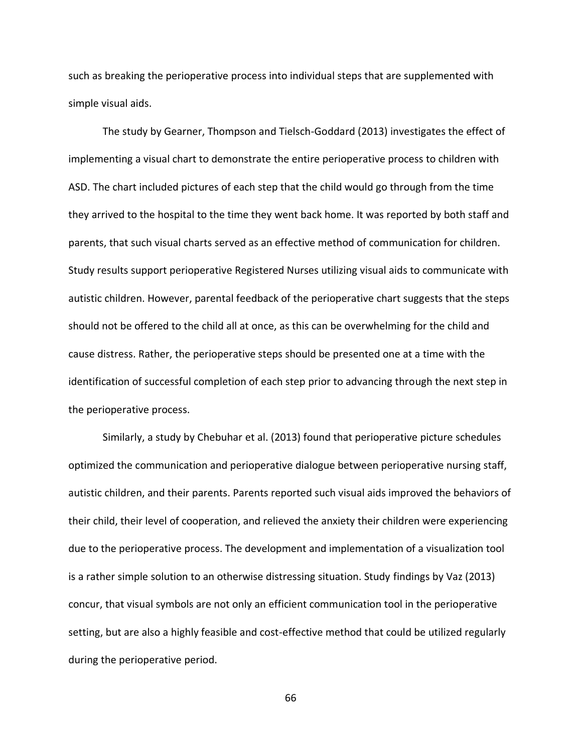such as breaking the perioperative process into individual steps that are supplemented with simple visual aids.

The study by Gearner, Thompson and Tielsch-Goddard (2013) investigates the effect of implementing a visual chart to demonstrate the entire perioperative process to children with ASD. The chart included pictures of each step that the child would go through from the time they arrived to the hospital to the time they went back home. It was reported by both staff and parents, that such visual charts served as an effective method of communication for children. Study results support perioperative Registered Nurses utilizing visual aids to communicate with autistic children. However, parental feedback of the perioperative chart suggests that the steps should not be offered to the child all at once, as this can be overwhelming for the child and cause distress. Rather, the perioperative steps should be presented one at a time with the identification of successful completion of each step prior to advancing through the next step in the perioperative process.

Similarly, a study by Chebuhar et al. (2013) found that perioperative picture schedules optimized the communication and perioperative dialogue between perioperative nursing staff, autistic children, and their parents. Parents reported such visual aids improved the behaviors of their child, their level of cooperation, and relieved the anxiety their children were experiencing due to the perioperative process. The development and implementation of a visualization tool is a rather simple solution to an otherwise distressing situation. Study findings by Vaz (2013) concur, that visual symbols are not only an efficient communication tool in the perioperative setting, but are also a highly feasible and cost-effective method that could be utilized regularly during the perioperative period.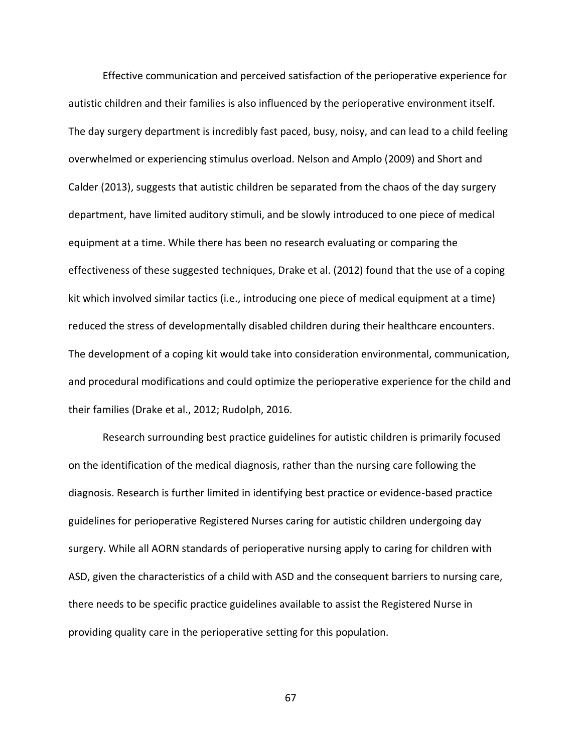Effective communication and perceived satisfaction of the perioperative experience for autistic children and their families is also influenced by the perioperative environment itself. The day surgery department is incredibly fast paced, busy, noisy, and can lead to a child feeling overwhelmed or experiencing stimulus overload. Nelson and Amplo (2009) and Short and Calder (2013), suggests that autistic children be separated from the chaos of the day surgery department, have limited auditory stimuli, and be slowly introduced to one piece of medical equipment at a time. While there has been no research evaluating or comparing the effectiveness of these suggested techniques, Drake et al. (2012) found that the use of a coping kit which involved similar tactics (i.e., introducing one piece of medical equipment at a time) reduced the stress of developmentally disabled children during their healthcare encounters. The development of a coping kit would take into consideration environmental, communication, and procedural modifications and could optimize the perioperative experience for the child and their families (Drake et al., 2012; Rudolph, 2016.

Research surrounding best practice guidelines for autistic children is primarily focused on the identification of the medical diagnosis, rather than the nursing care following the diagnosis. Research is further limited in identifying best practice or evidence-based practice guidelines for perioperative Registered Nurses caring for autistic children undergoing day surgery. While all AORN standards of perioperative nursing apply to caring for children with ASD, given the characteristics of a child with ASD and the consequent barriers to nursing care, there needs to be specific practice guidelines available to assist the Registered Nurse in providing quality care in the perioperative setting for this population.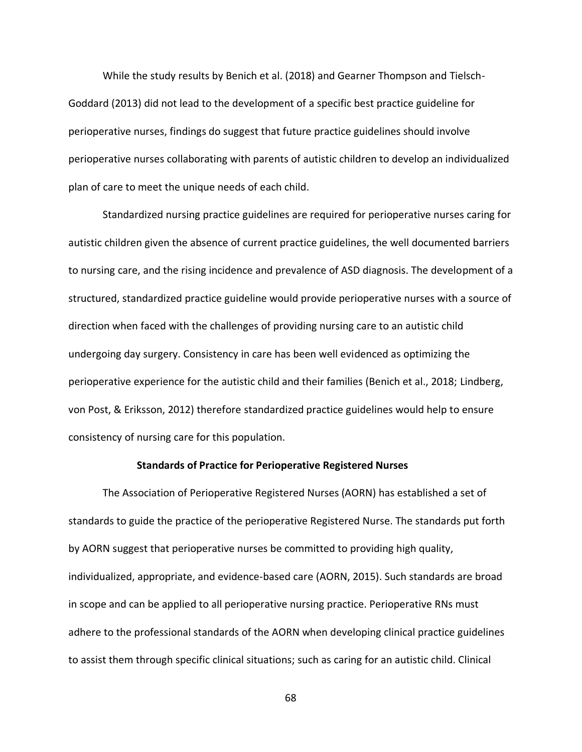While the study results by Benich et al. (2018) and Gearner Thompson and Tielsch-Goddard (2013) did not lead to the development of a specific best practice guideline for perioperative nurses, findings do suggest that future practice guidelines should involve perioperative nurses collaborating with parents of autistic children to develop an individualized plan of care to meet the unique needs of each child.

Standardized nursing practice guidelines are required for perioperative nurses caring for autistic children given the absence of current practice guidelines, the well documented barriers to nursing care, and the rising incidence and prevalence of ASD diagnosis. The development of a structured, standardized practice guideline would provide perioperative nurses with a source of direction when faced with the challenges of providing nursing care to an autistic child undergoing day surgery. Consistency in care has been well evidenced as optimizing the perioperative experience for the autistic child and their families (Benich et al., 2018; Lindberg, von Post, & Eriksson, 2012) therefore standardized practice guidelines would help to ensure consistency of nursing care for this population.

#### **Standards of Practice for Perioperative Registered Nurses**

The Association of Perioperative Registered Nurses (AORN) has established a set of standards to guide the practice of the perioperative Registered Nurse. The standards put forth by AORN suggest that perioperative nurses be committed to providing high quality, individualized, appropriate, and evidence-based care (AORN, 2015). Such standards are broad in scope and can be applied to all perioperative nursing practice. Perioperative RNs must adhere to the professional standards of the AORN when developing clinical practice guidelines to assist them through specific clinical situations; such as caring for an autistic child. Clinical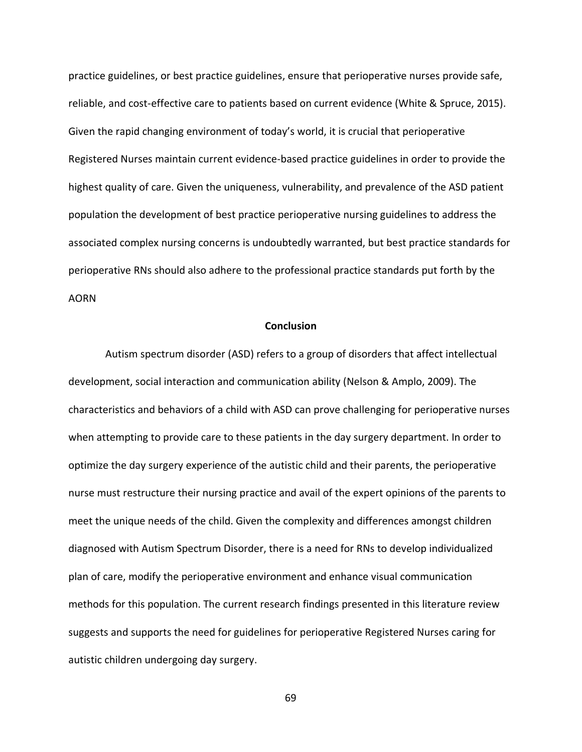practice guidelines, or best practice guidelines, ensure that perioperative nurses provide safe, reliable, and cost-effective care to patients based on current evidence (White & Spruce, 2015). Given the rapid changing environment of today's world, it is crucial that perioperative Registered Nurses maintain current evidence-based practice guidelines in order to provide the highest quality of care. Given the uniqueness, vulnerability, and prevalence of the ASD patient population the development of best practice perioperative nursing guidelines to address the associated complex nursing concerns is undoubtedly warranted, but best practice standards for perioperative RNs should also adhere to the professional practice standards put forth by the AORN

#### **Conclusion**

Autism spectrum disorder (ASD) refers to a group of disorders that affect intellectual development, social interaction and communication ability (Nelson & Amplo, 2009). The characteristics and behaviors of a child with ASD can prove challenging for perioperative nurses when attempting to provide care to these patients in the day surgery department. In order to optimize the day surgery experience of the autistic child and their parents, the perioperative nurse must restructure their nursing practice and avail of the expert opinions of the parents to meet the unique needs of the child. Given the complexity and differences amongst children diagnosed with Autism Spectrum Disorder, there is a need for RNs to develop individualized plan of care, modify the perioperative environment and enhance visual communication methods for this population. The current research findings presented in this literature review suggests and supports the need for guidelines for perioperative Registered Nurses caring for autistic children undergoing day surgery.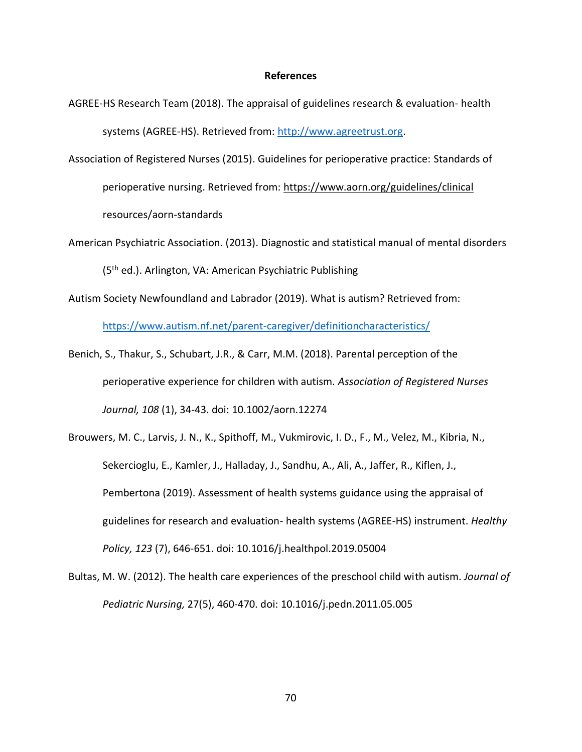#### **References**

- AGREE-HS Research Team (2018). The appraisal of guidelines research & evaluation- health systems (AGREE-HS). Retrieved from[: http://www.agreetrust.org.](http://www.agreetrust.org/)
- Association of Registered Nurses (2015). Guidelines for perioperative practice: Standards of perioperative nursing. Retrieved from:<https://www.aorn.org/guidelines/clinical> resources/aorn-standards
- American Psychiatric Association. (2013). Diagnostic and statistical manual of mental disorders (5th ed.). Arlington, VA: American Psychiatric Publishing
- Autism Society Newfoundland and Labrador (2019). What is autism? Retrieved from:

<https://www.autism.nf.net/parent-caregiver/definitioncharacteristics/>

- Benich, S., Thakur, S., Schubart, J.R., & Carr, M.M. (2018). Parental perception of the perioperative experience for children with autism. *Association of Registered Nurses Journal, 108* (1), 34-43. doi: 10.1002/aorn.12274
- Brouwers, M. C., Larvis, J. N., K., Spithoff, M., Vukmirovic, I. D., F., M., Velez, M., Kibria, N., Sekercioglu, E., Kamler, J., Halladay, J., Sandhu, A., Ali, A., Jaffer, R., Kiflen, J., Pembertona (2019). Assessment of health systems guidance using the appraisal of guidelines for research and evaluation- health systems (AGREE-HS) instrument. *Healthy Policy, 123* (7), 646-651. doi: 10.1016/j.healthpol.2019.05004
- Bultas, M. W. (2012). The health care experiences of the preschool child with autism. *Journal of Pediatric Nursing,* 27(5), 460-470. doi: 10.1016/j.pedn.2011.05.005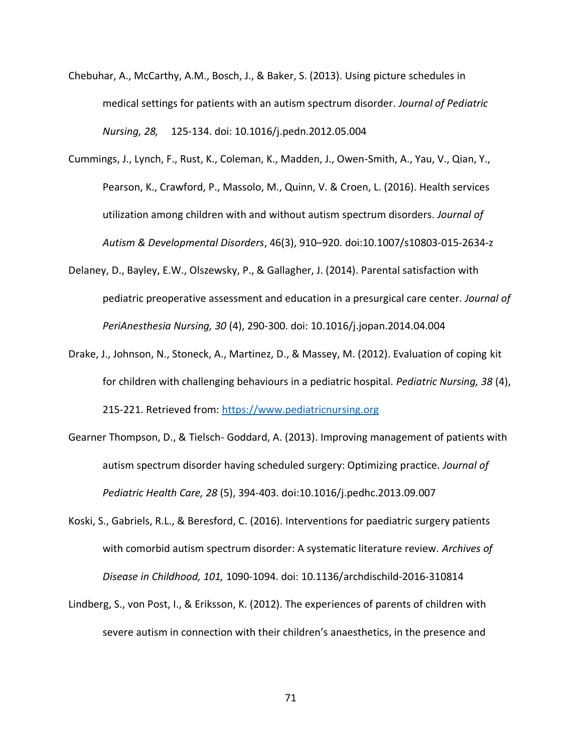- Chebuhar, A., McCarthy, A.M., Bosch, J., & Baker, S. (2013). Using picture schedules in medical settings for patients with an autism spectrum disorder. *Journal of Pediatric Nursing, 28,* 125-134. doi: 10.1016/j.pedn.2012.05.004
- Cummings, J., Lynch, F., Rust, K., Coleman, K., Madden, J., Owen-Smith, A., Yau, V., Qian, Y., Pearson, K., Crawford, P., Massolo, M., Quinn, V. & Croen, L. (2016). Health services utilization among children with and without autism spectrum disorders. *Journal of Autism & Developmental Disorders*, 46(3), 910–920. doi:10.1007/s10803-015-2634-z
- Delaney, D., Bayley, E.W., Olszewsky, P., & Gallagher, J. (2014). Parental satisfaction with pediatric preoperative assessment and education in a presurgical care center. *Journal of PeriAnesthesia Nursing, 30* (4), 290-300. doi: 10.1016/j.jopan.2014.04.004
- Drake, J., Johnson, N., Stoneck, A., Martinez, D., & Massey, M. (2012). Evaluation of coping kit for children with challenging behaviours in a pediatric hospital. *Pediatric Nursing, 38* (4), 215-221. Retrieved from: [https://www.pediatricnursing.org](https://www.pediatricnursing.org/)
- Gearner Thompson, D., & Tielsch- Goddard, A. (2013). Improving management of patients with autism spectrum disorder having scheduled surgery: Optimizing practice. *Journal of Pediatric Health Care, 28* (5), 394-403. doi:10.1016/j.pedhc.2013.09.007
- Koski, S., Gabriels, R.L., & Beresford, C. (2016). Interventions for paediatric surgery patients with comorbid autism spectrum disorder: A systematic literature review. *Archives of Disease in Childhood, 101,* 1090-1094. doi: 10.1136/archdischild-2016-310814
- Lindberg, S., von Post, I., & Eriksson, K. (2012). The experiences of parents of children with severe autism in connection with their children's anaesthetics, in the presence and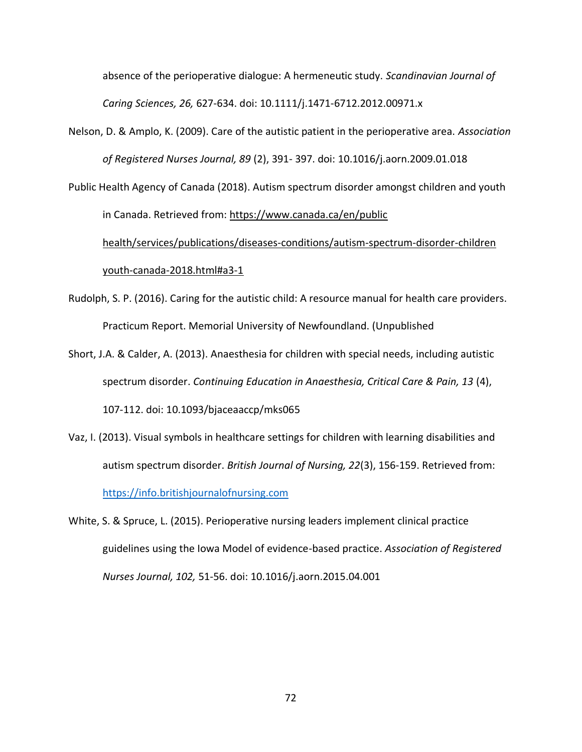absence of the perioperative dialogue: A hermeneutic study. *Scandinavian Journal of Caring Sciences, 26,* 627-634. doi: 10.1111/j.1471-6712.2012.00971.x

Nelson, D. & Amplo, K. (2009). Care of the autistic patient in the perioperative area. *Association of Registered Nurses Journal, 89* (2), 391- 397. doi: 10.1016/j.aorn.2009.01.018

Public Health Agency of Canada (2018). Autism spectrum disorder amongst children and youth in Canada. Retrieved from: [https://www.canada.ca/en/public](https://www.canada.ca/en/public%09health/services/publications/diseases-conditions/autism-spectrum-disorder-children%09youth-canada-2018.html#a3-1) [health/services/publications/diseases-conditions/autism-spectrum-disorder-children](https://www.canada.ca/en/public%09health/services/publications/diseases-conditions/autism-spectrum-disorder-children%09youth-canada-2018.html#a3-1) [youth-canada-2018.html#a3-1](https://www.canada.ca/en/public%09health/services/publications/diseases-conditions/autism-spectrum-disorder-children%09youth-canada-2018.html#a3-1)

- Rudolph, S. P. (2016). Caring for the autistic child: A resource manual for health care providers. Practicum Report. Memorial University of Newfoundland. (Unpublished
- Short, J.A. & Calder, A. (2013). Anaesthesia for children with special needs, including autistic spectrum disorder. *Continuing Education in Anaesthesia, Critical Care & Pain, 13* (4), 107-112. doi: 10.1093/bjaceaaccp/mks065
- Vaz, I. (2013). Visual symbols in healthcare settings for children with learning disabilities and autism spectrum disorder. *British Journal of Nursing, 22*(3), 156-159. Retrieved from: [https://info.britishjournalofnursing.com](https://info.britishjournalofnursing.com/)
- White, S. & Spruce, L. (2015). Perioperative nursing leaders implement clinical practice guidelines using the Iowa Model of evidence-based practice. *Association of Registered Nurses Journal, 102,* 51-56. doi: 10.1016/j.aorn.2015.04.001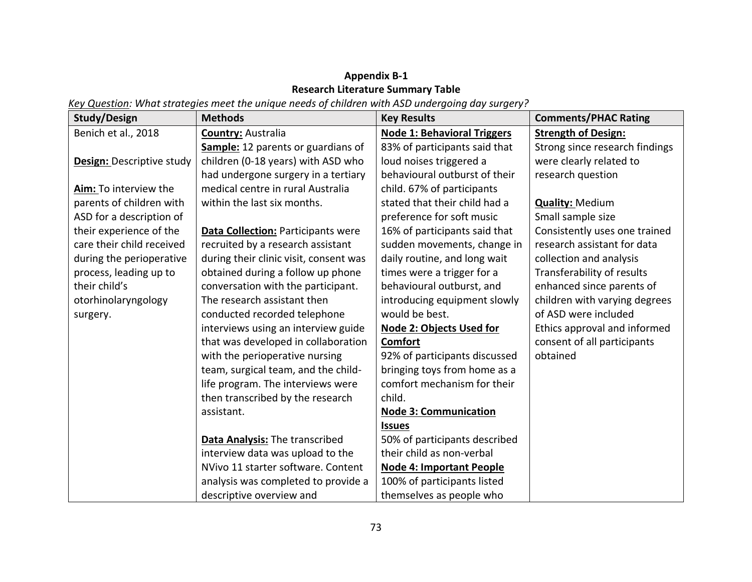## **Appendix B-1 Research Literature Summary Table**

*Key Question: What strategies meet the unique needs of children with ASD undergoing day surgery?*

| <b>Study/Design</b>       | <b>Methods</b>                            | <b>Key Results</b>                 | <b>Comments/PHAC Rating</b>    |
|---------------------------|-------------------------------------------|------------------------------------|--------------------------------|
| Benich et al., 2018       | <b>Country: Australia</b>                 | <b>Node 1: Behavioral Triggers</b> | <b>Strength of Design:</b>     |
|                           | Sample: 12 parents or guardians of        | 83% of participants said that      | Strong since research findings |
| Design: Descriptive study | children (0-18 years) with ASD who        | loud noises triggered a            | were clearly related to        |
|                           | had undergone surgery in a tertiary       | behavioural outburst of their      | research question              |
| Aim: To interview the     | medical centre in rural Australia         | child. 67% of participants         |                                |
| parents of children with  | within the last six months.               | stated that their child had a      | <b>Quality: Medium</b>         |
| ASD for a description of  |                                           | preference for soft music          | Small sample size              |
| their experience of the   | <b>Data Collection: Participants were</b> | 16% of participants said that      | Consistently uses one trained  |
| care their child received | recruited by a research assistant         | sudden movements, change in        | research assistant for data    |
| during the perioperative  | during their clinic visit, consent was    | daily routine, and long wait       | collection and analysis        |
| process, leading up to    | obtained during a follow up phone         | times were a trigger for a         | Transferability of results     |
| their child's             | conversation with the participant.        | behavioural outburst, and          | enhanced since parents of      |
| otorhinolaryngology       | The research assistant then               | introducing equipment slowly       | children with varying degrees  |
| surgery.                  | conducted recorded telephone              | would be best.                     | of ASD were included           |
|                           | interviews using an interview guide       | <b>Node 2: Objects Used for</b>    | Ethics approval and informed   |
|                           | that was developed in collaboration       | Comfort                            | consent of all participants    |
|                           | with the perioperative nursing            | 92% of participants discussed      | obtained                       |
|                           | team, surgical team, and the child-       | bringing toys from home as a       |                                |
|                           | life program. The interviews were         | comfort mechanism for their        |                                |
|                           | then transcribed by the research          | child.                             |                                |
|                           | assistant.                                | <b>Node 3: Communication</b>       |                                |
|                           |                                           | <b>Issues</b>                      |                                |
|                           | Data Analysis: The transcribed            | 50% of participants described      |                                |
|                           | interview data was upload to the          | their child as non-verbal          |                                |
|                           | NVivo 11 starter software. Content        | <b>Node 4: Important People</b>    |                                |
|                           | analysis was completed to provide a       | 100% of participants listed        |                                |
|                           | descriptive overview and                  | themselves as people who           |                                |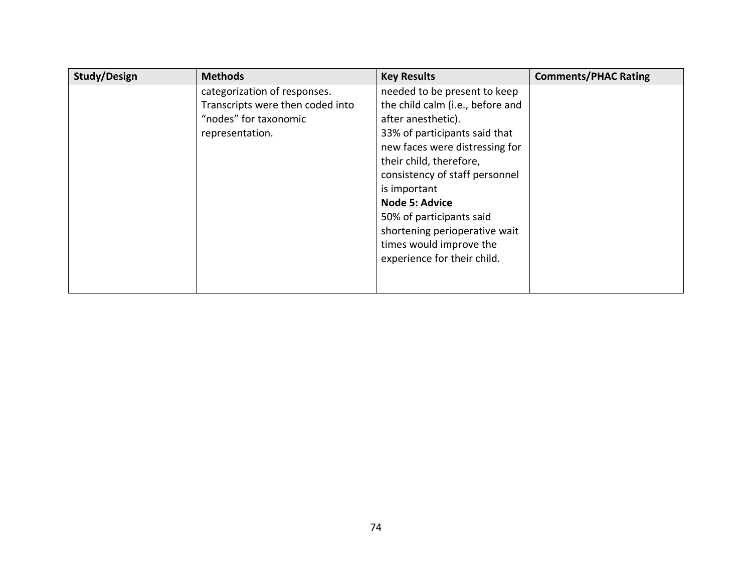| Study/Design | <b>Methods</b>                   | <b>Key Results</b>               | <b>Comments/PHAC Rating</b> |
|--------------|----------------------------------|----------------------------------|-----------------------------|
|              | categorization of responses.     | needed to be present to keep     |                             |
|              | Transcripts were then coded into | the child calm (i.e., before and |                             |
|              | "nodes" for taxonomic            | after anesthetic).               |                             |
|              | representation.                  | 33% of participants said that    |                             |
|              |                                  | new faces were distressing for   |                             |
|              |                                  | their child, therefore,          |                             |
|              |                                  | consistency of staff personnel   |                             |
|              |                                  | is important                     |                             |
|              |                                  | Node 5: Advice                   |                             |
|              |                                  | 50% of participants said         |                             |
|              |                                  | shortening perioperative wait    |                             |
|              |                                  | times would improve the          |                             |
|              |                                  | experience for their child.      |                             |
|              |                                  |                                  |                             |
|              |                                  |                                  |                             |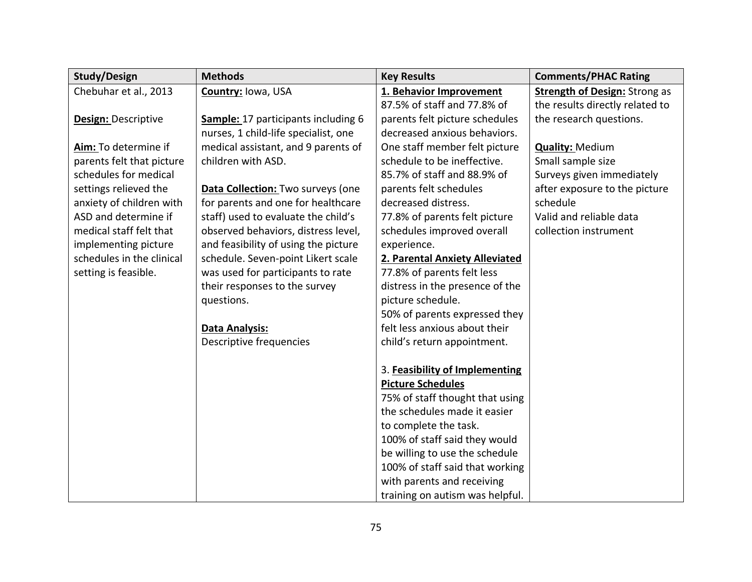| <b>Study/Design</b>        | <b>Methods</b>                       | <b>Key Results</b>              | <b>Comments/PHAC Rating</b>          |
|----------------------------|--------------------------------------|---------------------------------|--------------------------------------|
| Chebuhar et al., 2013      | Country: Iowa, USA                   | 1. Behavior Improvement         | <b>Strength of Design: Strong as</b> |
|                            |                                      | 87.5% of staff and 77.8% of     | the results directly related to      |
| <b>Design: Descriptive</b> | Sample: 17 participants including 6  | parents felt picture schedules  | the research questions.              |
|                            | nurses, 1 child-life specialist, one | decreased anxious behaviors.    |                                      |
| Aim: To determine if       | medical assistant, and 9 parents of  | One staff member felt picture   | <b>Quality: Medium</b>               |
| parents felt that picture  | children with ASD.                   | schedule to be ineffective.     | Small sample size                    |
| schedules for medical      |                                      | 85.7% of staff and 88.9% of     | Surveys given immediately            |
| settings relieved the      | Data Collection: Two surveys (one    | parents felt schedules          | after exposure to the picture        |
| anxiety of children with   | for parents and one for healthcare   | decreased distress.             | schedule                             |
| ASD and determine if       | staff) used to evaluate the child's  | 77.8% of parents felt picture   | Valid and reliable data              |
| medical staff felt that    | observed behaviors, distress level,  | schedules improved overall      | collection instrument                |
| implementing picture       | and feasibility of using the picture | experience.                     |                                      |
| schedules in the clinical  | schedule. Seven-point Likert scale   | 2. Parental Anxiety Alleviated  |                                      |
| setting is feasible.       | was used for participants to rate    | 77.8% of parents felt less      |                                      |
|                            | their responses to the survey        | distress in the presence of the |                                      |
|                            | questions.                           | picture schedule.               |                                      |
|                            |                                      | 50% of parents expressed they   |                                      |
|                            | Data Analysis:                       | felt less anxious about their   |                                      |
|                            | Descriptive frequencies              | child's return appointment.     |                                      |
|                            |                                      |                                 |                                      |
|                            |                                      | 3. Feasibility of Implementing  |                                      |
|                            |                                      | <b>Picture Schedules</b>        |                                      |
|                            |                                      | 75% of staff thought that using |                                      |
|                            |                                      | the schedules made it easier    |                                      |
|                            |                                      | to complete the task.           |                                      |
|                            |                                      | 100% of staff said they would   |                                      |
|                            |                                      | be willing to use the schedule  |                                      |
|                            |                                      | 100% of staff said that working |                                      |
|                            |                                      | with parents and receiving      |                                      |
|                            |                                      | training on autism was helpful. |                                      |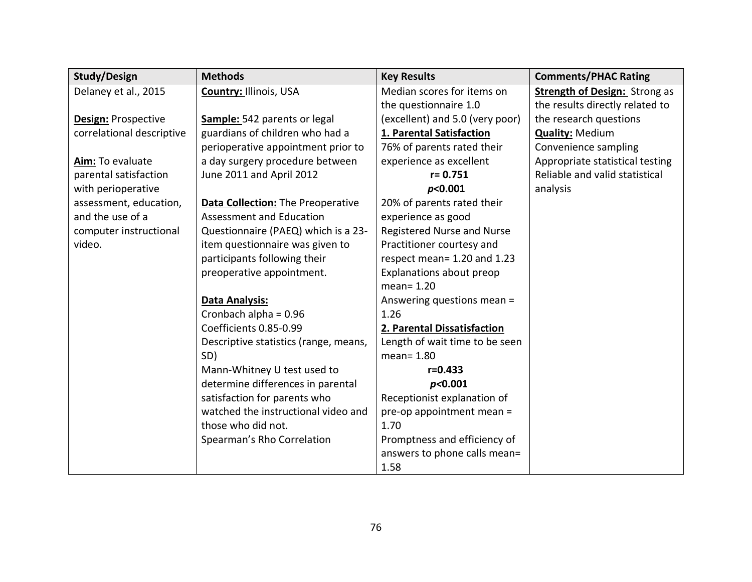| <b>Study/Design</b>        | <b>Methods</b>                        | <b>Key Results</b>              | <b>Comments/PHAC Rating</b>          |
|----------------------------|---------------------------------------|---------------------------------|--------------------------------------|
| Delaney et al., 2015       | <b>Country: Illinois, USA</b>         | Median scores for items on      | <b>Strength of Design: Strong as</b> |
|                            |                                       | the questionnaire 1.0           | the results directly related to      |
| <b>Design: Prospective</b> | Sample: 542 parents or legal          | (excellent) and 5.0 (very poor) | the research questions               |
| correlational descriptive  | guardians of children who had a       | 1. Parental Satisfaction        | <b>Quality: Medium</b>               |
|                            | perioperative appointment prior to    | 76% of parents rated their      | Convenience sampling                 |
| Aim: To evaluate           | a day surgery procedure between       | experience as excellent         | Appropriate statistical testing      |
| parental satisfaction      | June 2011 and April 2012              | $r = 0.751$                     | Reliable and valid statistical       |
| with perioperative         |                                       | p<0.001                         | analysis                             |
| assessment, education,     | Data Collection: The Preoperative     | 20% of parents rated their      |                                      |
| and the use of a           | <b>Assessment and Education</b>       | experience as good              |                                      |
| computer instructional     | Questionnaire (PAEQ) which is a 23-   | Registered Nurse and Nurse      |                                      |
| video.                     | item questionnaire was given to       | Practitioner courtesy and       |                                      |
|                            | participants following their          | respect mean= 1.20 and 1.23     |                                      |
|                            | preoperative appointment.             | Explanations about preop        |                                      |
|                            |                                       | $mean = 1.20$                   |                                      |
|                            | Data Analysis:                        | Answering questions mean =      |                                      |
|                            | Cronbach alpha = 0.96                 | 1.26                            |                                      |
|                            | Coefficients 0.85-0.99                | 2. Parental Dissatisfaction     |                                      |
|                            | Descriptive statistics (range, means, | Length of wait time to be seen  |                                      |
|                            | SD)                                   | mean= 1.80                      |                                      |
|                            | Mann-Whitney U test used to           | $r = 0.433$                     |                                      |
|                            | determine differences in parental     | p<0.001                         |                                      |
|                            | satisfaction for parents who          | Receptionist explanation of     |                                      |
|                            | watched the instructional video and   | pre-op appointment mean =       |                                      |
|                            | those who did not.                    | 1.70                            |                                      |
|                            | Spearman's Rho Correlation            | Promptness and efficiency of    |                                      |
|                            |                                       | answers to phone calls mean=    |                                      |
|                            |                                       | 1.58                            |                                      |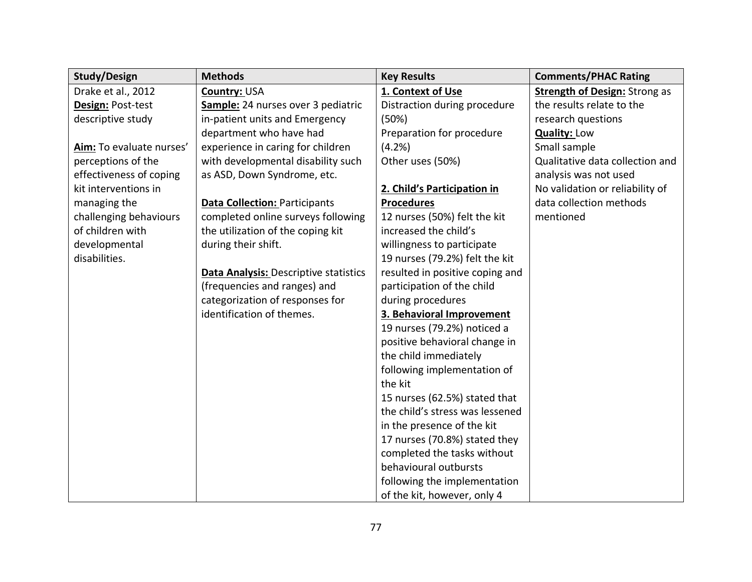| <b>Study/Design</b>      | <b>Methods</b>                               | <b>Key Results</b>              | <b>Comments/PHAC Rating</b>          |
|--------------------------|----------------------------------------------|---------------------------------|--------------------------------------|
| Drake et al., 2012       | Country: USA                                 | 1. Context of Use               | <b>Strength of Design: Strong as</b> |
| Design: Post-test        | Sample: 24 nurses over 3 pediatric           | Distraction during procedure    | the results relate to the            |
| descriptive study        | in-patient units and Emergency               | (50%)                           | research questions                   |
|                          | department who have had                      | Preparation for procedure       | <b>Quality: Low</b>                  |
| Aim: To evaluate nurses' | experience in caring for children            | (4.2%)                          | Small sample                         |
| perceptions of the       | with developmental disability such           | Other uses (50%)                | Qualitative data collection and      |
| effectiveness of coping  | as ASD, Down Syndrome, etc.                  |                                 | analysis was not used                |
| kit interventions in     |                                              | 2. Child's Participation in     | No validation or reliability of      |
| managing the             | <b>Data Collection: Participants</b>         | <b>Procedures</b>               | data collection methods              |
| challenging behaviours   | completed online surveys following           | 12 nurses (50%) felt the kit    | mentioned                            |
| of children with         | the utilization of the coping kit            | increased the child's           |                                      |
| developmental            | during their shift.                          | willingness to participate      |                                      |
| disabilities.            |                                              | 19 nurses (79.2%) felt the kit  |                                      |
|                          | <b>Data Analysis: Descriptive statistics</b> | resulted in positive coping and |                                      |
|                          | (frequencies and ranges) and                 | participation of the child      |                                      |
|                          | categorization of responses for              | during procedures               |                                      |
|                          | identification of themes.                    | 3. Behavioral Improvement       |                                      |
|                          |                                              | 19 nurses (79.2%) noticed a     |                                      |
|                          |                                              | positive behavioral change in   |                                      |
|                          |                                              | the child immediately           |                                      |
|                          |                                              | following implementation of     |                                      |
|                          |                                              | the kit                         |                                      |
|                          |                                              | 15 nurses (62.5%) stated that   |                                      |
|                          |                                              | the child's stress was lessened |                                      |
|                          |                                              | in the presence of the kit      |                                      |
|                          |                                              | 17 nurses (70.8%) stated they   |                                      |
|                          |                                              | completed the tasks without     |                                      |
|                          |                                              | behavioural outbursts           |                                      |
|                          |                                              | following the implementation    |                                      |
|                          |                                              | of the kit, however, only 4     |                                      |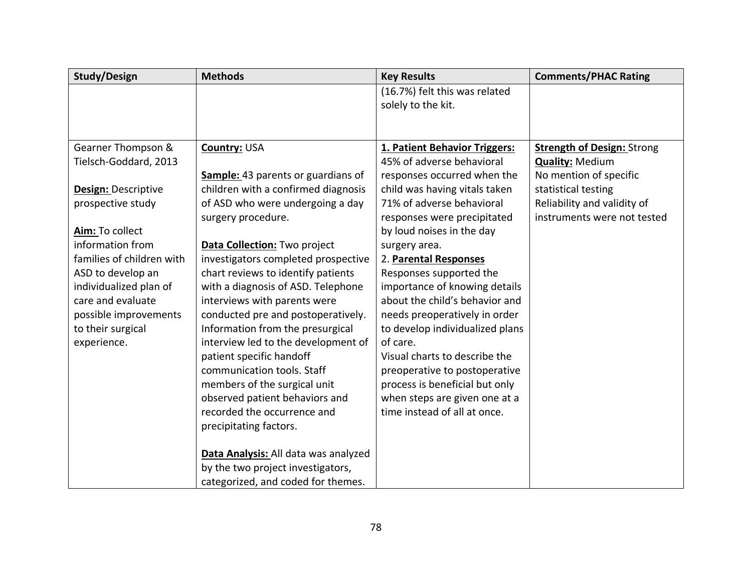| <b>Study/Design</b>       | <b>Methods</b>                            | <b>Key Results</b>              | <b>Comments/PHAC Rating</b>       |
|---------------------------|-------------------------------------------|---------------------------------|-----------------------------------|
|                           |                                           | (16.7%) felt this was related   |                                   |
|                           |                                           | solely to the kit.              |                                   |
|                           |                                           |                                 |                                   |
|                           |                                           |                                 |                                   |
| Gearner Thompson &        | Country: USA                              | 1. Patient Behavior Triggers:   | <b>Strength of Design: Strong</b> |
| Tielsch-Goddard, 2013     |                                           | 45% of adverse behavioral       | <b>Quality: Medium</b>            |
|                           | <b>Sample:</b> 43 parents or guardians of | responses occurred when the     | No mention of specific            |
| Design: Descriptive       | children with a confirmed diagnosis       | child was having vitals taken   | statistical testing               |
| prospective study         | of ASD who were undergoing a day          | 71% of adverse behavioral       | Reliability and validity of       |
|                           | surgery procedure.                        | responses were precipitated     | instruments were not tested       |
| Aim: To collect           |                                           | by loud noises in the day       |                                   |
| information from          | Data Collection: Two project              | surgery area.                   |                                   |
| families of children with | investigators completed prospective       | 2. Parental Responses           |                                   |
| ASD to develop an         | chart reviews to identify patients        | Responses supported the         |                                   |
| individualized plan of    | with a diagnosis of ASD. Telephone        | importance of knowing details   |                                   |
| care and evaluate         | interviews with parents were              | about the child's behavior and  |                                   |
| possible improvements     | conducted pre and postoperatively.        | needs preoperatively in order   |                                   |
| to their surgical         | Information from the presurgical          | to develop individualized plans |                                   |
| experience.               | interview led to the development of       | of care.                        |                                   |
|                           | patient specific handoff                  | Visual charts to describe the   |                                   |
|                           | communication tools. Staff                | preoperative to postoperative   |                                   |
|                           | members of the surgical unit              | process is beneficial but only  |                                   |
|                           | observed patient behaviors and            | when steps are given one at a   |                                   |
|                           | recorded the occurrence and               | time instead of all at once.    |                                   |
|                           | precipitating factors.                    |                                 |                                   |
|                           |                                           |                                 |                                   |
|                           | Data Analysis: All data was analyzed      |                                 |                                   |
|                           | by the two project investigators,         |                                 |                                   |
|                           | categorized, and coded for themes.        |                                 |                                   |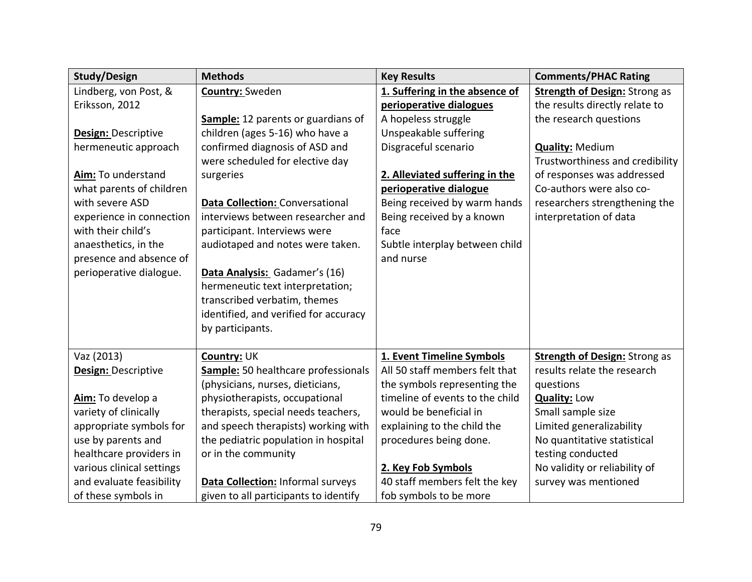| <b>Study/Design</b>       | <b>Methods</b>                         | <b>Key Results</b>              | <b>Comments/PHAC Rating</b>          |
|---------------------------|----------------------------------------|---------------------------------|--------------------------------------|
| Lindberg, von Post, &     | Country: Sweden                        | 1. Suffering in the absence of  | <b>Strength of Design: Strong as</b> |
| Eriksson, 2012            |                                        | perioperative dialogues         | the results directly relate to       |
|                           | Sample: 12 parents or guardians of     | A hopeless struggle             | the research questions               |
| Design: Descriptive       | children (ages 5-16) who have a        | Unspeakable suffering           |                                      |
| hermeneutic approach      | confirmed diagnosis of ASD and         | Disgraceful scenario            | <b>Quality: Medium</b>               |
|                           | were scheduled for elective day        |                                 | Trustworthiness and credibility      |
| Aim: To understand        | surgeries                              | 2. Alleviated suffering in the  | of responses was addressed           |
| what parents of children  |                                        | perioperative dialogue          | Co-authors were also co-             |
| with severe ASD           | <b>Data Collection: Conversational</b> | Being received by warm hands    | researchers strengthening the        |
| experience in connection  | interviews between researcher and      | Being received by a known       | interpretation of data               |
| with their child's        | participant. Interviews were           | face                            |                                      |
| anaesthetics, in the      | audiotaped and notes were taken.       | Subtle interplay between child  |                                      |
| presence and absence of   |                                        | and nurse                       |                                      |
| perioperative dialogue.   | Data Analysis: Gadamer's (16)          |                                 |                                      |
|                           | hermeneutic text interpretation;       |                                 |                                      |
|                           | transcribed verbatim, themes           |                                 |                                      |
|                           | identified, and verified for accuracy  |                                 |                                      |
|                           | by participants.                       |                                 |                                      |
|                           |                                        |                                 |                                      |
| Vaz (2013)                | Country: UK                            | 1. Event Timeline Symbols       | <b>Strength of Design: Strong as</b> |
| Design: Descriptive       | Sample: 50 healthcare professionals    | All 50 staff members felt that  | results relate the research          |
|                           | (physicians, nurses, dieticians,       | the symbols representing the    | questions                            |
| Aim: To develop a         | physiotherapists, occupational         | timeline of events to the child | <b>Quality: Low</b>                  |
| variety of clinically     | therapists, special needs teachers,    | would be beneficial in          | Small sample size                    |
| appropriate symbols for   | and speech therapists) working with    | explaining to the child the     | Limited generalizability             |
| use by parents and        | the pediatric population in hospital   | procedures being done.          | No quantitative statistical          |
| healthcare providers in   | or in the community                    |                                 | testing conducted                    |
| various clinical settings |                                        | 2. Key Fob Symbols              | No validity or reliability of        |
| and evaluate feasibility  | Data Collection: Informal surveys      | 40 staff members felt the key   | survey was mentioned                 |
| of these symbols in       | given to all participants to identify  | fob symbols to be more          |                                      |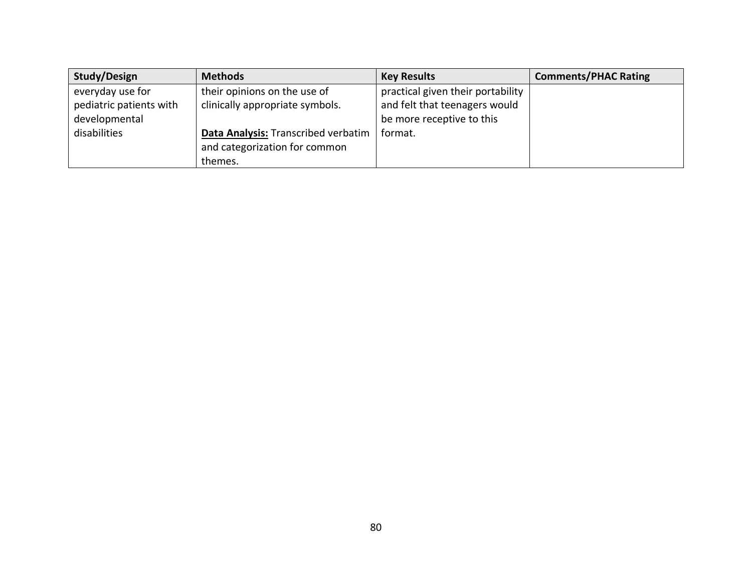| <b>Study/Design</b>     | <b>Methods</b>                      | <b>Key Results</b>                | <b>Comments/PHAC Rating</b> |
|-------------------------|-------------------------------------|-----------------------------------|-----------------------------|
| everyday use for        | their opinions on the use of        | practical given their portability |                             |
| pediatric patients with | clinically appropriate symbols.     | and felt that teenagers would     |                             |
| developmental           |                                     | be more receptive to this         |                             |
| disabilities            | Data Analysis: Transcribed verbatim | format.                           |                             |
|                         | and categorization for common       |                                   |                             |
|                         | themes.                             |                                   |                             |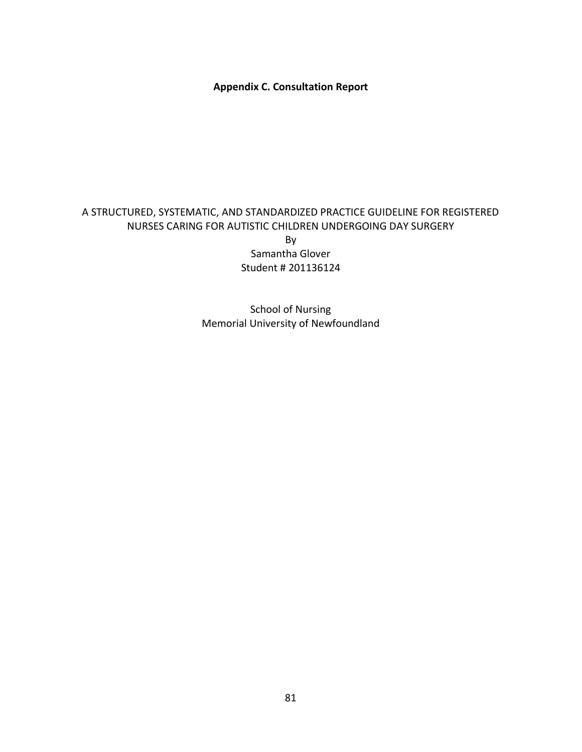**Appendix C. Consultation Report**

## A STRUCTURED, SYSTEMATIC, AND STANDARDIZED PRACTICE GUIDELINE FOR REGISTERED NURSES CARING FOR AUTISTIC CHILDREN UNDERGOING DAY SURGERY By

Samantha Glover Student # 201136124

School of Nursing Memorial University of Newfoundland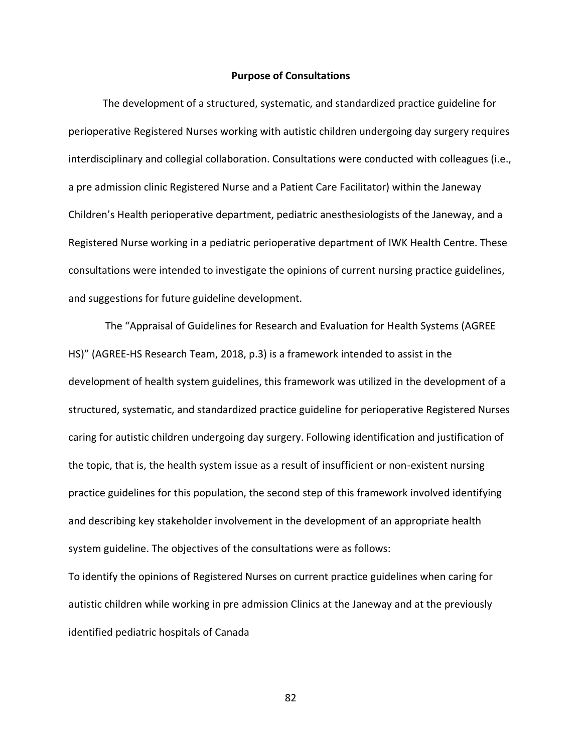#### **Purpose of Consultations**

The development of a structured, systematic, and standardized practice guideline for perioperative Registered Nurses working with autistic children undergoing day surgery requires interdisciplinary and collegial collaboration. Consultations were conducted with colleagues (i.e., a pre admission clinic Registered Nurse and a Patient Care Facilitator) within the Janeway Children's Health perioperative department, pediatric anesthesiologists of the Janeway, and a Registered Nurse working in a pediatric perioperative department of IWK Health Centre. These consultations were intended to investigate the opinions of current nursing practice guidelines, and suggestions for future guideline development.

The "Appraisal of Guidelines for Research and Evaluation for Health Systems (AGREE HS)" (AGREE-HS Research Team, 2018, p.3) is a framework intended to assist in the development of health system guidelines, this framework was utilized in the development of a structured, systematic, and standardized practice guideline for perioperative Registered Nurses caring for autistic children undergoing day surgery. Following identification and justification of the topic, that is, the health system issue as a result of insufficient or non-existent nursing practice guidelines for this population, the second step of this framework involved identifying and describing key stakeholder involvement in the development of an appropriate health system guideline. The objectives of the consultations were as follows:

To identify the opinions of Registered Nurses on current practice guidelines when caring for autistic children while working in pre admission Clinics at the Janeway and at the previously identified pediatric hospitals of Canada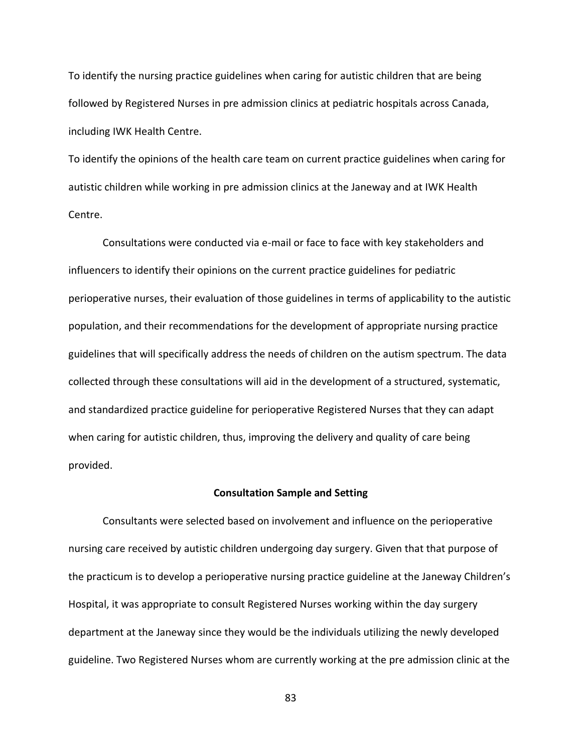To identify the nursing practice guidelines when caring for autistic children that are being followed by Registered Nurses in pre admission clinics at pediatric hospitals across Canada, including IWK Health Centre.

To identify the opinions of the health care team on current practice guidelines when caring for autistic children while working in pre admission clinics at the Janeway and at IWK Health Centre.

Consultations were conducted via e-mail or face to face with key stakeholders and influencers to identify their opinions on the current practice guidelines for pediatric perioperative nurses, their evaluation of those guidelines in terms of applicability to the autistic population, and their recommendations for the development of appropriate nursing practice guidelines that will specifically address the needs of children on the autism spectrum. The data collected through these consultations will aid in the development of a structured, systematic, and standardized practice guideline for perioperative Registered Nurses that they can adapt when caring for autistic children, thus, improving the delivery and quality of care being provided.

#### **Consultation Sample and Setting**

Consultants were selected based on involvement and influence on the perioperative nursing care received by autistic children undergoing day surgery. Given that that purpose of the practicum is to develop a perioperative nursing practice guideline at the Janeway Children's Hospital, it was appropriate to consult Registered Nurses working within the day surgery department at the Janeway since they would be the individuals utilizing the newly developed guideline. Two Registered Nurses whom are currently working at the pre admission clinic at the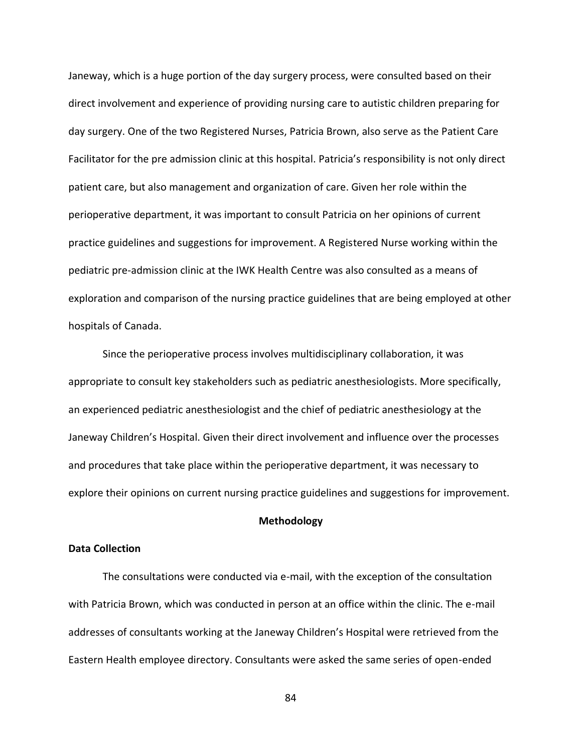Janeway, which is a huge portion of the day surgery process, were consulted based on their direct involvement and experience of providing nursing care to autistic children preparing for day surgery. One of the two Registered Nurses, Patricia Brown, also serve as the Patient Care Facilitator for the pre admission clinic at this hospital. Patricia's responsibility is not only direct patient care, but also management and organization of care. Given her role within the perioperative department, it was important to consult Patricia on her opinions of current practice guidelines and suggestions for improvement. A Registered Nurse working within the pediatric pre-admission clinic at the IWK Health Centre was also consulted as a means of exploration and comparison of the nursing practice guidelines that are being employed at other hospitals of Canada.

Since the perioperative process involves multidisciplinary collaboration, it was appropriate to consult key stakeholders such as pediatric anesthesiologists. More specifically, an experienced pediatric anesthesiologist and the chief of pediatric anesthesiology at the Janeway Children's Hospital. Given their direct involvement and influence over the processes and procedures that take place within the perioperative department, it was necessary to explore their opinions on current nursing practice guidelines and suggestions for improvement.

#### **Methodology**

#### **Data Collection**

The consultations were conducted via e-mail, with the exception of the consultation with Patricia Brown, which was conducted in person at an office within the clinic. The e-mail addresses of consultants working at the Janeway Children's Hospital were retrieved from the Eastern Health employee directory. Consultants were asked the same series of open-ended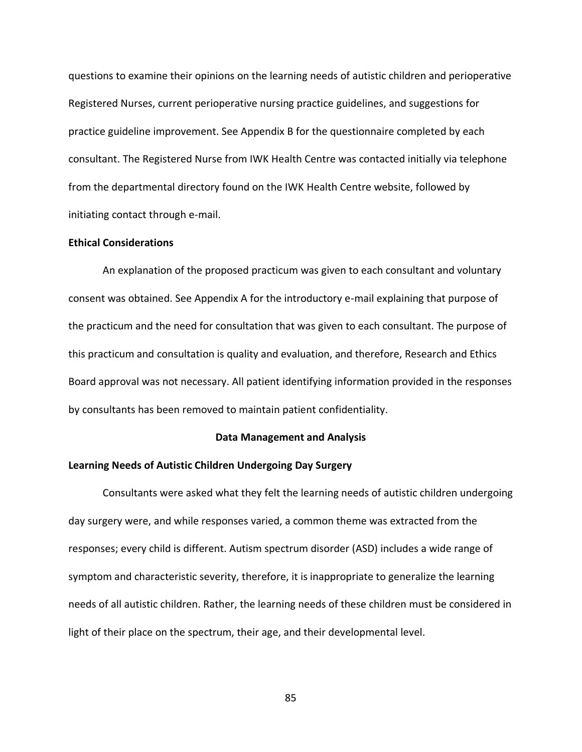questions to examine their opinions on the learning needs of autistic children and perioperative Registered Nurses, current perioperative nursing practice guidelines, and suggestions for practice guideline improvement. See Appendix B for the questionnaire completed by each consultant. The Registered Nurse from IWK Health Centre was contacted initially via telephone from the departmental directory found on the IWK Health Centre website, followed by initiating contact through e-mail.

#### **Ethical Considerations**

An explanation of the proposed practicum was given to each consultant and voluntary consent was obtained. See Appendix A for the introductory e-mail explaining that purpose of the practicum and the need for consultation that was given to each consultant. The purpose of this practicum and consultation is quality and evaluation, and therefore, Research and Ethics Board approval was not necessary. All patient identifying information provided in the responses by consultants has been removed to maintain patient confidentiality.

#### **Data Management and Analysis**

#### **Learning Needs of Autistic Children Undergoing Day Surgery**

Consultants were asked what they felt the learning needs of autistic children undergoing day surgery were, and while responses varied, a common theme was extracted from the responses; every child is different. Autism spectrum disorder (ASD) includes a wide range of symptom and characteristic severity, therefore, it is inappropriate to generalize the learning needs of all autistic children. Rather, the learning needs of these children must be considered in light of their place on the spectrum, their age, and their developmental level.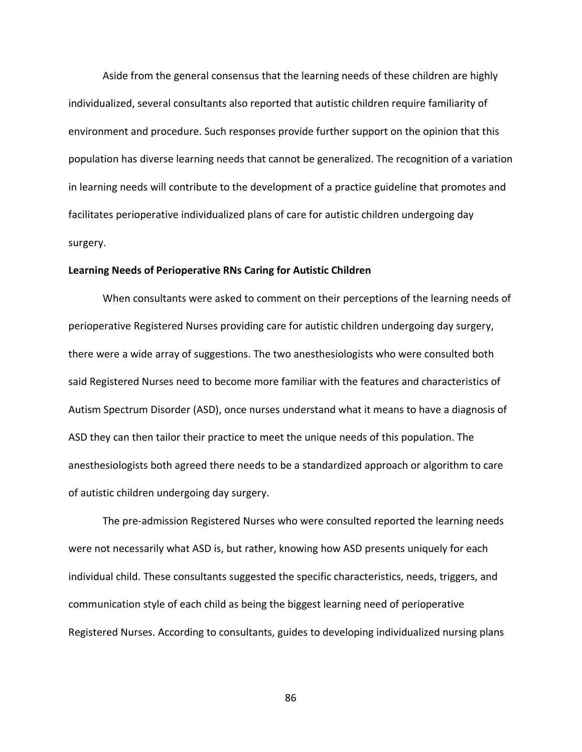Aside from the general consensus that the learning needs of these children are highly individualized, several consultants also reported that autistic children require familiarity of environment and procedure. Such responses provide further support on the opinion that this population has diverse learning needs that cannot be generalized. The recognition of a variation in learning needs will contribute to the development of a practice guideline that promotes and facilitates perioperative individualized plans of care for autistic children undergoing day surgery.

#### **Learning Needs of Perioperative RNs Caring for Autistic Children**

When consultants were asked to comment on their perceptions of the learning needs of perioperative Registered Nurses providing care for autistic children undergoing day surgery, there were a wide array of suggestions. The two anesthesiologists who were consulted both said Registered Nurses need to become more familiar with the features and characteristics of Autism Spectrum Disorder (ASD), once nurses understand what it means to have a diagnosis of ASD they can then tailor their practice to meet the unique needs of this population. The anesthesiologists both agreed there needs to be a standardized approach or algorithm to care of autistic children undergoing day surgery.

The pre-admission Registered Nurses who were consulted reported the learning needs were not necessarily what ASD is, but rather, knowing how ASD presents uniquely for each individual child. These consultants suggested the specific characteristics, needs, triggers, and communication style of each child as being the biggest learning need of perioperative Registered Nurses. According to consultants, guides to developing individualized nursing plans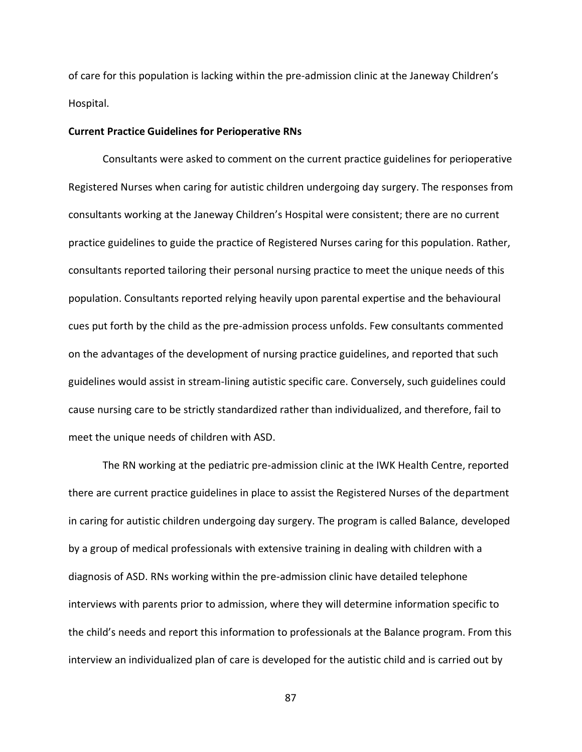of care for this population is lacking within the pre-admission clinic at the Janeway Children's Hospital.

#### **Current Practice Guidelines for Perioperative RNs**

Consultants were asked to comment on the current practice guidelines for perioperative Registered Nurses when caring for autistic children undergoing day surgery. The responses from consultants working at the Janeway Children's Hospital were consistent; there are no current practice guidelines to guide the practice of Registered Nurses caring for this population. Rather, consultants reported tailoring their personal nursing practice to meet the unique needs of this population. Consultants reported relying heavily upon parental expertise and the behavioural cues put forth by the child as the pre-admission process unfolds. Few consultants commented on the advantages of the development of nursing practice guidelines, and reported that such guidelines would assist in stream-lining autistic specific care. Conversely, such guidelines could cause nursing care to be strictly standardized rather than individualized, and therefore, fail to meet the unique needs of children with ASD.

The RN working at the pediatric pre-admission clinic at the IWK Health Centre, reported there are current practice guidelines in place to assist the Registered Nurses of the department in caring for autistic children undergoing day surgery. The program is called Balance, developed by a group of medical professionals with extensive training in dealing with children with a diagnosis of ASD. RNs working within the pre-admission clinic have detailed telephone interviews with parents prior to admission, where they will determine information specific to the child's needs and report this information to professionals at the Balance program. From this interview an individualized plan of care is developed for the autistic child and is carried out by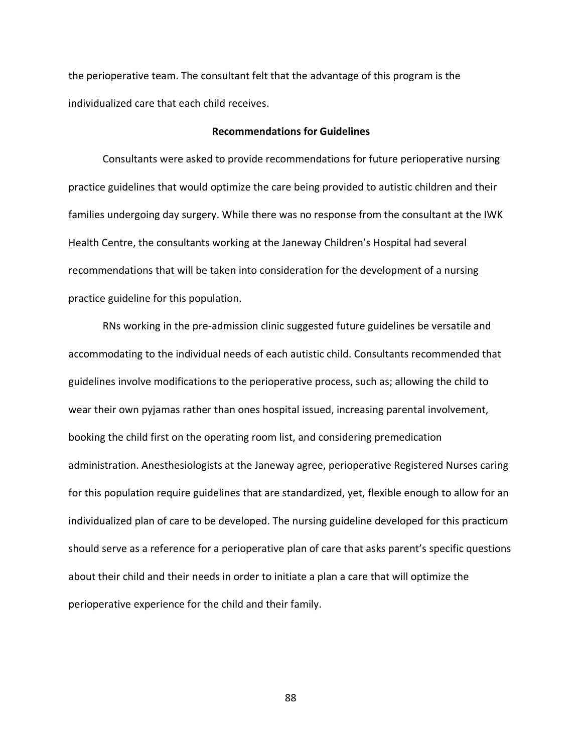the perioperative team. The consultant felt that the advantage of this program is the individualized care that each child receives.

#### **Recommendations for Guidelines**

Consultants were asked to provide recommendations for future perioperative nursing practice guidelines that would optimize the care being provided to autistic children and their families undergoing day surgery. While there was no response from the consultant at the IWK Health Centre, the consultants working at the Janeway Children's Hospital had several recommendations that will be taken into consideration for the development of a nursing practice guideline for this population.

RNs working in the pre-admission clinic suggested future guidelines be versatile and accommodating to the individual needs of each autistic child. Consultants recommended that guidelines involve modifications to the perioperative process, such as; allowing the child to wear their own pyjamas rather than ones hospital issued, increasing parental involvement, booking the child first on the operating room list, and considering premedication administration. Anesthesiologists at the Janeway agree, perioperative Registered Nurses caring for this population require guidelines that are standardized, yet, flexible enough to allow for an individualized plan of care to be developed. The nursing guideline developed for this practicum should serve as a reference for a perioperative plan of care that asks parent's specific questions about their child and their needs in order to initiate a plan a care that will optimize the perioperative experience for the child and their family.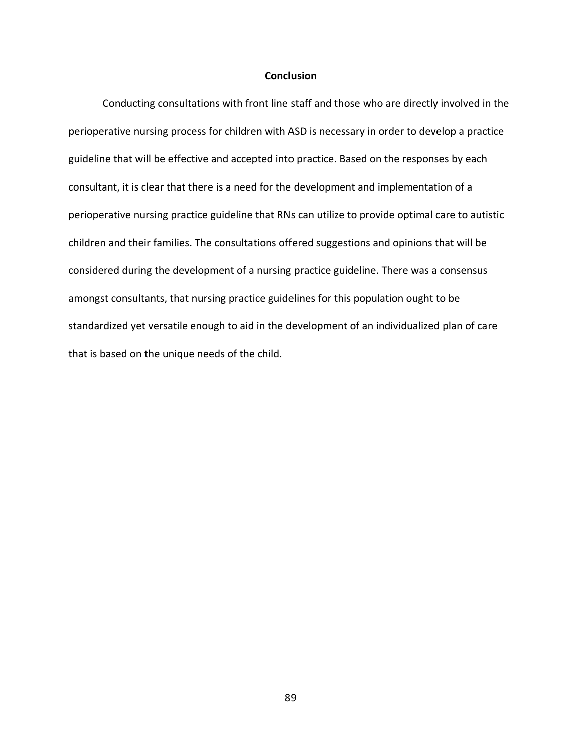#### **Conclusion**

Conducting consultations with front line staff and those who are directly involved in the perioperative nursing process for children with ASD is necessary in order to develop a practice guideline that will be effective and accepted into practice. Based on the responses by each consultant, it is clear that there is a need for the development and implementation of a perioperative nursing practice guideline that RNs can utilize to provide optimal care to autistic children and their families. The consultations offered suggestions and opinions that will be considered during the development of a nursing practice guideline. There was a consensus amongst consultants, that nursing practice guidelines for this population ought to be standardized yet versatile enough to aid in the development of an individualized plan of care that is based on the unique needs of the child.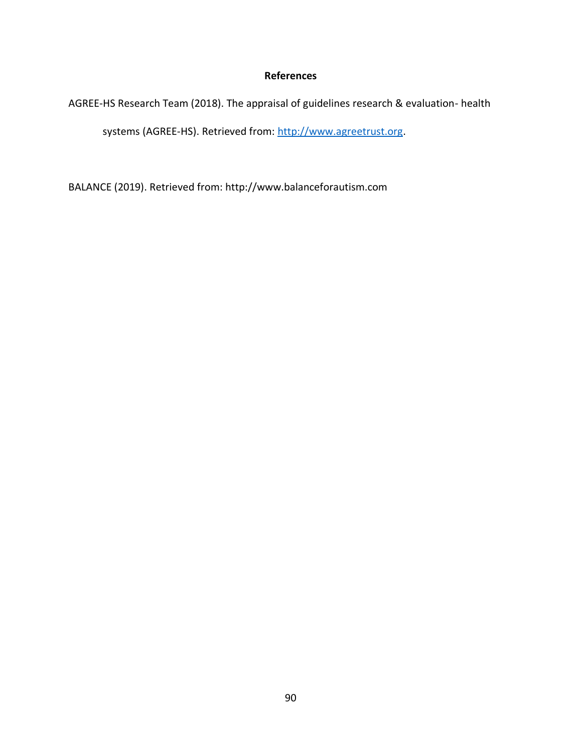## **References**

AGREE-HS Research Team (2018). The appraisal of guidelines research & evaluation- health

systems (AGREE-HS). Retrieved from[: http://www.agreetrust.org.](http://www.agreetrust.org/)

BALANCE (2019). Retrieved from: http://www.balanceforautism.com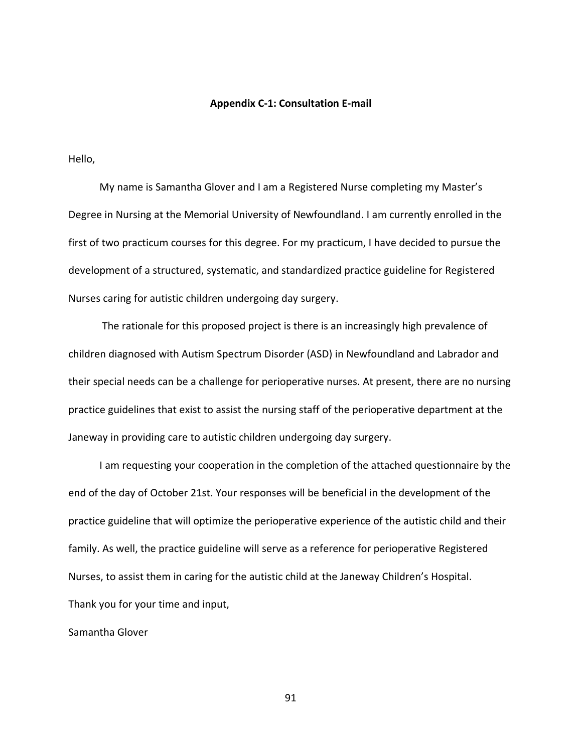#### **Appendix C-1: Consultation E-mail**

Hello,

 My name is Samantha Glover and I am a Registered Nurse completing my Master's Degree in Nursing at the Memorial University of Newfoundland. I am currently enrolled in the first of two practicum courses for this degree. For my practicum, I have decided to pursue the development of a structured, systematic, and standardized practice guideline for Registered Nurses caring for autistic children undergoing day surgery.

 The rationale for this proposed project is there is an increasingly high prevalence of children diagnosed with Autism Spectrum Disorder (ASD) in Newfoundland and Labrador and their special needs can be a challenge for perioperative nurses. At present, there are no nursing practice guidelines that exist to assist the nursing staff of the perioperative department at the Janeway in providing care to autistic children undergoing day surgery.

 I am requesting your cooperation in the completion of the attached questionnaire by the end of the day of October 21st. Your responses will be beneficial in the development of the practice guideline that will optimize the perioperative experience of the autistic child and their family. As well, the practice guideline will serve as a reference for perioperative Registered Nurses, to assist them in caring for the autistic child at the Janeway Children's Hospital. Thank you for your time and input,

Samantha Glover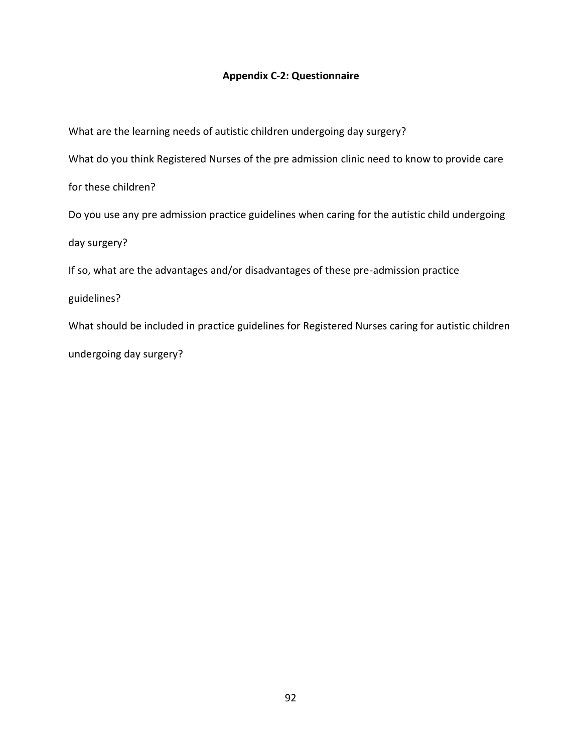## **Appendix C-2: Questionnaire**

What are the learning needs of autistic children undergoing day surgery? What do you think Registered Nurses of the pre admission clinic need to know to provide care for these children? Do you use any pre admission practice guidelines when caring for the autistic child undergoing day surgery? If so, what are the advantages and/or disadvantages of these pre-admission practice guidelines? What should be included in practice guidelines for Registered Nurses caring for autistic children

undergoing day surgery?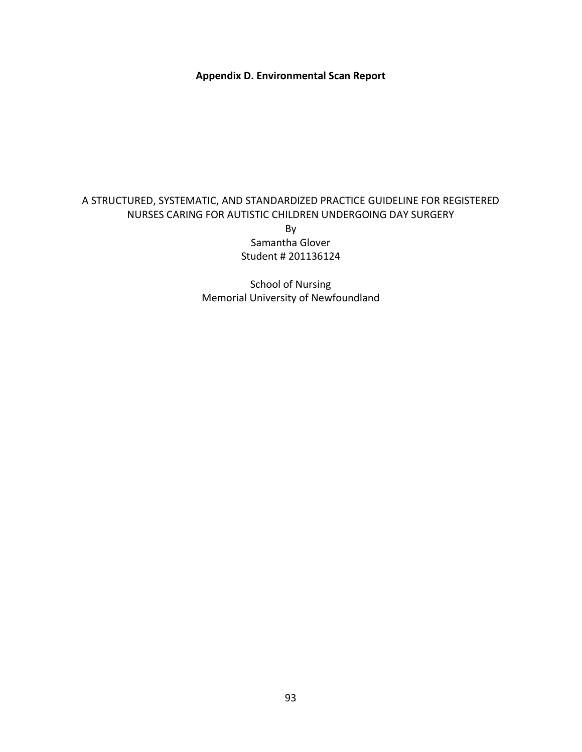**Appendix D. Environmental Scan Report**

## A STRUCTURED, SYSTEMATIC, AND STANDARDIZED PRACTICE GUIDELINE FOR REGISTERED NURSES CARING FOR AUTISTIC CHILDREN UNDERGOING DAY SURGERY

By Samantha Glover Student # 201136124

School of Nursing Memorial University of Newfoundland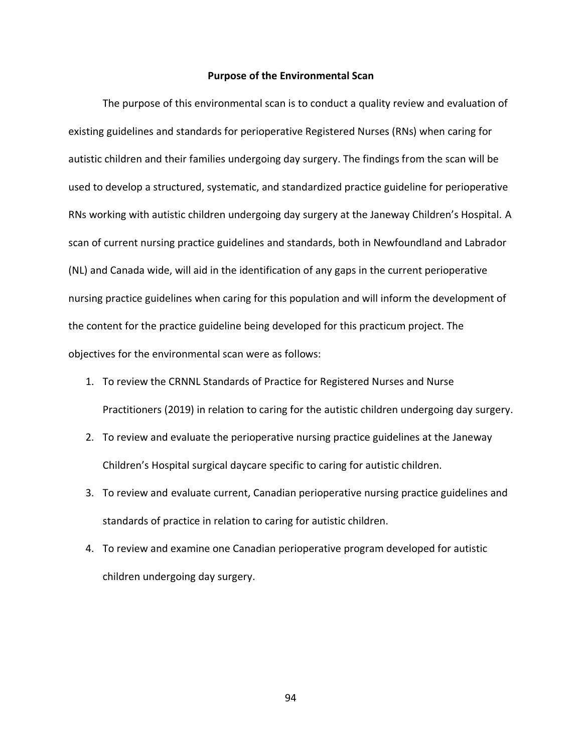#### **Purpose of the Environmental Scan**

The purpose of this environmental scan is to conduct a quality review and evaluation of existing guidelines and standards for perioperative Registered Nurses (RNs) when caring for autistic children and their families undergoing day surgery. The findings from the scan will be used to develop a structured, systematic, and standardized practice guideline for perioperative RNs working with autistic children undergoing day surgery at the Janeway Children's Hospital. A scan of current nursing practice guidelines and standards, both in Newfoundland and Labrador (NL) and Canada wide, will aid in the identification of any gaps in the current perioperative nursing practice guidelines when caring for this population and will inform the development of the content for the practice guideline being developed for this practicum project. The objectives for the environmental scan were as follows:

- 1. To review the CRNNL Standards of Practice for Registered Nurses and Nurse Practitioners (2019) in relation to caring for the autistic children undergoing day surgery.
- 2. To review and evaluate the perioperative nursing practice guidelines at the Janeway Children's Hospital surgical daycare specific to caring for autistic children.
- 3. To review and evaluate current, Canadian perioperative nursing practice guidelines and standards of practice in relation to caring for autistic children.
- 4. To review and examine one Canadian perioperative program developed for autistic children undergoing day surgery.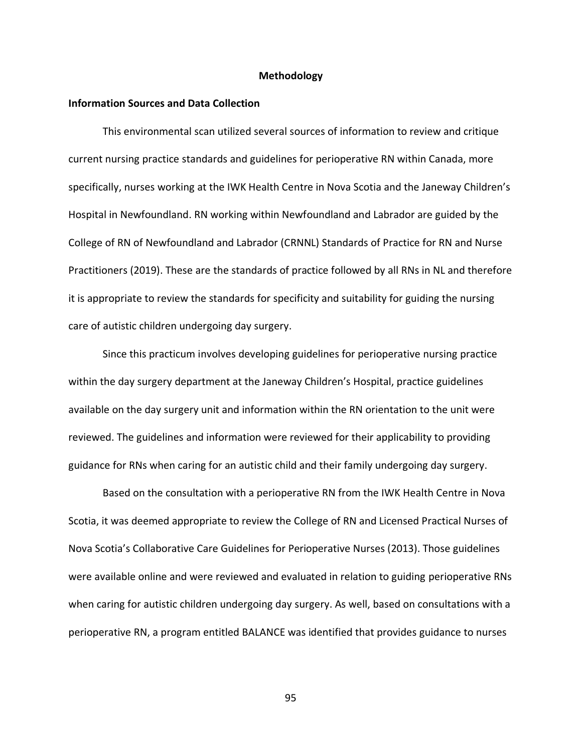#### **Methodology**

#### **Information Sources and Data Collection**

This environmental scan utilized several sources of information to review and critique current nursing practice standards and guidelines for perioperative RN within Canada, more specifically, nurses working at the IWK Health Centre in Nova Scotia and the Janeway Children's Hospital in Newfoundland. RN working within Newfoundland and Labrador are guided by the College of RN of Newfoundland and Labrador (CRNNL) Standards of Practice for RN and Nurse Practitioners (2019). These are the standards of practice followed by all RNs in NL and therefore it is appropriate to review the standards for specificity and suitability for guiding the nursing care of autistic children undergoing day surgery.

Since this practicum involves developing guidelines for perioperative nursing practice within the day surgery department at the Janeway Children's Hospital, practice guidelines available on the day surgery unit and information within the RN orientation to the unit were reviewed. The guidelines and information were reviewed for their applicability to providing guidance for RNs when caring for an autistic child and their family undergoing day surgery.

Based on the consultation with a perioperative RN from the IWK Health Centre in Nova Scotia, it was deemed appropriate to review the College of RN and Licensed Practical Nurses of Nova Scotia's Collaborative Care Guidelines for Perioperative Nurses (2013). Those guidelines were available online and were reviewed and evaluated in relation to guiding perioperative RNs when caring for autistic children undergoing day surgery. As well, based on consultations with a perioperative RN, a program entitled BALANCE was identified that provides guidance to nurses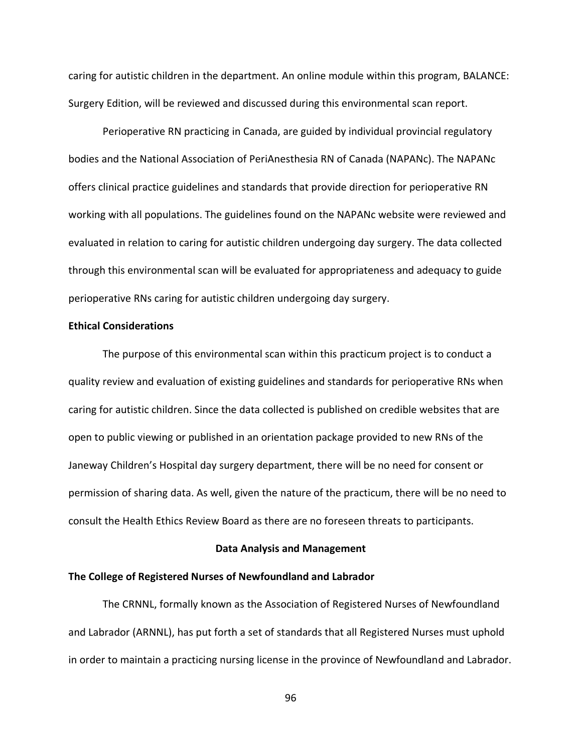caring for autistic children in the department. An online module within this program, BALANCE: Surgery Edition, will be reviewed and discussed during this environmental scan report.

Perioperative RN practicing in Canada, are guided by individual provincial regulatory bodies and the National Association of PeriAnesthesia RN of Canada (NAPANc). The NAPANc offers clinical practice guidelines and standards that provide direction for perioperative RN working with all populations. The guidelines found on the NAPANc website were reviewed and evaluated in relation to caring for autistic children undergoing day surgery. The data collected through this environmental scan will be evaluated for appropriateness and adequacy to guide perioperative RNs caring for autistic children undergoing day surgery.

#### **Ethical Considerations**

The purpose of this environmental scan within this practicum project is to conduct a quality review and evaluation of existing guidelines and standards for perioperative RNs when caring for autistic children. Since the data collected is published on credible websites that are open to public viewing or published in an orientation package provided to new RNs of the Janeway Children's Hospital day surgery department, there will be no need for consent or permission of sharing data. As well, given the nature of the practicum, there will be no need to consult the Health Ethics Review Board as there are no foreseen threats to participants.

#### **Data Analysis and Management**

#### **The College of Registered Nurses of Newfoundland and Labrador**

The CRNNL, formally known as the Association of Registered Nurses of Newfoundland and Labrador (ARNNL), has put forth a set of standards that all Registered Nurses must uphold in order to maintain a practicing nursing license in the province of Newfoundland and Labrador.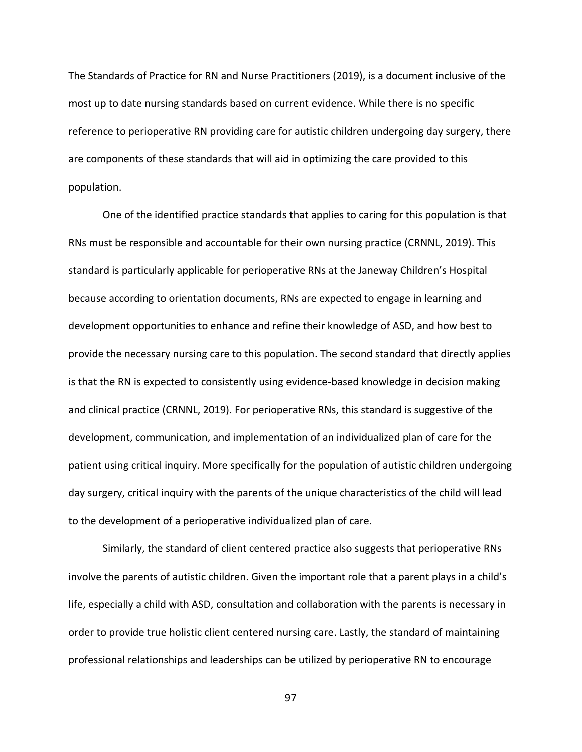The Standards of Practice for RN and Nurse Practitioners (2019), is a document inclusive of the most up to date nursing standards based on current evidence. While there is no specific reference to perioperative RN providing care for autistic children undergoing day surgery, there are components of these standards that will aid in optimizing the care provided to this population.

One of the identified practice standards that applies to caring for this population is that RNs must be responsible and accountable for their own nursing practice (CRNNL, 2019). This standard is particularly applicable for perioperative RNs at the Janeway Children's Hospital because according to orientation documents, RNs are expected to engage in learning and development opportunities to enhance and refine their knowledge of ASD, and how best to provide the necessary nursing care to this population. The second standard that directly applies is that the RN is expected to consistently using evidence-based knowledge in decision making and clinical practice (CRNNL, 2019). For perioperative RNs, this standard is suggestive of the development, communication, and implementation of an individualized plan of care for the patient using critical inquiry. More specifically for the population of autistic children undergoing day surgery, critical inquiry with the parents of the unique characteristics of the child will lead to the development of a perioperative individualized plan of care.

Similarly, the standard of client centered practice also suggests that perioperative RNs involve the parents of autistic children. Given the important role that a parent plays in a child's life, especially a child with ASD, consultation and collaboration with the parents is necessary in order to provide true holistic client centered nursing care. Lastly, the standard of maintaining professional relationships and leaderships can be utilized by perioperative RN to encourage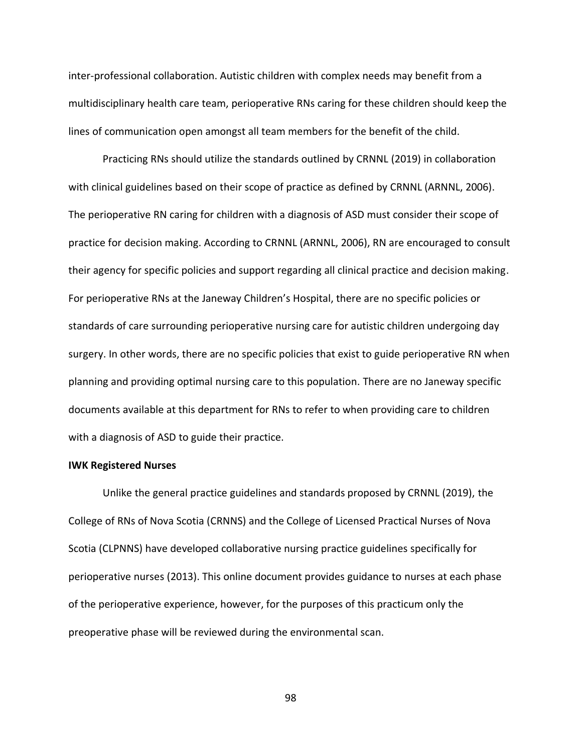inter-professional collaboration. Autistic children with complex needs may benefit from a multidisciplinary health care team, perioperative RNs caring for these children should keep the lines of communication open amongst all team members for the benefit of the child.

Practicing RNs should utilize the standards outlined by CRNNL (2019) in collaboration with clinical guidelines based on their scope of practice as defined by CRNNL (ARNNL, 2006). The perioperative RN caring for children with a diagnosis of ASD must consider their scope of practice for decision making. According to CRNNL (ARNNL, 2006), RN are encouraged to consult their agency for specific policies and support regarding all clinical practice and decision making. For perioperative RNs at the Janeway Children's Hospital, there are no specific policies or standards of care surrounding perioperative nursing care for autistic children undergoing day surgery. In other words, there are no specific policies that exist to guide perioperative RN when planning and providing optimal nursing care to this population. There are no Janeway specific documents available at this department for RNs to refer to when providing care to children with a diagnosis of ASD to guide their practice.

#### **IWK Registered Nurses**

Unlike the general practice guidelines and standards proposed by CRNNL (2019), the College of RNs of Nova Scotia (CRNNS) and the College of Licensed Practical Nurses of Nova Scotia (CLPNNS) have developed collaborative nursing practice guidelines specifically for perioperative nurses (2013). This online document provides guidance to nurses at each phase of the perioperative experience, however, for the purposes of this practicum only the preoperative phase will be reviewed during the environmental scan.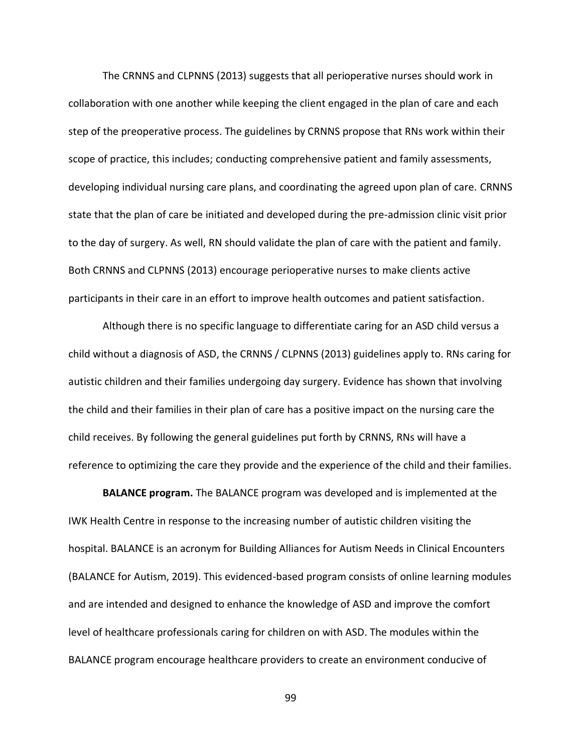The CRNNS and CLPNNS (2013) suggests that all perioperative nurses should work in collaboration with one another while keeping the client engaged in the plan of care and each step of the preoperative process. The guidelines by CRNNS propose that RNs work within their scope of practice, this includes; conducting comprehensive patient and family assessments, developing individual nursing care plans, and coordinating the agreed upon plan of care. CRNNS state that the plan of care be initiated and developed during the pre-admission clinic visit prior to the day of surgery. As well, RN should validate the plan of care with the patient and family. Both CRNNS and CLPNNS (2013) encourage perioperative nurses to make clients active participants in their care in an effort to improve health outcomes and patient satisfaction.

Although there is no specific language to differentiate caring for an ASD child versus a child without a diagnosis of ASD, the CRNNS / CLPNNS (2013) guidelines apply to. RNs caring for autistic children and their families undergoing day surgery. Evidence has shown that involving the child and their families in their plan of care has a positive impact on the nursing care the child receives. By following the general guidelines put forth by CRNNS, RNs will have a reference to optimizing the care they provide and the experience of the child and their families.

**BALANCE program.** The BALANCE program was developed and is implemented at the IWK Health Centre in response to the increasing number of autistic children visiting the hospital. BALANCE is an acronym for Building Alliances for Autism Needs in Clinical Encounters (BALANCE for Autism, 2019). This evidenced-based program consists of online learning modules and are intended and designed to enhance the knowledge of ASD and improve the comfort level of healthcare professionals caring for children on with ASD. The modules within the BALANCE program encourage healthcare providers to create an environment conducive of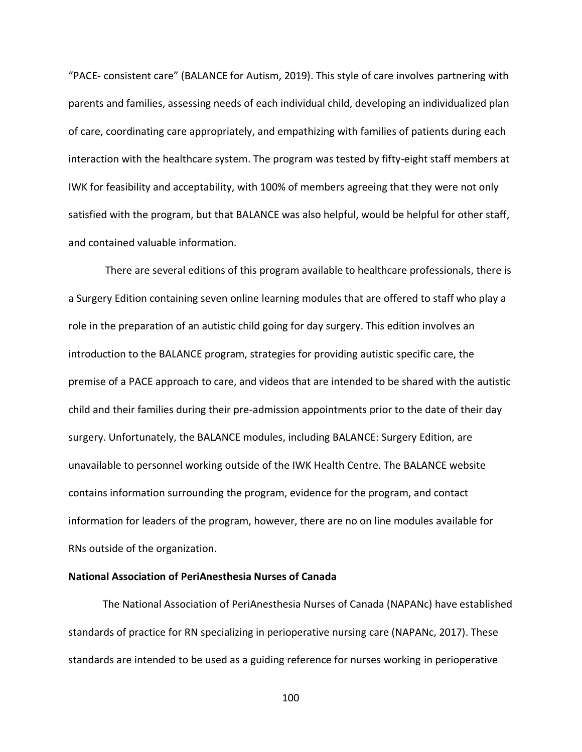"PACE- consistent care" (BALANCE for Autism, 2019). This style of care involves partnering with parents and families, assessing needs of each individual child, developing an individualized plan of care, coordinating care appropriately, and empathizing with families of patients during each interaction with the healthcare system. The program was tested by fifty-eight staff members at IWK for feasibility and acceptability, with 100% of members agreeing that they were not only satisfied with the program, but that BALANCE was also helpful, would be helpful for other staff, and contained valuable information.

There are several editions of this program available to healthcare professionals, there is a Surgery Edition containing seven online learning modules that are offered to staff who play a role in the preparation of an autistic child going for day surgery. This edition involves an introduction to the BALANCE program, strategies for providing autistic specific care, the premise of a PACE approach to care, and videos that are intended to be shared with the autistic child and their families during their pre-admission appointments prior to the date of their day surgery. Unfortunately, the BALANCE modules, including BALANCE: Surgery Edition, are unavailable to personnel working outside of the IWK Health Centre. The BALANCE website contains information surrounding the program, evidence for the program, and contact information for leaders of the program, however, there are no on line modules available for RNs outside of the organization.

#### **National Association of PeriAnesthesia Nurses of Canada**

The National Association of PeriAnesthesia Nurses of Canada (NAPANc) have established standards of practice for RN specializing in perioperative nursing care (NAPANc, 2017). These standards are intended to be used as a guiding reference for nurses working in perioperative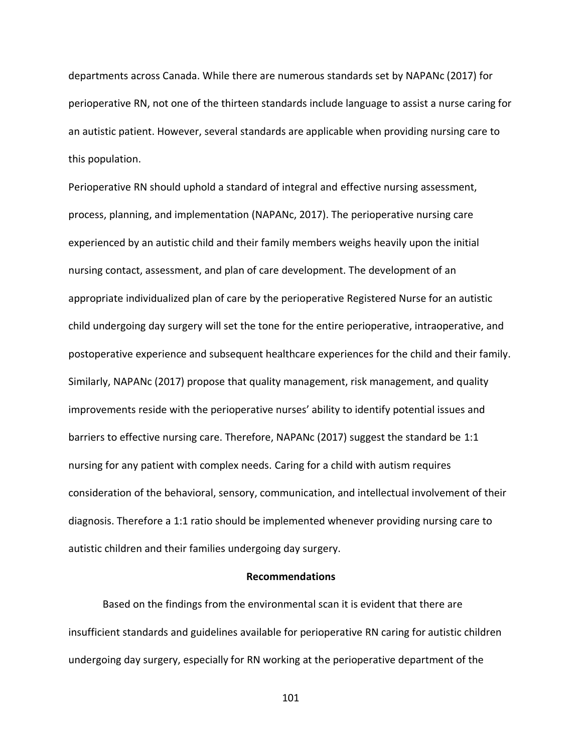departments across Canada. While there are numerous standards set by NAPANc (2017) for perioperative RN, not one of the thirteen standards include language to assist a nurse caring for an autistic patient. However, several standards are applicable when providing nursing care to this population.

Perioperative RN should uphold a standard of integral and effective nursing assessment, process, planning, and implementation (NAPANc, 2017). The perioperative nursing care experienced by an autistic child and their family members weighs heavily upon the initial nursing contact, assessment, and plan of care development. The development of an appropriate individualized plan of care by the perioperative Registered Nurse for an autistic child undergoing day surgery will set the tone for the entire perioperative, intraoperative, and postoperative experience and subsequent healthcare experiences for the child and their family. Similarly, NAPANc (2017) propose that quality management, risk management, and quality improvements reside with the perioperative nurses' ability to identify potential issues and barriers to effective nursing care. Therefore, NAPANc (2017) suggest the standard be 1:1 nursing for any patient with complex needs. Caring for a child with autism requires consideration of the behavioral, sensory, communication, and intellectual involvement of their diagnosis. Therefore a 1:1 ratio should be implemented whenever providing nursing care to autistic children and their families undergoing day surgery.

#### **Recommendations**

Based on the findings from the environmental scan it is evident that there are insufficient standards and guidelines available for perioperative RN caring for autistic children undergoing day surgery, especially for RN working at the perioperative department of the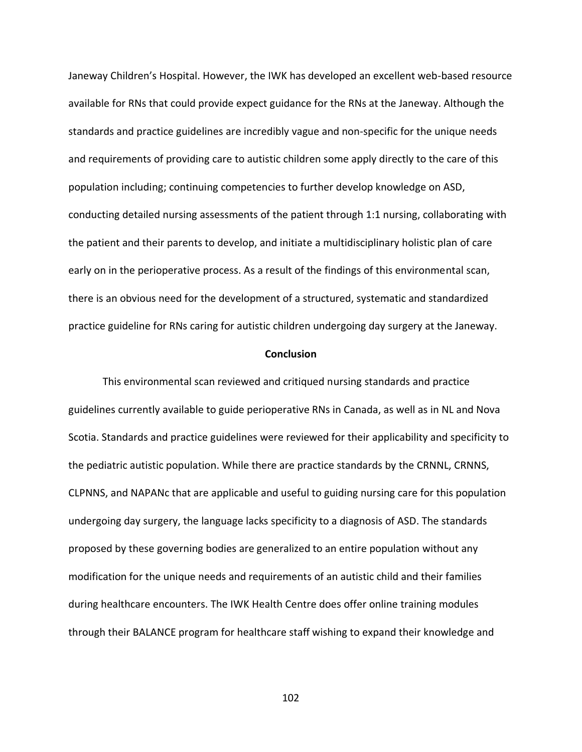Janeway Children's Hospital. However, the IWK has developed an excellent web-based resource available for RNs that could provide expect guidance for the RNs at the Janeway. Although the standards and practice guidelines are incredibly vague and non-specific for the unique needs and requirements of providing care to autistic children some apply directly to the care of this population including; continuing competencies to further develop knowledge on ASD, conducting detailed nursing assessments of the patient through 1:1 nursing, collaborating with the patient and their parents to develop, and initiate a multidisciplinary holistic plan of care early on in the perioperative process. As a result of the findings of this environmental scan, there is an obvious need for the development of a structured, systematic and standardized practice guideline for RNs caring for autistic children undergoing day surgery at the Janeway.

#### **Conclusion**

This environmental scan reviewed and critiqued nursing standards and practice guidelines currently available to guide perioperative RNs in Canada, as well as in NL and Nova Scotia. Standards and practice guidelines were reviewed for their applicability and specificity to the pediatric autistic population. While there are practice standards by the CRNNL, CRNNS, CLPNNS, and NAPANc that are applicable and useful to guiding nursing care for this population undergoing day surgery, the language lacks specificity to a diagnosis of ASD. The standards proposed by these governing bodies are generalized to an entire population without any modification for the unique needs and requirements of an autistic child and their families during healthcare encounters. The IWK Health Centre does offer online training modules through their BALANCE program for healthcare staff wishing to expand their knowledge and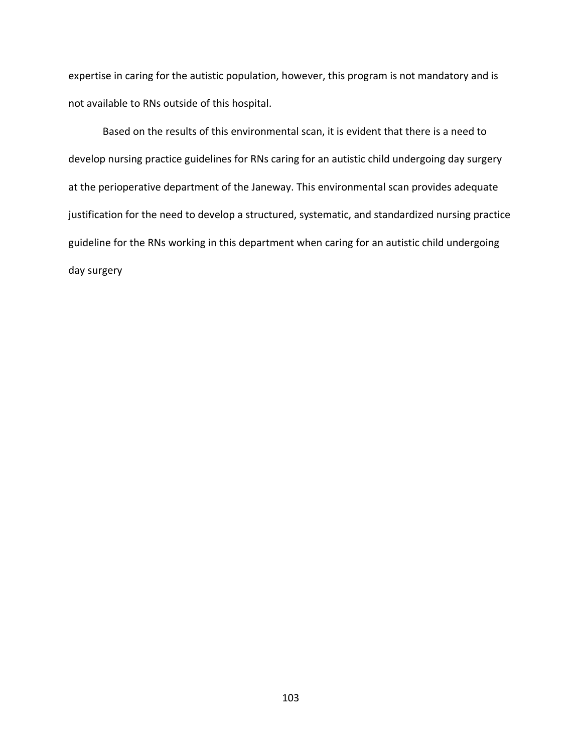expertise in caring for the autistic population, however, this program is not mandatory and is not available to RNs outside of this hospital.

Based on the results of this environmental scan, it is evident that there is a need to develop nursing practice guidelines for RNs caring for an autistic child undergoing day surgery at the perioperative department of the Janeway. This environmental scan provides adequate justification for the need to develop a structured, systematic, and standardized nursing practice guideline for the RNs working in this department when caring for an autistic child undergoing day surgery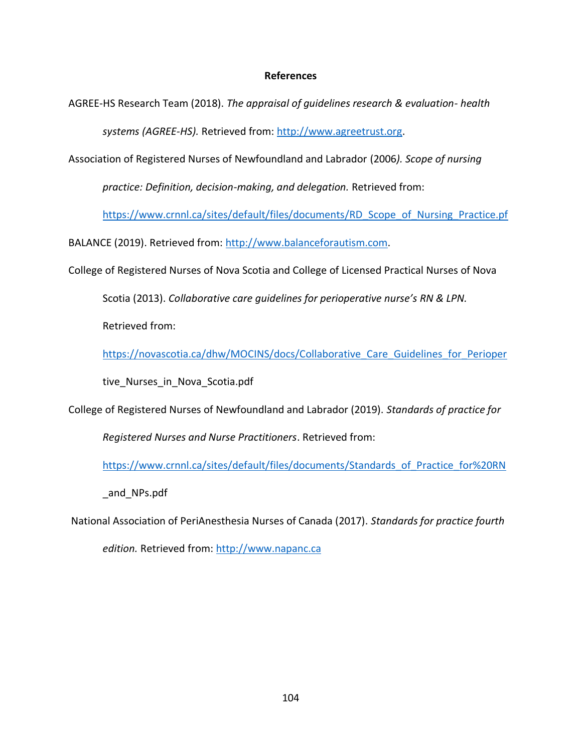#### **References**

AGREE-HS Research Team (2018). *The appraisal of guidelines research & evaluation- health systems (AGREE-HS).* Retrieved from: [http://www.agreetrust.org.](http://www.agreetrust.org/)

Association of Registered Nurses of Newfoundland and Labrador (2006*). Scope of nursing*

*practice: Definition, decision-making, and delegation.* Retrieved from:

[https://www.crnnl.ca/sites/default/files/documents/RD\\_Scope\\_of\\_Nursing\\_Practice.pf](https://www.crnnl.ca/sites/default/files/documents/RD_Scope_of_Nursing_Practice.pf)

BALANCE (2019). Retrieved from: [http://www.balanceforautism.com.](http://www.balanceforautism.com/)

College of Registered Nurses of Nova Scotia and College of Licensed Practical Nurses of Nova

Scotia (2013). *Collaborative care guidelines for perioperative nurse's RN & LPN.*

Retrieved from:

[https://novascotia.ca/dhw/MOCINS/docs/Collaborative\\_Care\\_Guidelines\\_for\\_Perioper](https://novascotia.ca/dhw/MOCINS/docs/Collaborative_Care_Guidelines_for_Perioper)

tive Nurses in Nova Scotia.pdf

College of Registered Nurses of Newfoundland and Labrador (2019). *Standards of practice for*

*Registered Nurses and Nurse Practitioners*. Retrieved from:

[https://www.crnnl.ca/sites/default/files/documents/Standards\\_of\\_Practice\\_for%20RN](https://www.crnnl.ca/sites/default/files/documents/Standards_of_Practice_for%20RN)

\_and\_NPs.pdf

National Association of PeriAnesthesia Nurses of Canada (2017). *Standards for practice fourth*

*edition.* Retrieved from: [http://www.napanc.ca](http://www.napanc.ca/)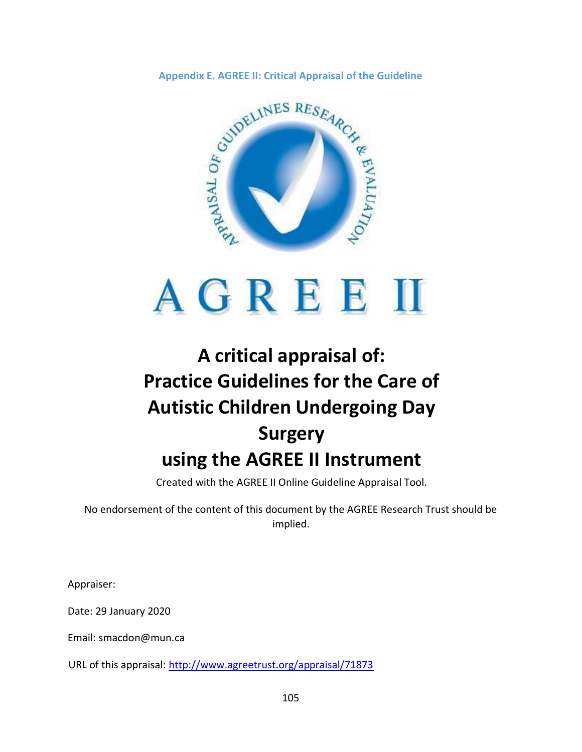

# **A critical appraisal of: Practice Guidelines for the Care of Autistic Children Undergoing Day Surgery using the AGREE II Instrument**

Created with the AGREE II Online Guideline Appraisal Tool.

No endorsement of the content of this document by the AGREE Research Trust should be implied.

Appraiser:

Date: 29 January 2020

Email: smacdon@mun.ca

URL of this appraisal:<http://www.agreetrust.org/appraisal/71873>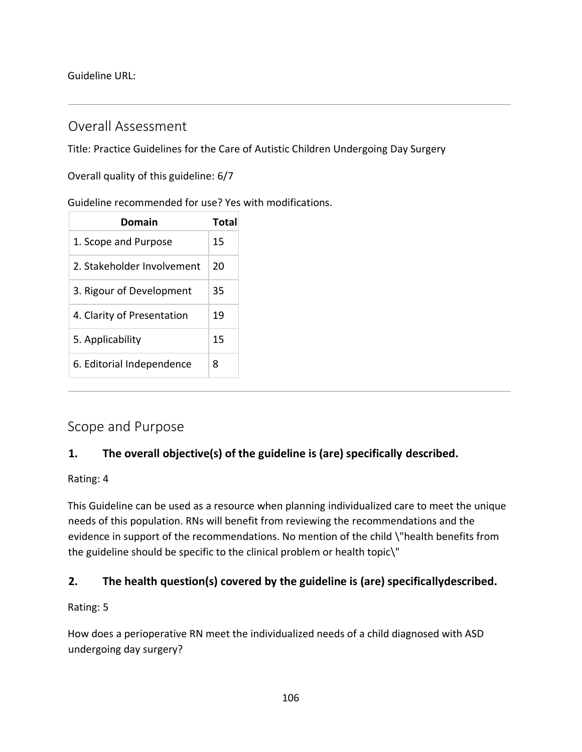Guideline URL:

# Overall Assessment

Title: Practice Guidelines for the Care of Autistic Children Undergoing Day Surgery

Overall quality of this guideline: 6/7

## Guideline recommended for use? Yes with modifications.

| Domain                     | Total |
|----------------------------|-------|
| 1. Scope and Purpose       | 15    |
| 2. Stakeholder Involvement | 20    |
| 3. Rigour of Development   | 35    |
| 4. Clarity of Presentation | 19    |
| 5. Applicability           | 15    |
| 6. Editorial Independence  | 8     |

# Scope and Purpose

# **1. The overall objective(s) of the guideline is (are) specifically described.**

## Rating: 4

This Guideline can be used as a resource when planning individualized care to meet the unique needs of this population. RNs will benefit from reviewing the recommendations and the evidence in support of the recommendations. No mention of the child \"health benefits from the guideline should be specific to the clinical problem or health topic\"

## **2. The health question(s) covered by the guideline is (are) specificallydescribed.**

## Rating: 5

How does a perioperative RN meet the individualized needs of a child diagnosed with ASD undergoing day surgery?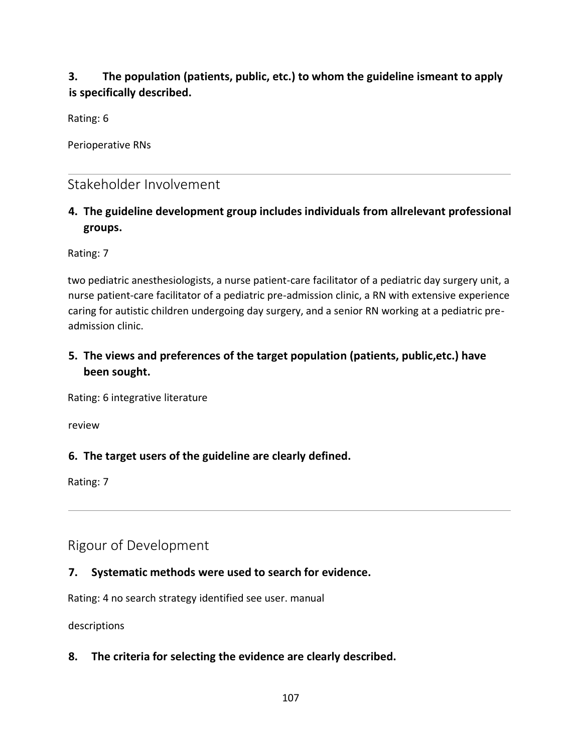# **3. The population (patients, public, etc.) to whom the guideline ismeant to apply is specifically described.**

Rating: 6

Perioperative RNs

# Stakeholder Involvement

# **4. The guideline development group includes individuals from allrelevant professional groups.**

Rating: 7

two pediatric anesthesiologists, a nurse patient-care facilitator of a pediatric day surgery unit, a nurse patient-care facilitator of a pediatric pre-admission clinic, a RN with extensive experience caring for autistic children undergoing day surgery, and a senior RN working at a pediatric preadmission clinic.

# **5. The views and preferences of the target population (patients, public,etc.) have been sought.**

Rating: 6 integrative literature

review

# **6. The target users of the guideline are clearly defined.**

Rating: 7

Rigour of Development

# **7. Systematic methods were used to search for evidence.**

Rating: 4 no search strategy identified see user. manual

descriptions

**8. The criteria for selecting the evidence are clearly described.**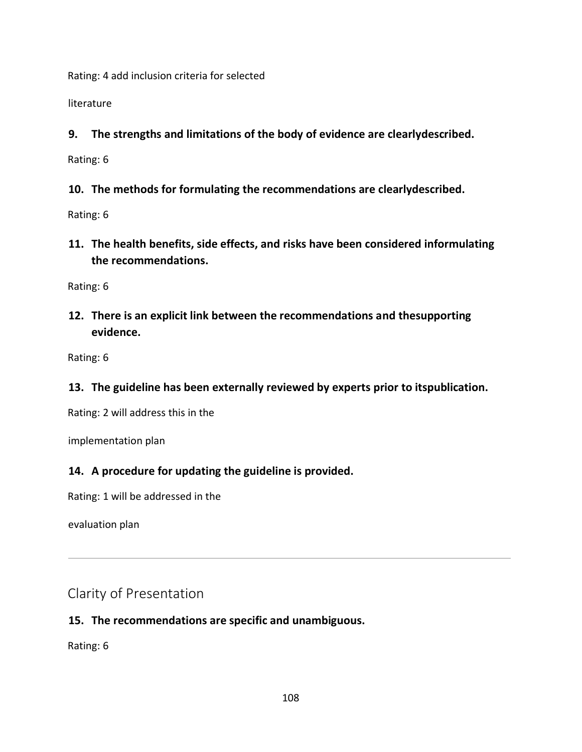Rating: 4 add inclusion criteria for selected

literature

**9. The strengths and limitations of the body of evidence are clearlydescribed.**

Rating: 6

**10. The methods for formulating the recommendations are clearlydescribed.**

Rating: 6

**11. The health benefits, side effects, and risks have been considered informulating the recommendations.**

Rating: 6

**12. There is an explicit link between the recommendations and thesupporting evidence.**

Rating: 6

**13. The guideline has been externally reviewed by experts prior to itspublication.**

Rating: 2 will address this in the

implementation plan

### **14. A procedure for updating the guideline is provided.**

Rating: 1 will be addressed in the

evaluation plan

Clarity of Presentation

## **15. The recommendations are specific and unambiguous.**

Rating: 6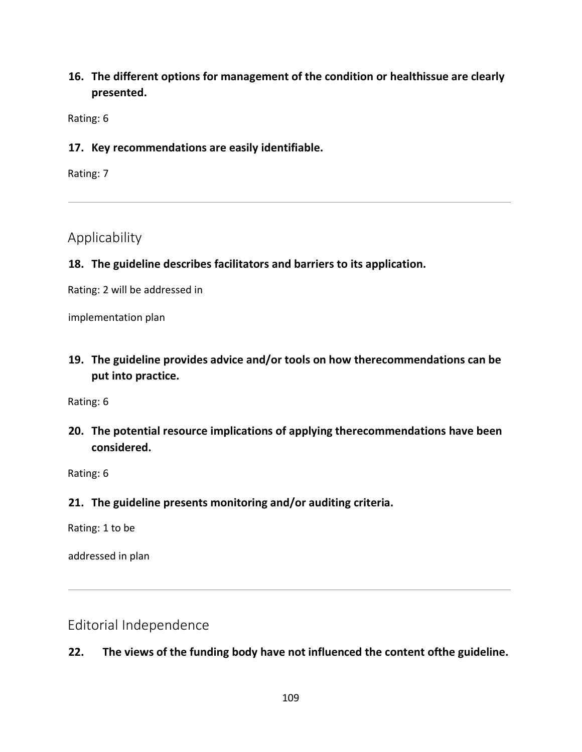# **16. The different options for management of the condition or healthissue are clearly presented.**

Rating: 6

#### **17. Key recommendations are easily identifiable.**

Rating: 7

# Applicability

### **18. The guideline describes facilitators and barriers to its application.**

Rating: 2 will be addressed in

implementation plan

**19. The guideline provides advice and/or tools on how therecommendations can be put into practice.**

Rating: 6

**20. The potential resource implications of applying therecommendations have been considered.**

Rating: 6

#### **21. The guideline presents monitoring and/or auditing criteria.**

Rating: 1 to be

addressed in plan

Editorial Independence

## **22. The views of the funding body have not influenced the content ofthe guideline.**